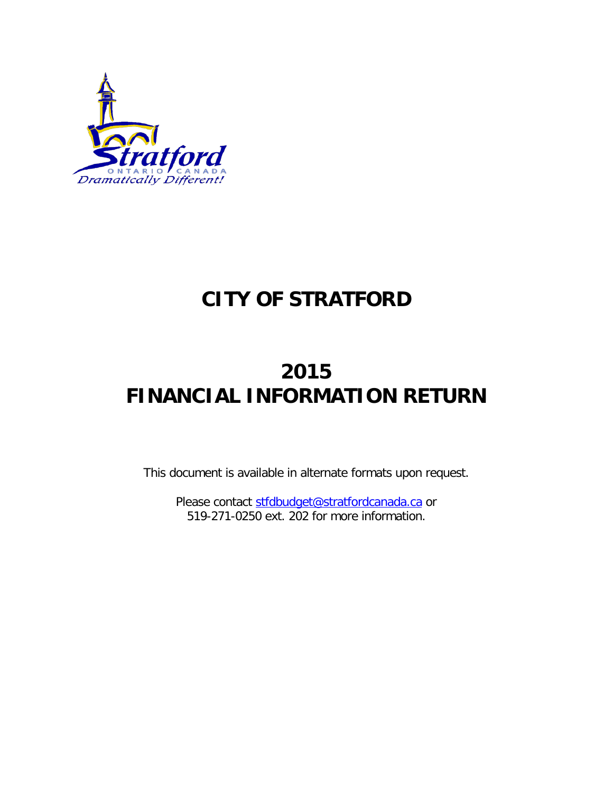

## **CITY OF STRATFORD**

## **2015 FINANCIAL INFORMATION RETURN**

This document is available in alternate formats upon request.

Please contact [stfdbudget@stratfordcanada.ca](mailto:stfdbudget@stratfordcanada.ca) or 519-271-0250 ext. 202 for more information.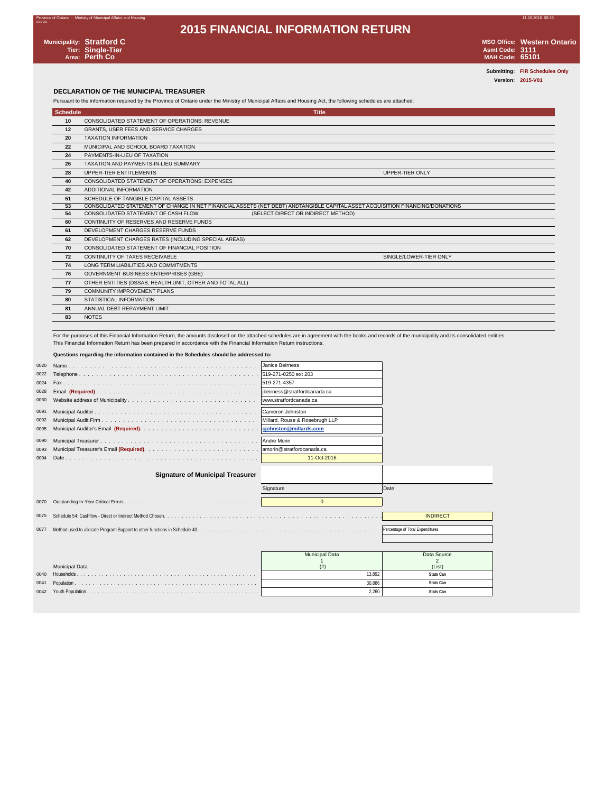### Province of Ontario - Ministry of Municipal Affairs and Housing 11.10.2016 08:33 **2015 FINANCIAL INFORMATION RETURN**



2015-V01

**Municipality: Stratford C MSO Office: Western Ontario Tier: Single-Tier Asmt Code: 3111 Area: Perth Co MAH Code: 65101**

**Submitting: FIR Schedules Only Version: 2015-V01**

### **DECLARATION OF THE MUNICIPAL TREASURER**

Pursuant to the information required by the Province of Ontario under the Ministry of Municipal Affairs and Housing Act, the following schedules are attached:

| <b>Schedule</b> | <b>Title</b>                                                                                                                  |
|-----------------|-------------------------------------------------------------------------------------------------------------------------------|
| 10              | CONSOLIDATED STATEMENT OF OPERATIONS: REVENUE                                                                                 |
| 12              | GRANTS, USER FEES AND SERVICE CHARGES                                                                                         |
| 20              | <b>TAXATION INFORMATION</b>                                                                                                   |
| 22              | MUNICIPAL AND SCHOOL BOARD TAXATION                                                                                           |
| 24              | PAYMENTS-IN-LIEU OF TAXATION                                                                                                  |
| 26              | TAXATION AND PAYMENTS-IN-LIEU SUMMARY                                                                                         |
| 28              | UPPER-TIER ENTITLEMENTS<br><b>UPPER-TIER ONLY</b>                                                                             |
| 40              | CONSOLIDATED STATEMENT OF OPERATIONS: EXPENSES                                                                                |
| 42              | ADDITIONAL INFORMATION                                                                                                        |
| 51              | SCHEDULE OF TANGIBLE CAPITAL ASSETS                                                                                           |
| 53              | CONSOLIDATED STATEMENT OF CHANGE IN NET FINANCIAL ASSETS (NET DEBT) ANDTANGIBLE CAPITAL ASSET ACQUISITION FINANCING/DONATIONS |
| 54              | CONSOLIDATED STATEMENT OF CASH FLOW<br>(SELECT DIRECT OR INDIRECT METHOD)                                                     |
| 60              | CONTINUITY OF RESERVES AND RESERVE FUNDS                                                                                      |
| 61              | DEVELOPMENT CHARGES RESERVE FUNDS                                                                                             |
| 62              | DEVELOPMENT CHARGES RATES (INCLUDING SPECIAL AREAS)                                                                           |
| 70              | CONSOLIDATED STATEMENT OF FINANCIAL POSITION                                                                                  |
| 72              | SINGLE/LOWER-TIER ONLY<br>CONTINUITY OF TAXES RECEIVABLE                                                                      |
| 74              | LONG TERM LIABILITIES AND COMMITMENTS                                                                                         |
| 76              | <b>GOVERNMENT BUSINESS ENTERPRISES (GBE)</b>                                                                                  |
| 77              | OTHER ENTITIES (DSSAB, HEALTH UNIT, OTHER AND TOTAL ALL)                                                                      |
| 79              | <b>COMMUNITY IMPROVEMENT PLANS</b>                                                                                            |
| 80              | STATISTICAL INFORMATION                                                                                                       |
| 81              | ANNUAL DEBT REPAYMENT LIMIT                                                                                                   |
| 83              | <b>NOTES</b>                                                                                                                  |

For the purposes of this Financial Information Return, the amounts disclosed on the attached schedules are in agreement with the books and records of the municipality and its consolidated entities. This Financial Information Return has been prepared in accordance with the Financial Information Return instructions.

### **Questions regarding the information contained in the Schedules should be addressed to:**

| 0020 |                                         | Janice Beirness                |                                  |
|------|-----------------------------------------|--------------------------------|----------------------------------|
| 0022 |                                         |                                |                                  |
| 0024 |                                         | 519-271-4357                   |                                  |
| 0028 |                                         |                                |                                  |
| 0030 |                                         | www.stratfordcanada.ca         |                                  |
| 0091 |                                         | Cameron Johnston               |                                  |
| 0092 |                                         | Millard, Rouse & Rosebrugh LLP |                                  |
| 0095 |                                         |                                |                                  |
| 0090 |                                         |                                |                                  |
| 0093 |                                         |                                |                                  |
| 0094 |                                         | 11-Oct-2016                    |                                  |
|      | <b>Signature of Municipal Treasurer</b> |                                |                                  |
|      |                                         |                                |                                  |
|      |                                         | Signature                      | Date                             |
| 0070 |                                         | $\Omega$                       |                                  |
| 0075 |                                         |                                | <b>INDIRECT</b>                  |
|      |                                         |                                |                                  |
| 0077 |                                         |                                | Percentage of Total Expenditures |
|      |                                         |                                |                                  |
|      |                                         |                                |                                  |
|      |                                         | <b>Municipal Data</b>          | Data Source                      |
|      | <b>Municipal Data</b>                   | (# )                           | $\mathfrak{D}$<br>(List)         |
| 0040 |                                         | 13.892                         | Stats Can                        |
| 0041 |                                         | 30.886                         | Stats Can                        |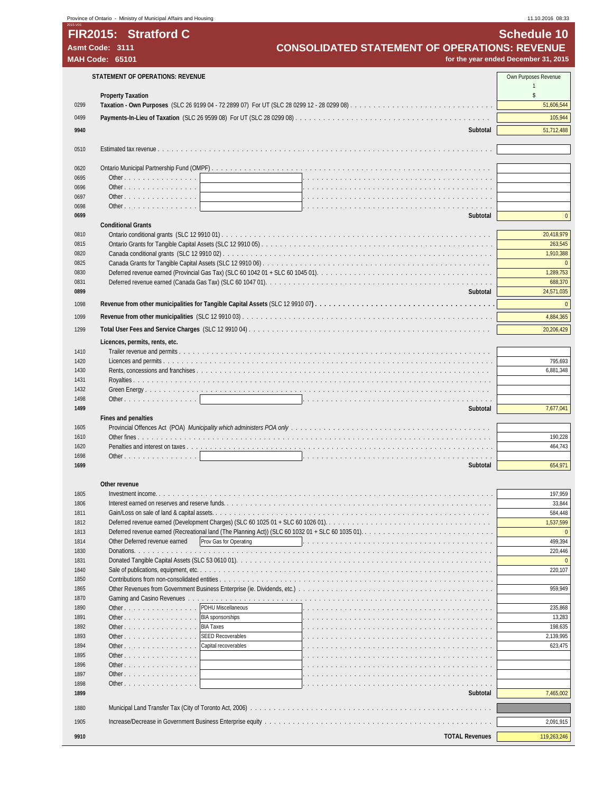|              | Province of Ontario - Ministry of Municipal Affairs and Housing          |                                               |                                                                                                   | 11.10.2016 08:33                     |
|--------------|--------------------------------------------------------------------------|-----------------------------------------------|---------------------------------------------------------------------------------------------------|--------------------------------------|
|              | FIR2015: Stratford C                                                     |                                               |                                                                                                   | <b>Schedule 10</b>                   |
|              | Asmt Code: 3111                                                          |                                               | <b>CONSOLIDATED STATEMENT OF OPERATIONS: REVENUE</b>                                              |                                      |
|              | <b>MAH Code: 65101</b>                                                   |                                               |                                                                                                   | for the year ended December 31, 2015 |
|              |                                                                          |                                               |                                                                                                   |                                      |
|              | <b>STATEMENT OF OPERATIONS: REVENUE</b>                                  |                                               |                                                                                                   | Own Purposes Revenue                 |
|              | <b>Property Taxation</b>                                                 |                                               |                                                                                                   | $\mathbb{S}$                         |
| 0299         |                                                                          |                                               |                                                                                                   | 51,606,544                           |
| 0499         |                                                                          |                                               |                                                                                                   | 105,944                              |
| 9940         |                                                                          |                                               | Subtotal                                                                                          | 51,712,488                           |
|              |                                                                          |                                               |                                                                                                   |                                      |
| 0510         |                                                                          |                                               |                                                                                                   |                                      |
| 0620         |                                                                          |                                               |                                                                                                   |                                      |
| 0695         | Other                                                                    |                                               |                                                                                                   |                                      |
| 0696         | Other                                                                    |                                               |                                                                                                   |                                      |
| 0697         | Other                                                                    |                                               |                                                                                                   |                                      |
| 0698<br>0699 | Other                                                                    |                                               | Subtotal                                                                                          | $\pmb{0}$                            |
|              | <b>Conditional Grants</b>                                                |                                               |                                                                                                   |                                      |
| 0810         |                                                                          |                                               |                                                                                                   | 20,418,979                           |
| 0815         |                                                                          |                                               |                                                                                                   | 263,545                              |
| 0820<br>0825 |                                                                          |                                               |                                                                                                   | 1,910,388<br>$\Omega$                |
| 0830         |                                                                          |                                               |                                                                                                   | 1,289,753                            |
| 0831         |                                                                          |                                               |                                                                                                   | 688,370                              |
| 0899         |                                                                          |                                               | Subtotal                                                                                          | 24,571,035                           |
| 1098         |                                                                          |                                               |                                                                                                   | $\mathbf{0}$                         |
| 1099         |                                                                          |                                               |                                                                                                   | 4,884,365                            |
| 1299         |                                                                          |                                               |                                                                                                   | 20,206,429                           |
|              | Licences, permits, rents, etc.                                           |                                               |                                                                                                   |                                      |
| 1410         |                                                                          |                                               |                                                                                                   |                                      |
| 1420         |                                                                          |                                               |                                                                                                   | 795,693                              |
| 1430<br>1431 |                                                                          |                                               |                                                                                                   | 6,881,348                            |
| 1432         |                                                                          |                                               |                                                                                                   |                                      |
| 1498         | Other                                                                    |                                               |                                                                                                   |                                      |
| 1499         |                                                                          |                                               | Subtotal                                                                                          | 7,677,041                            |
| 1605         | Fines and penalties                                                      |                                               |                                                                                                   |                                      |
| 1610         |                                                                          |                                               |                                                                                                   | 190,228                              |
| 1620         |                                                                          |                                               |                                                                                                   | 464,743                              |
| 1698         | Other                                                                    |                                               |                                                                                                   |                                      |
| 1699         |                                                                          |                                               | Subtotal                                                                                          | 654,971                              |
|              | Other revenue                                                            |                                               |                                                                                                   |                                      |
| 1805         |                                                                          |                                               |                                                                                                   | 197,959                              |
| 1806         |                                                                          |                                               |                                                                                                   | 33,844                               |
| 1811<br>1812 |                                                                          |                                               | Deferred revenue earned (Development Charges) (SLC 60 1025 01 + SLC 60 1026 01).                  | 584,448<br>1,537,599                 |
| 1813         |                                                                          |                                               | Deferred revenue earned (Recreational land (The Planning Act)) (SLC 60 1032 01 + SLC 60 1035 01). | $\mathbf{0}$                         |
| 1814         | Other Deferred revenue earned                                            | Prov Gas for Operating                        |                                                                                                   | 499,394                              |
| 1830         |                                                                          |                                               |                                                                                                   | 220,446                              |
| 1831<br>1840 |                                                                          |                                               |                                                                                                   | $\Omega$<br>220,107                  |
| 1850         |                                                                          |                                               |                                                                                                   |                                      |
| 1865         | Other Revenues from Government Business Enterprise (ie. Dividends, etc.) |                                               |                                                                                                   | 959,949                              |
| 1870         |                                                                          |                                               |                                                                                                   |                                      |
| 1890<br>1891 | Other<br>Other                                                           | PDHU Miscellaneous<br><b>BIA sponsorships</b> |                                                                                                   | 235,868<br>13,283                    |
| 1892         | Other $\ldots$ $\ldots$ $\ldots$ $\ldots$ $\ldots$ $\ldots$              | <b>BIA Taxes</b>                              |                                                                                                   | 198,635                              |
| 1893         | Other                                                                    | <b>SEED Recoverables</b>                      |                                                                                                   | 2,139,995                            |
| 1894         | Other $\ldots$ $\ldots$ $\ldots$ $\ldots$ $\ldots$ $\ldots$              | Capital recoverables                          |                                                                                                   | 623,475                              |
| 1895<br>1896 | Other $\ldots$ $\ldots$ $\ldots$ $\ldots$ $\ldots$ $\ldots$<br>Other     |                                               |                                                                                                   |                                      |
| 1897         | Other                                                                    |                                               |                                                                                                   |                                      |
| 1898         | Other                                                                    |                                               |                                                                                                   |                                      |
| 1899         |                                                                          |                                               | Subtotal                                                                                          | 7,465,002                            |
| 1880         |                                                                          |                                               |                                                                                                   |                                      |
| 1905         |                                                                          |                                               |                                                                                                   | 2,091,915                            |
| 9910         |                                                                          |                                               | <b>TOTAL Revenues</b>                                                                             | 119,263,246                          |
|              |                                                                          |                                               |                                                                                                   |                                      |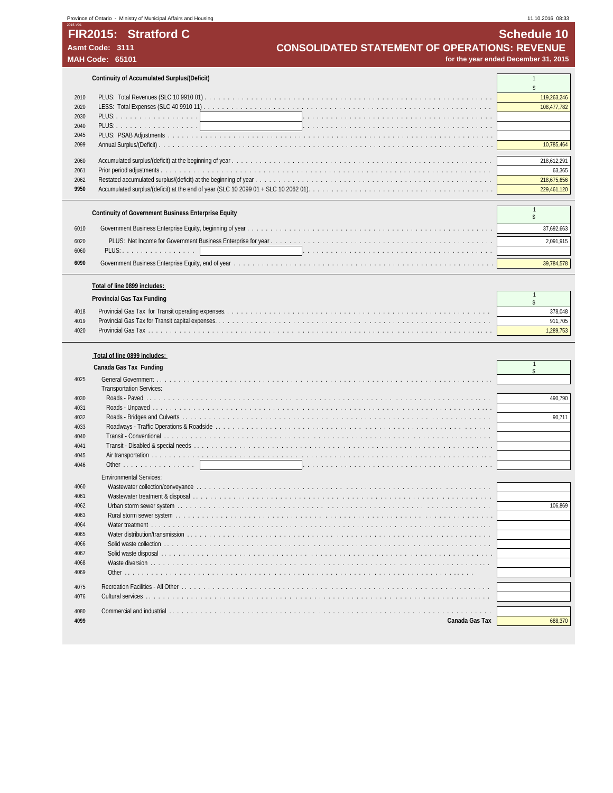## Province of Ontario - Ministry of Municipal Affairs and Housing 11.10.2016 08:33 and Housing 11.10.2016 08:33

**Continuity of Accumulated Surplus/(Deficit)** 1

|      | Continuity of Accumulated Surplus/(Deficit) |             |  |  |  |
|------|---------------------------------------------|-------------|--|--|--|
|      |                                             |             |  |  |  |
| 2010 |                                             | 119,263,246 |  |  |  |
| 2020 |                                             | 108.477.782 |  |  |  |
| 2030 |                                             |             |  |  |  |
| 2040 |                                             |             |  |  |  |
| 2045 |                                             |             |  |  |  |
| 2099 |                                             |             |  |  |  |
|      |                                             |             |  |  |  |
| 2060 |                                             | 218,612,29  |  |  |  |
| 2061 |                                             | 63.365      |  |  |  |
| 2062 |                                             | 218.675.65  |  |  |  |
| 9950 |                                             |             |  |  |  |

|              | Continuity of Government Business Enterprise Equity |            |
|--------------|-----------------------------------------------------|------------|
| 6010         |                                                     | 37.692.663 |
| 6020<br>6060 | PLUS: 1                                             | 2.091.915  |
| 6090         |                                                     | 39.784.578 |

### **Total of line 0899 includes:**

|      | Provincial Gas Tax Funding |         |
|------|----------------------------|---------|
| 4018 |                            |         |
| 4019 |                            | 911.705 |
| 4020 |                            |         |

### **Total of line 0899 includes:**

|      | Canada Gas Tax Funding          |         |
|------|---------------------------------|---------|
| 4025 |                                 |         |
|      | <b>Transportation Services:</b> |         |
| 4030 |                                 | 490.790 |
| 4031 |                                 |         |
| 4032 |                                 | 90.711  |
| 4033 |                                 |         |
| 4040 |                                 |         |
| 4041 |                                 |         |
| 4045 |                                 |         |
| 4046 |                                 |         |
|      | <b>Environmental Services:</b>  |         |
| 4060 |                                 |         |
| 4061 |                                 |         |
| 4062 |                                 | 106.869 |
| 4063 |                                 |         |
| 4064 |                                 |         |
| 4065 |                                 |         |
| 4066 |                                 |         |
| 4067 |                                 |         |
| 4068 |                                 |         |
| 4069 |                                 |         |
| 4075 |                                 |         |
| 4076 |                                 |         |
|      |                                 |         |
| 4080 |                                 |         |
| 4099 | Canada Gas Tax                  | 688,370 |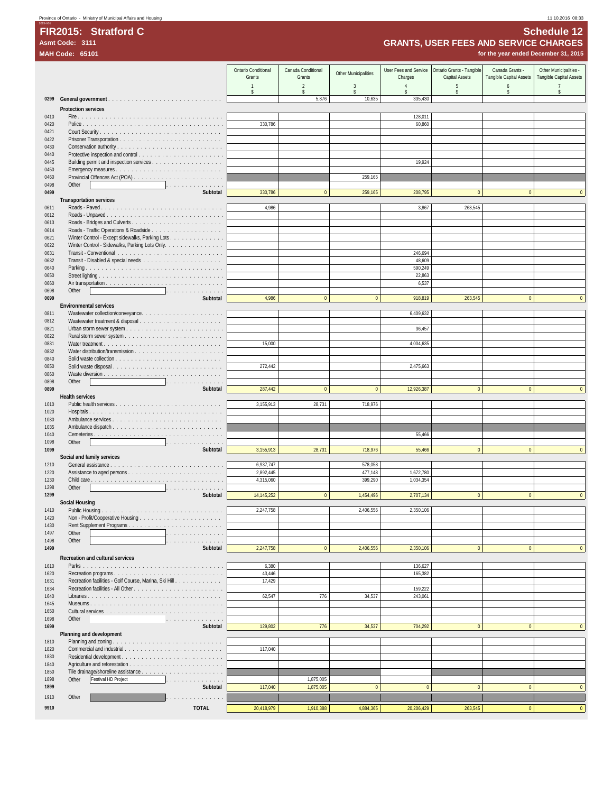| 11.10.2016 08:33 |  |
|------------------|--|
|                  |  |

## 2015-V01 **FIR2015: Stratford C Schedule 12**

|              | <b>GRANTS, USER FEES AND SERVICE CHARGES</b><br>Asmt Code: 3111 |                               |                              |                      |                                  |                                             |                                            |                                                   |
|--------------|-----------------------------------------------------------------|-------------------------------|------------------------------|----------------------|----------------------------------|---------------------------------------------|--------------------------------------------|---------------------------------------------------|
|              | <b>MAH Code: 65101</b>                                          |                               |                              |                      |                                  |                                             | for the year ended December 31, 2015       |                                                   |
|              |                                                                 |                               |                              |                      |                                  |                                             |                                            |                                                   |
|              |                                                                 | Ontario Conditional<br>Grants | Canada Conditional<br>Grants | Other Municipalities | User Fees and Service<br>Charges | Ontario Grants - Tangible<br>Capital Assets | Canada Grants -<br>Tangible Capital Assets | Other Municipalities -<br>Tangible Capital Assets |
|              |                                                                 | $\mathbf{1}$                  | $\overline{2}$               | 3                    | $\overline{4}$                   | 5                                           | 6                                          | $\overline{7}$                                    |
|              |                                                                 | \$                            | \$                           | \$                   | $\hat{\mathbf{S}}$               | \$                                          | \$                                         | \$                                                |
| 0299         |                                                                 |                               | 5,876                        | 10,635               | 335,430                          |                                             |                                            |                                                   |
|              | <b>Protection services</b>                                      |                               |                              |                      |                                  |                                             |                                            |                                                   |
| 0410<br>0420 |                                                                 | 330,786                       |                              |                      | 128,011<br>60,860                |                                             |                                            |                                                   |
| 0421         |                                                                 |                               |                              |                      |                                  |                                             |                                            |                                                   |
| 0422         |                                                                 |                               |                              |                      |                                  |                                             |                                            |                                                   |
| 0430         |                                                                 |                               |                              |                      |                                  |                                             |                                            |                                                   |
| 0440         |                                                                 |                               |                              |                      |                                  |                                             |                                            |                                                   |
| 0445<br>0450 |                                                                 |                               |                              |                      | 19,924                           |                                             |                                            |                                                   |
| 0460         |                                                                 |                               |                              | 259,165              |                                  |                                             |                                            |                                                   |
| 0498         | Other<br>.                                                      |                               |                              |                      |                                  |                                             |                                            |                                                   |
| 0499         | Subtotal                                                        | 330,786                       | $\mathbf{0}$                 | 259,165              | 208,795                          | $\mathbf{0}$                                | $\mathbf{0}$                               | $\Omega$                                          |
|              | <b>Transportation services</b>                                  |                               |                              |                      |                                  |                                             |                                            |                                                   |
| 0611<br>0612 | Roads - Unpaved                                                 | 4,986                         |                              |                      | 3,867                            | 263,545                                     |                                            |                                                   |
| 0613         |                                                                 |                               |                              |                      |                                  |                                             |                                            |                                                   |
| 0614         |                                                                 |                               |                              |                      |                                  |                                             |                                            |                                                   |
| 0621         | Winter Control - Except sidewalks, Parking Lots                 |                               |                              |                      |                                  |                                             |                                            |                                                   |
| 0622         | Winter Control - Sidewalks, Parking Lots Only.                  |                               |                              |                      |                                  |                                             |                                            |                                                   |
| 0631<br>0632 |                                                                 |                               |                              |                      | 246,694<br>48,609                |                                             |                                            |                                                   |
| 0640         |                                                                 |                               |                              |                      | 590,249                          |                                             |                                            |                                                   |
| 0650         |                                                                 |                               |                              |                      | 22,863                           |                                             |                                            |                                                   |
| 0660         |                                                                 |                               |                              |                      | 6,537                            |                                             |                                            |                                                   |
| 0698         | Other<br>.                                                      |                               |                              |                      |                                  |                                             |                                            |                                                   |
| 0699         | Subtotal<br><b>Environmental services</b>                       | 4,986                         | $\overline{0}$               | $\mathbf{0}$         | 918,819                          | 263,545                                     | $\mathbf{0}$                               | $\mathbf{0}$                                      |
| 0811         |                                                                 |                               |                              |                      | 6,409,632                        |                                             |                                            |                                                   |
| 0812         |                                                                 |                               |                              |                      |                                  |                                             |                                            |                                                   |
| 0821         |                                                                 |                               |                              |                      | 36,457                           |                                             |                                            |                                                   |
| 0822         |                                                                 |                               |                              |                      |                                  |                                             |                                            |                                                   |
| 0831         |                                                                 | 15,000                        |                              |                      | 4,004,635                        |                                             |                                            |                                                   |
| 0832<br>0840 |                                                                 |                               |                              |                      |                                  |                                             |                                            |                                                   |
| 0850         |                                                                 | 272,442                       |                              |                      | 2,475,663                        |                                             |                                            |                                                   |
| 0860         |                                                                 |                               |                              |                      |                                  |                                             |                                            |                                                   |
| 0898         | Other<br>and a series of the contract of                        |                               |                              |                      |                                  |                                             |                                            |                                                   |
| 0899         | Subtotal                                                        | 287,442                       | $\mathbf{0}$                 | $\mathbf{0}$         | 12,926,387                       | $\mathbf{0}$                                | $\mathbf{0}$                               | $\Omega$                                          |
| 1010         | <b>Health services</b>                                          | 3,155,913                     | 28,731                       | 718,976              |                                  |                                             |                                            |                                                   |
| 1020         |                                                                 |                               |                              |                      |                                  |                                             |                                            |                                                   |
| 1030         |                                                                 |                               |                              |                      |                                  |                                             |                                            |                                                   |
| 1035         |                                                                 |                               |                              |                      |                                  |                                             |                                            |                                                   |
| 1040         |                                                                 |                               |                              |                      | 55,466                           |                                             |                                            |                                                   |
| 1098<br>1099 | Other<br>a concerta de la concerta<br>Subtotal                  | 3,155,913                     | 28,731                       | 718,976              | 55,466                           | $\mathbf{0}$                                | $\mathbf{0}$                               | $\mathbf{0}$                                      |
|              | Social and family services                                      |                               |                              |                      |                                  |                                             |                                            |                                                   |
| 1210         |                                                                 | 6,937,747                     |                              | 578,058              |                                  |                                             |                                            |                                                   |
| 1220         |                                                                 | 2,892,445                     |                              | 477,148              | 1,672,780                        |                                             |                                            |                                                   |
| 1230         |                                                                 | 4,315,060                     |                              | 399,290              | 1,034,354                        |                                             |                                            |                                                   |
| 1298<br>1299 | Other<br>Subtotal                                               | 14,145,252                    | $\Omega$                     | 1,454,496            | 2,707,134                        | $\Omega$                                    | $\Omega$                                   | $\Omega$                                          |
|              | <b>Social Housing</b>                                           |                               |                              |                      |                                  |                                             |                                            |                                                   |
| 1410         |                                                                 | 2,247,758                     |                              | 2,406,556            | 2,350,106                        |                                             |                                            |                                                   |
| 1420         |                                                                 |                               |                              |                      |                                  |                                             |                                            |                                                   |
| 1430         |                                                                 |                               |                              |                      |                                  |                                             |                                            |                                                   |
| 1497<br>1498 | Other<br>.<br>Other<br>.                                        |                               |                              |                      |                                  |                                             |                                            |                                                   |
| 1499         | Subtotal                                                        | 2,247,758                     | $\mathbf{0}$                 | 2,406,556            | 2,350,106                        | $\mathbf{0}$                                | $\mathbf{0}$                               | $\Omega$                                          |
|              | Recreation and cultural services                                |                               |                              |                      |                                  |                                             |                                            |                                                   |
| 1610         |                                                                 | 6,380                         |                              |                      | 136,627                          |                                             |                                            |                                                   |
| 1620         |                                                                 | 43,446                        |                              |                      | 165,382                          |                                             |                                            |                                                   |
| 1631         | Recreation facilities - Golf Course, Marina, Ski Hill           | 17,429                        |                              |                      |                                  |                                             |                                            |                                                   |
| 1634         |                                                                 |                               |                              |                      | 159,222                          |                                             |                                            |                                                   |
| 1640<br>1645 |                                                                 | 62,547                        | 776                          | 34,537               | 243,061                          |                                             |                                            |                                                   |
| 1650         |                                                                 |                               |                              |                      |                                  |                                             |                                            |                                                   |
| 1698         | Other<br>.                                                      |                               |                              |                      |                                  |                                             |                                            |                                                   |
| 1699         | Subtotal                                                        | 129,802                       | 776                          | 34,537               | 704,292                          | $\overline{0}$                              | $\mathbf{0}$                               | $\Omega$                                          |
|              | Planning and development                                        |                               |                              |                      |                                  |                                             |                                            |                                                   |
| 1810         |                                                                 |                               |                              |                      |                                  |                                             |                                            |                                                   |
| 1820<br>1830 |                                                                 | 117,040                       |                              |                      |                                  |                                             |                                            |                                                   |
| 1840         |                                                                 |                               |                              |                      |                                  |                                             |                                            |                                                   |
| 1850         |                                                                 |                               |                              |                      |                                  |                                             |                                            |                                                   |
| 1898         | Other<br>Festival HD Project<br>.                               |                               | 1,875,005                    |                      |                                  |                                             |                                            |                                                   |
| 1899         | Subtotal                                                        | 117,040                       | 1,875,005                    | $\mathbf{0}$         | $\mathbf{0}$                     | $\mathbf{0}$                                | $\mathbf{0}$                               | $\mathbf{0}$                                      |
| 1910         | Other<br>.                                                      |                               |                              |                      |                                  |                                             |                                            |                                                   |
| 9910         | <b>TOTAL</b>                                                    | 20,418,979                    | 1,910,388                    | 4,884,365            | 20,206,429                       | 263,545                                     | $\mathbf{0}$                               | $\mathbf{0}$                                      |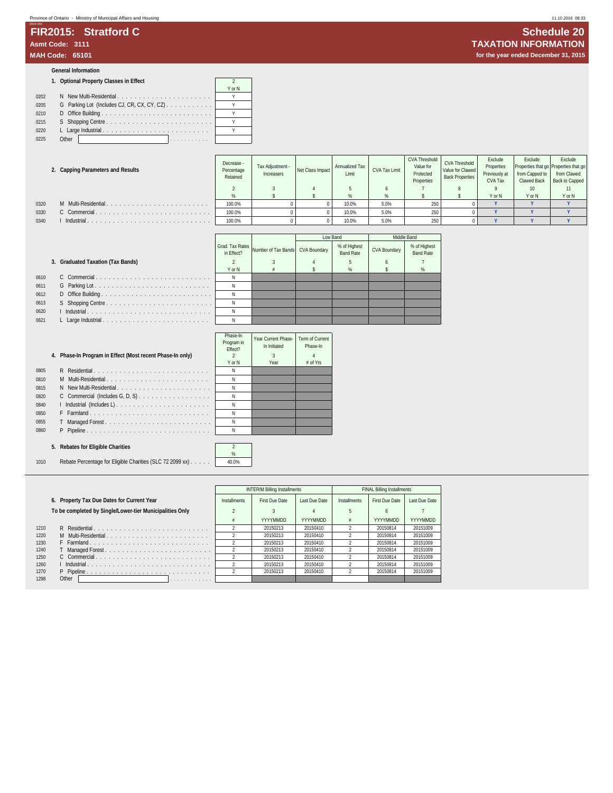# 2015-V01 **FIR2015: Stratford C Schedule 20**

### **General Information**

### **1. Optional Property Classes in Effect** 2

|      |                                    | Y or N |
|------|------------------------------------|--------|
| 0202 | N New Multi-Residential            |        |
| 0205 |                                    |        |
| 0210 |                                    |        |
| 0215 |                                    |        |
| 0220 |                                    |        |
| 0225 | Other<br>and a series and a series |        |

|      | 2. Capping Parameters and Results | Decrease -<br>Percentage<br>Retained | Tax Adjustment -<br>Increasers | Net Class Impact | Annualized Tax<br>Limit | CVA Tax Limit | CVA Threshold<br>Value for<br>Protected<br>Properties | <b>CVA Threshold</b><br>Value for Clawed<br><b>Back Properties</b> | Exclude<br>Properties<br>Previously at<br>CVA Tax | Exclude<br>Properties that go Properties that go<br>from Capped to<br>Clawed Back | Exclude<br>from Clawed<br>Back to Capped |
|------|-----------------------------------|--------------------------------------|--------------------------------|------------------|-------------------------|---------------|-------------------------------------------------------|--------------------------------------------------------------------|---------------------------------------------------|-----------------------------------------------------------------------------------|------------------------------------------|
|      |                                   |                                      |                                |                  |                         |               |                                                       |                                                                    |                                                   |                                                                                   |                                          |
|      |                                   |                                      |                                |                  |                         | $\alpha$      |                                                       |                                                                    | Y or N                                            | Y or N                                                                            | Y or N                                   |
| 0320 | M Multi-Residential               | 100.0%                               |                                |                  | 10.0%                   | 5.0%          | 250                                                   |                                                                    |                                                   |                                                                                   |                                          |
| 0330 |                                   | 100.0%                               |                                |                  | 10.0%                   | 5.0%          | 250                                                   |                                                                    |                                                   |                                                                                   |                                          |
| 0340 | Industrial                        | 100.0%                               |                                |                  | 10.0%                   | 5.0%          | 250                                                   |                                                                    |                                                   |                                                                                   |                                          |

|      |                                   |            |                                                  | Low Band |                                  | Middle Band  |                                  |
|------|-----------------------------------|------------|--------------------------------------------------|----------|----------------------------------|--------------|----------------------------------|
|      |                                   | in Effect? | Grad. Tax Rates Number of Tax Bands CVA Boundary |          | % of Highest<br><b>Band Rate</b> | CVA Boundary | % of Highest<br><b>Band Rate</b> |
|      | 3. Graduated Taxation (Tax Bands) |            |                                                  |          |                                  |              |                                  |
|      |                                   | Y or N     |                                                  |          | %                                |              |                                  |
| 0610 |                                   |            |                                                  |          |                                  |              |                                  |
| 0611 |                                   |            |                                                  |          |                                  |              |                                  |
| 0612 |                                   | N          |                                                  |          |                                  |              |                                  |
| 0613 |                                   |            |                                                  |          |                                  |              |                                  |
| 0620 |                                   |            |                                                  |          |                                  |              |                                  |
| 0621 |                                   |            |                                                  |          |                                  |              |                                  |

|      |                                                           | 111935-111<br>Program in<br>Fffect? | Year Current Phase-<br>In Initiated | Term of<br>Phas |
|------|-----------------------------------------------------------|-------------------------------------|-------------------------------------|-----------------|
|      | 4. Phase-In Program in Effect (Most recent Phase-In only) | 2                                   | 3                                   |                 |
|      |                                                           | Y or N                              | Year                                | # of            |
| 0805 | R Residential                                             | N                                   |                                     |                 |
| 0810 | M Multi-Residential                                       | Ν                                   |                                     |                 |
| 0815 | N New Multi-Residential                                   | N                                   |                                     |                 |
| 0820 | C Commercial (Includes G, D, S)                           | N                                   |                                     |                 |
| 0840 |                                                           | N                                   |                                     |                 |
| 0850 | F Farmland                                                | Ν                                   |                                     |                 |
| 0855 | T.                                                        | N                                   |                                     |                 |
| 0860 | P Pipeline                                                | N                                   |                                     |                 |
|      |                                                           |                                     |                                     |                 |
|      | 5. Rebates for Eligible Charities                         | $\mathfrak{p}$                      |                                     |                 |
|      |                                                           | %                                   |                                     |                 |
| 1010 | Rebate Percentage for Eligible Charities (SLC 72 2099 xx) | 40.0%                               |                                     |                 |

### **5. Rebates for Eligible Charities** 2

1010 Rebate Percentage for Eligible Charities (SLC 72 2099 xx) . . . . .

|      |                                                          |              | <b>INTERIM Billing Installments</b> |                 |              | <b>FINAL Billing Installments</b> |                 |
|------|----------------------------------------------------------|--------------|-------------------------------------|-----------------|--------------|-----------------------------------|-----------------|
|      | 6. Property Tax Due Dates for Current Year               | Installments | First Due Date                      | Last Due Date   | Installments | First Due Date                    | Last Due Date   |
|      | To be completed by Single/Lower-tier Municipalities Only |              |                                     |                 |              | h                                 |                 |
|      |                                                          |              | <b>YYYYMMDD</b>                     | <b>YYYYMMDD</b> | ė            | YYYYMMDD                          | <b>YYYYMMDD</b> |
| 1210 |                                                          |              | 20150213                            | 20150410        |              | 20150814                          | 20151009        |
| 1220 | M Multi-Residential                                      |              | 20150213                            | 20150410        |              | 20150814                          | 20151009        |
| 1230 | F Farmland                                               |              | 20150213                            | 20150410        |              | 20150814                          | 20151009        |
| 1240 | T Managed Forest                                         |              | 20150213                            | 20150410        |              | 20150814                          | 20151009        |
| 1250 | C Commercial                                             |              | 20150213                            | 20150410        |              | 20150814                          | 20151009        |
| 1260 |                                                          |              | 20150213                            | 20150410        |              | 20150814                          | 20151009        |
| 1270 | P Pipeline <u></u>                                       |              | 20150213                            | 20150410        |              | 20150814                          | 20151009        |
| 1298 | Other<br>.                                               |              |                                     |                 |              |                                   |                 |

## **Asmt Code: 3111 TAXATION INFORMATION** for the year ended December 31, 2015

| Phase-In<br>Program in<br>Fffect? | Year Current Phase-<br>In Initiated | Term of Current<br>Phase-In |
|-----------------------------------|-------------------------------------|-----------------------------|
| 2                                 | 3                                   |                             |
| Y or N                            | Year                                | # of Yrs                    |
| Ν                                 |                                     |                             |
| N                                 |                                     |                             |
| N                                 |                                     |                             |
| N                                 |                                     |                             |
| N                                 |                                     |                             |
| N                                 |                                     |                             |
| N                                 |                                     |                             |
|                                   |                                     |                             |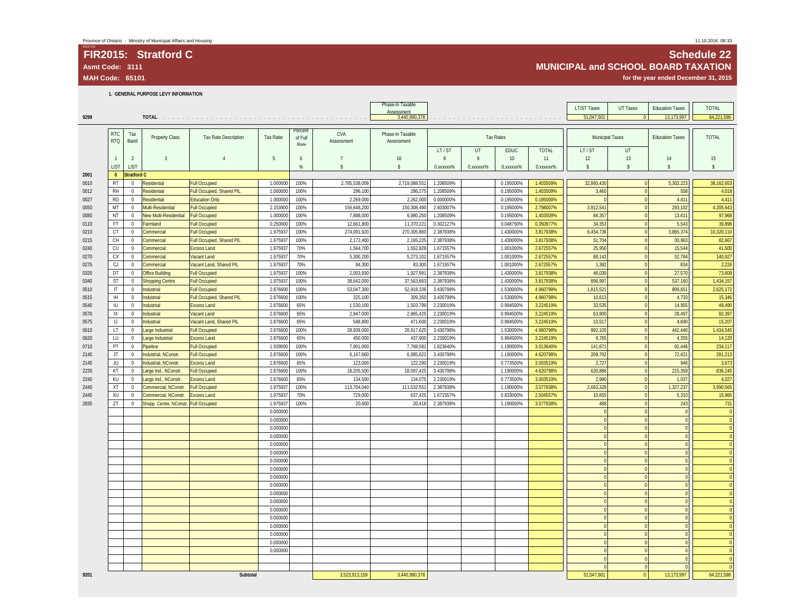## 2015-V01 **FIR2015: Stratford C Schedule 22** Asmt Code: 3111<br>MUNICIPAL and SCHOOL BOARD TAXATION<br>MAH Code: 65101 for the year ended December 31, 2015

for the year ended December 31, 2015

**1. GENERAL PURPOSE LEVY INFORMATION**

|      |                                                                                                          |                    |                                       |                           |                      |                 |                | Phase-In Taxable            |           |                                                                                                                  |                  |                          | LT/ST Taxes     | UT Taxes     | <b>Education Taxes</b> | <b>TOTAL</b>          |
|------|----------------------------------------------------------------------------------------------------------|--------------------|---------------------------------------|---------------------------|----------------------|-----------------|----------------|-----------------------------|-----------|------------------------------------------------------------------------------------------------------------------|------------------|--------------------------|-----------------|--------------|------------------------|-----------------------|
| 9299 |                                                                                                          |                    |                                       |                           |                      |                 |                | Assessment<br>3,440,990,378 |           | and the company of the company of the company of the company of the company of the company of the company of the |                  |                          | 51.047.601      |              | 13.173.997             | 64.221.598            |
|      |                                                                                                          |                    |                                       |                           |                      |                 |                |                             |           |                                                                                                                  |                  |                          |                 |              |                        |                       |
|      | <b>RTC</b>                                                                                               | Tax                |                                       |                           |                      | Percent         | CVA            | Phase-In Taxable            |           |                                                                                                                  |                  |                          |                 |              |                        |                       |
|      | <b>RTQ</b>                                                                                               | Band               | Property Class                        | Tax Rate Description      | Tax Ratio            | of Full<br>Rate | Assessment     | Assessment                  |           |                                                                                                                  | <b>Tax Rates</b> |                          | Municipal Taxes |              | <b>Education Taxes</b> | <b>TOTAL</b>          |
|      |                                                                                                          |                    |                                       |                           |                      |                 |                |                             | LT/ST     | UT                                                                                                               | EDUC             | <b>TOTAL</b>             | LT/ST           | UT           |                        |                       |
|      |                                                                                                          | 2                  | $\overline{3}$                        | $\overline{4}$            | 5                    | 6               | $\overline{7}$ | 16                          | 8         | $\overline{9}$                                                                                                   | 10               | 11                       | 12              | 13           | 14                     | 15                    |
|      | <b>LIST</b>                                                                                              | <b>LIST</b>        |                                       |                           |                      | %               | \$             | \$                          | 0.xxxxxx% | 0.xxxxxx%                                                                                                        | 0.xxxxxx%        | 0. XXXXXXX <sup>96</sup> | \$              | $\mathsf{s}$ | \$                     | $\mathsf{\$}$         |
| 2001 | $\mathbf{0}$                                                                                             | <b>Stratford C</b> |                                       |                           |                      |                 |                |                             |           |                                                                                                                  |                  |                          |                 |              |                        |                       |
| 0010 | RT                                                                                                       | $\overline{0}$     | Residential                           | <b>Full Occupied</b>      | 1.000000             | 100%            | 2,785,538,009  | 2,719,088,551               | 1.208509% |                                                                                                                  | 0.195000%        | 1.403509%                | 32,860,430      |              | 5,302,223              | 38,162,653            |
| 0012 | RH                                                                                                       | $\mathbf 0$        | Residential                           | Full Occupied, Shared PIL | 1.000000             | 100%            | 296,100        | 286,275                     | 1.208509% |                                                                                                                  | 0.195000%        | 1.403509%                | 3,460           |              | 558                    | 4,018                 |
| 0027 | <b>RD</b>                                                                                                | $\mathbf 0$        | <b>Residential</b>                    | <b>Education Only</b>     | 1.000000             | 100%            | 2,269,000      | 2,262,000                   | 0.000000% |                                                                                                                  | 0.195000%        | 0.195000%                | $\theta$        |              | 4,411                  | 4,411                 |
| 0050 | MT                                                                                                       | $\mathbf 0$        | Multi-Residential                     | <b>Full Occupied</b>      | 2.153900             | 100%            | 156,648,200    | 150,308,490                 | 2.603007% |                                                                                                                  | 0.195000%        | 2.798007%                | 3,912,541       |              | 293,102                | 4,205,643             |
| 0080 | NT                                                                                                       | $\mathbf 0$        | New Multi-Residential                 | <b>Full Occupied</b>      | 1.000000             | 100%            | 7,888,000      | 6,980,250                   | 1.208509% |                                                                                                                  | 0.195000%        | 1.403509%                | 84,357          |              | 13,611                 | 97,968                |
| 0110 | FT                                                                                                       | $\mathbf 0$        | Farmland                              | <b>Full Occupied</b>      | 0.250000             | 100%            | 12,661,800     | 11,370,221                  | 0.302127% |                                                                                                                  | 0.048750%        | 0.350877%                | 34,353          |              | 5,543                  | 39,896                |
| 0210 | CT                                                                                                       | $\mathbf{0}$       | Commercial                            | <b>Full Occupied</b>      | 1.975937             | 100%            | 274,091,920    | 270,305,860                 | 2.387938% |                                                                                                                  | 1.430000%        | 3.817938%                | 6,454,736       |              | 3,865,374              | 10,320,110            |
| 0215 | CH                                                                                                       | $\overline{0}$     | Commercial                            | Full Occupied, Shared PIL | 1.975937             | 100%            | 2,172,400      | 2,165,225                   | 2.387938% |                                                                                                                  | 1.430000%        | 3.817938%                | 51,704          |              | 30,963                 | 82,667                |
| 0240 | CU                                                                                                       | $\mathbf 0$        | Commercial                            | <b>Excess Land</b>        | 1.975937             | 70%             | 1,564,700      | 1,552,828                   | 1.671557% |                                                                                                                  | 1.001000%        | 2.672557%                | 25,956          |              | 15,544                 | 41,500                |
| 0270 | CX                                                                                                       | $\mathbf{0}$       | Commercial                            | Vacant Land               | 1.975937             | 70%             | 5,300,200      | 5,273,102                   | 1.671557% |                                                                                                                  | 1.001000%        | 2.672557%                | 88,143          |              | 52,784                 | 140,927               |
| 0275 | CJ                                                                                                       | $\bf{0}$           | Commercial                            | Vacant Land, Shared PIL   | 1.975937             | 70%             | 84,300         | 83,300                      | 1.671557% |                                                                                                                  | 1.001000%        | 2.672557%                | 1,392           |              | 834                    | 2,226                 |
| 0320 | DT                                                                                                       | $\mathbf 0$        | <b>Office Building</b>                | <b>Full Occupied</b>      | 1.975937             | 100%            | 2,003,930      | 1,927,991                   | 2.387938% |                                                                                                                  | 1.430000%        | 3.817938%                | 46,039          |              | 27,570                 | 73,609                |
| 0340 | ST                                                                                                       | 0                  | <b>Shopping Centre</b>                | <b>Full Occupied</b>      | 1.975937             | 100%            | 38,642,000     | 37,563,663                  | 2.387938% |                                                                                                                  | 1.430000%        | 3.817938%                | 896,997         |              | 537,160                | 1,434,157             |
| 0510 | IT                                                                                                       | $\mathbf 0$        | Industrial                            | <b>Full Occupied</b>      | 2.876600             | 100%            | 53,047,300     | 52,918,336                  | 3.430798% |                                                                                                                  | 1.530000%        | 4.960798%                | 1,815,521       |              | 809,651                | 2,625,172             |
| 0515 | IH.                                                                                                      | $\mathbf 0$        | Industrial                            | Full Occupied, Shared PIL | 2.876600             | 100%            | 325,100        | 309,350                     | 3.430798% |                                                                                                                  | 1.530000%        | 4.960798%                | 10,613          |              | 4,733                  | 15,346                |
| 0540 | IU                                                                                                       | $\overline{0}$     | Industrial                            | <b>Excess Land</b>        | 2.876600             | 65%             | 1,530,100      | 1,503,799                   | 2.230019% |                                                                                                                  | 0.994500%        | 3.224519%                | 33,535          |              | 14,955                 | 48.490                |
| 0570 | IX                                                                                                       | $\overline{0}$     | Industrial                            | Vacant Land               | 2.876600             | 65%             | 2,947,000      | 2,865,425                   | 2.230019% |                                                                                                                  | 0.994500%        | 3.224519%                | 63,900          |              | 28,497                 | 92,397                |
| 0575 | $\mathsf{U}% _{T}=\mathsf{U}_{T}\!\left( a,b\right) ,\mathsf{U}_{T}=\mathsf{U}_{T}\!\left( a,b\right) ,$ | $\mathbf 0$        | Industrial                            | Vacant Land, Shared PIL   | 2.876600             | 65%             | 548,800        | 471,600                     | 2.230019% |                                                                                                                  | 0.994500%        | 3.224519%                | 10,517          |              | 4,690                  | 15,207                |
| 0610 | LT.                                                                                                      | $\overline{0}$     | Large Industrial                      | <b>Full Occupied</b>      | 2.876600             | 100%            | 28,939,000     | 28,917,625                  | 3.430798% |                                                                                                                  | 1.530000%        | 4.960798%                | 992,105         |              | 442,440                | 1,434,545             |
| 0620 | LU                                                                                                       | $\mathbf 0$        | Large Industrial                      | <b>Excess Land</b>        | 2.876600             | 65%             | 450,000        | 437,900                     | 2.230019% |                                                                                                                  | 0.994500%        | 3.224519%                | 9,765           |              | 4,355                  | 14,120                |
| 0710 | PT                                                                                                       | $\mathbf 0$        | Pipeline                              | <b>Full Occupied</b>      | 1.509000             | 100%            | 7,901,000      | 7,768,581                   | 1.823640% |                                                                                                                  | 1.190000%        | 3.013640%                | 141,671         |              | 92,446                 | 234,117               |
| 2140 | JT                                                                                                       | 0                  | Industrial, NConstr                   | <b>Full Occupied</b>      | 2.876600             | 100%            | 6,147,660      | 6,085,822                   | 3.430798% |                                                                                                                  | 1.190000%        | 4.620798%                | 208,792         |              | 72,421                 | 281,213               |
| 2145 | JU                                                                                                       | $\mathbf 0$        | Industrial, NConstr                   | <b>Excess Land</b>        | 2.876600             | 65%             | 123,000        | 122,290                     | 2.230019% |                                                                                                                  | 0.773500%        | 3.003519%                | 2,727           |              | 946                    | 3,673                 |
| 2235 | KT                                                                                                       | $\mathbf 0$        | Large Ind., NConstr.                  | <b>Full Occupied</b>      | 2.876600             | 100%            | 18,205,500     | 18,097,425                  | 3.430798% |                                                                                                                  | 1.190000%        | 4.620798%                | 620,886         |              | 215,359                | 836,245               |
| 2240 | KU                                                                                                       | $\mathbf{0}$       | Large Ind., NConstr.                  | <b>Excess Land</b>        | 2.876600             | 65%             | 134,500        | 134,075                     | 2.230019% |                                                                                                                  | 0.773500%        | 3.003519%                | 2,990           |              | 1.037                  | 4.027                 |
| 2440 | XT                                                                                                       | $\overline{0}$     | Commercial, NConstr.                  | <b>Full Occupied</b>      | 1.975937             | 100%            | 113,704,040    | 111,532,551                 | 2.387938% |                                                                                                                  | 1.190000%        | 3.577938%                | 2,663,328       |              | 1,327,237              | 3,990,565             |
| 2445 | XU<br>ZT                                                                                                 | $\mathbf{0}$       | Commercial, NConstr.                  | <b>Excess Land</b>        | 1.975937             | 70%<br>100%     | 729,000        | 637,425                     | 1.671557% |                                                                                                                  | 0.833000%        | 2.504557%                | 10,655<br>488   |              | 5,310                  | 15,965                |
| 2835 |                                                                                                          | $\mathbf{0}$       | Shopp. Centre, NConstr. Full Occupied |                           | 1.975937<br>0.000000 |                 | 20,600         | 20,418                      | 2.387938% |                                                                                                                  | 1.190000%        | 3.577938%                | $\overline{0}$  |              | 243<br>$\theta$        | 731<br>$\overline{0}$ |
|      |                                                                                                          |                    |                                       |                           | 0.000000             |                 |                |                             |           |                                                                                                                  |                  |                          | $\overline{0}$  |              | $\overline{0}$         | $\overline{0}$        |
|      |                                                                                                          |                    |                                       |                           | 0.000000             |                 |                |                             |           |                                                                                                                  |                  |                          | $\overline{0}$  |              | $\sqrt{ }$             | $\overline{0}$        |
|      |                                                                                                          |                    |                                       |                           | 0.000000             |                 |                |                             |           |                                                                                                                  |                  |                          | $\overline{0}$  |              | $\mathbf{C}$           | $\overline{0}$        |
|      |                                                                                                          |                    |                                       |                           | 0.000000             |                 |                |                             |           |                                                                                                                  |                  |                          | $\overline{0}$  |              | $\Omega$               | $\overline{0}$        |
|      |                                                                                                          |                    |                                       |                           | 0.000000             |                 |                |                             |           |                                                                                                                  |                  |                          | $\overline{0}$  |              | $\theta$               | $\Omega$              |
|      |                                                                                                          |                    |                                       |                           | 0.000000             |                 |                |                             |           |                                                                                                                  |                  |                          | $\mathbf{0}$    |              | $\mathbf{0}$           | $\overline{0}$        |
|      |                                                                                                          |                    |                                       |                           | 0.000000             |                 |                |                             |           |                                                                                                                  |                  |                          | $\overline{0}$  |              | $\Omega$               | $\overline{0}$        |
|      |                                                                                                          |                    |                                       |                           | 0.000000             |                 |                |                             |           |                                                                                                                  |                  |                          | $\overline{0}$  |              | $\theta$               | $\Omega$              |
|      |                                                                                                          |                    |                                       |                           | 0.000000             |                 |                |                             |           |                                                                                                                  |                  |                          | $\overline{0}$  |              | $\Omega$               | $\overline{0}$        |
|      |                                                                                                          |                    |                                       |                           | 0.000000             |                 |                |                             |           |                                                                                                                  |                  |                          | $\mathbf{0}$    |              | $\mathbf{0}$           | $\overline{0}$        |
|      |                                                                                                          |                    |                                       |                           | 0.000000             |                 |                |                             |           |                                                                                                                  |                  |                          | $\overline{0}$  |              | $\mathbf 0$            | $\overline{0}$        |
|      |                                                                                                          |                    |                                       |                           | 0.000000             |                 |                |                             |           |                                                                                                                  |                  |                          | $\overline{0}$  |              | $\overline{0}$         | $\overline{0}$        |
|      |                                                                                                          |                    |                                       |                           | 0.000000             |                 |                |                             |           |                                                                                                                  |                  |                          | $\overline{0}$  |              | $\Omega$               | $\overline{0}$        |
|      |                                                                                                          |                    |                                       |                           | 0.000000             |                 |                |                             |           |                                                                                                                  |                  |                          | $\overline{0}$  |              | $\mathbf{C}$           | $\overline{0}$        |
|      |                                                                                                          |                    |                                       |                           | 0.000000             |                 |                |                             |           |                                                                                                                  |                  |                          | $\mathbf{0}$    |              | $\mathbf{0}$           | $\overline{0}$        |
|      |                                                                                                          |                    |                                       |                           | 0.000000             |                 |                |                             |           |                                                                                                                  |                  |                          | $\overline{0}$  |              | $\Omega$               | $\Omega$              |
|      |                                                                                                          |                    |                                       |                           | 0.000000             |                 |                |                             |           |                                                                                                                  |                  |                          | $\overline{0}$  |              | $\sqrt{ }$             | $\overline{0}$        |
|      |                                                                                                          |                    |                                       |                           |                      |                 |                |                             |           |                                                                                                                  |                  |                          | $\overline{0}$  |              | $\theta$               | $\Omega$              |
|      |                                                                                                          |                    |                                       |                           |                      |                 |                |                             |           |                                                                                                                  |                  |                          | $\Omega$        |              | $\sqrt{ }$             | $\Omega$              |
| 9201 |                                                                                                          |                    |                                       | Subtotal                  |                      |                 | 3,523,913,159  | 3,440,990,378               |           |                                                                                                                  |                  |                          | 51,047,601      | $\Omega$     | 13,173,997             | 64,221,598            |
|      |                                                                                                          |                    |                                       |                           |                      |                 |                |                             |           |                                                                                                                  |                  |                          |                 |              |                        |                       |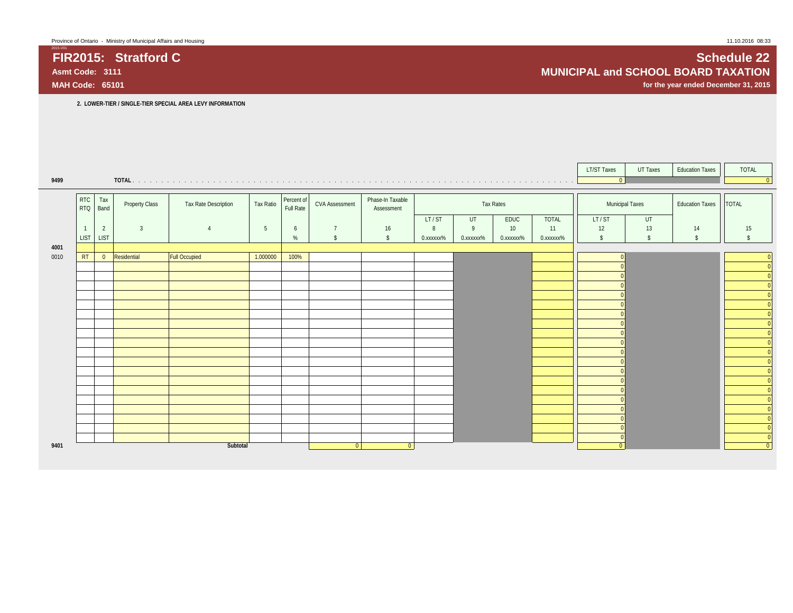**2. LOWER-TIER / SINGLE-TIER SPECIAL AREA LEVY INFORMATION**

|      |                        |                |                |                      |           |                         |                       |                                |           |                        |           |              | <b>LT/ST Taxes</b>     | UT Taxes                | <b>Education Taxes</b> | TOTAL          |
|------|------------------------|----------------|----------------|----------------------|-----------|-------------------------|-----------------------|--------------------------------|-----------|------------------------|-----------|--------------|------------------------|-------------------------|------------------------|----------------|
| 9499 |                        |                |                |                      |           |                         |                       |                                |           |                        |           |              | 0                      |                         |                        | $\boxed{0}$    |
|      |                        |                |                |                      |           |                         |                       |                                |           |                        |           |              |                        |                         |                        |                |
|      | <b>RTC</b><br>RTQ Band | Tax            | Property Class | Tax Rate Description | Tax Ratio | Percent of<br>Full Rate | <b>CVA Assessment</b> | Phase-In Taxable<br>Assessment |           |                        | Tax Rates |              | <b>Municipal Taxes</b> |                         | <b>Education Taxes</b> | <b>TOTAL</b>   |
|      |                        |                |                |                      |           |                         |                       |                                | LT/ST     | UT                     | EDUC      | <b>TOTAL</b> | LT/ST                  | UT                      |                        |                |
|      | $\overline{1}$         | $\overline{2}$ | $\overline{3}$ | $\overline{4}$       | 5         | 6                       | $\overline{7}$        | 16                             | 8         | 9                      | 10        | 11           | 12                     | 13                      | 14                     | 15             |
|      | LIST LIST              |                |                |                      |           | $\%$                    | $\sqrt{2}$            | $\mathsf{s}$                   | 0.xxxxxx% | 0. XXXXXX <sup>%</sup> | 0.xxxxxx% | 0.xxxxxx%    | $\mathsf{s}$           | $\sqrt[6]{\frac{1}{2}}$ | $\mathsf{\$}$          | $\hat{\zeta}$  |
| 4001 |                        |                |                |                      |           |                         |                       |                                |           |                        |           |              |                        |                         |                        |                |
| 0010 | RT                     | $\overline{0}$ | Residential    | <b>Full Occupied</b> | 1.000000  | 100%                    |                       |                                |           |                        |           |              |                        |                         |                        |                |
|      |                        |                |                |                      |           |                         |                       |                                |           |                        |           |              |                        |                         |                        |                |
|      |                        |                |                |                      |           |                         |                       |                                |           |                        |           |              |                        |                         |                        |                |
|      |                        |                |                |                      |           |                         |                       |                                |           |                        |           |              |                        |                         |                        |                |
|      |                        |                |                |                      |           |                         |                       |                                |           |                        |           |              |                        |                         |                        |                |
|      |                        |                |                |                      |           |                         |                       |                                |           |                        |           |              |                        |                         |                        | $\Omega$       |
|      |                        |                |                |                      |           |                         |                       |                                |           |                        |           |              |                        |                         |                        | $\Omega$       |
|      |                        |                |                |                      |           |                         |                       |                                |           |                        |           |              |                        |                         |                        | $\Omega$       |
|      |                        |                |                |                      |           |                         |                       |                                |           |                        |           |              |                        |                         |                        |                |
|      |                        |                |                |                      |           |                         |                       |                                |           |                        |           |              |                        |                         |                        |                |
|      |                        |                |                |                      |           |                         |                       |                                |           |                        |           |              |                        |                         |                        |                |
|      |                        |                |                |                      |           |                         |                       |                                |           |                        |           |              |                        |                         |                        |                |
|      |                        |                |                |                      |           |                         |                       |                                |           |                        |           |              |                        |                         |                        |                |
|      |                        |                |                |                      |           |                         |                       |                                |           |                        |           |              |                        |                         |                        |                |
|      |                        |                |                |                      |           |                         |                       |                                |           |                        |           |              |                        |                         |                        |                |
|      |                        |                |                |                      |           |                         |                       |                                |           |                        |           |              |                        |                         |                        |                |
|      |                        |                |                |                      |           |                         |                       |                                |           |                        |           |              |                        |                         |                        |                |
|      |                        |                |                |                      |           |                         |                       |                                |           |                        |           |              |                        |                         |                        |                |
|      |                        |                |                |                      |           |                         |                       |                                |           |                        |           |              |                        |                         |                        |                |
|      |                        |                |                |                      |           |                         |                       |                                |           |                        |           |              |                        |                         |                        | $\Omega$       |
| 9401 |                        |                |                | Subtotal             |           |                         | $\overline{0}$        | $\overline{0}$                 |           |                        |           |              |                        |                         |                        | $\overline{0}$ |

**FIR2015: Stratford C** Schedule 22<br>Asmt Code: 3111 **SCHOOL BOARD TAXATION MUNICIPAL and SCHOOL BOARD TAXATION**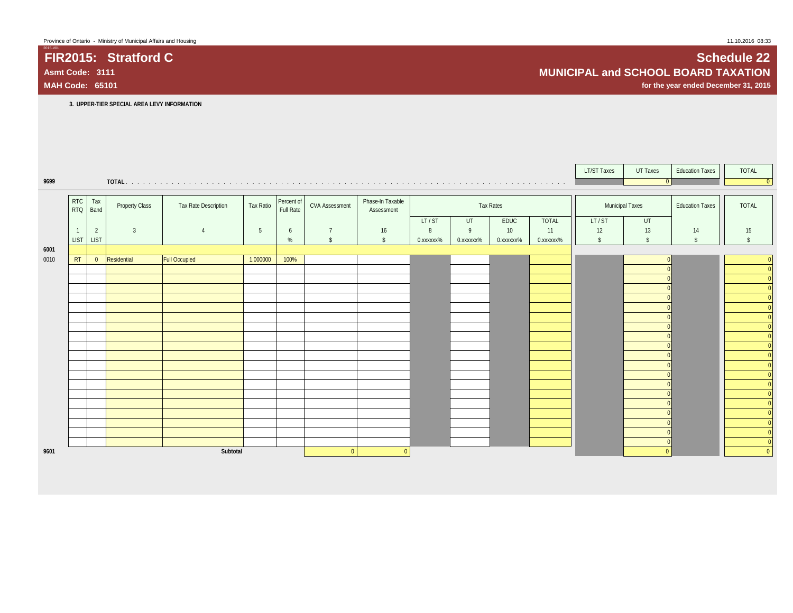**FIR2015: Stratford C Schedule 22**

2015-V01

|      |                                             |                |                |                      |           |                         |                       |                                |           |           |           |              | LT/ST Taxes   | UT Taxes           | <b>Education Taxes</b> | <b>TOTAL</b>                     |
|------|---------------------------------------------|----------------|----------------|----------------------|-----------|-------------------------|-----------------------|--------------------------------|-----------|-----------|-----------|--------------|---------------|--------------------|------------------------|----------------------------------|
| 9699 |                                             |                |                |                      |           |                         |                       |                                |           |           |           |              |               | $\overline{0}$     |                        | $\overline{0}$                   |
|      |                                             |                |                |                      |           |                         |                       |                                |           |           |           |              |               |                    |                        |                                  |
|      | $\begin{array}{c}\nRTC \\ RTQ\n\end{array}$ | Tax<br>Band    | Property Class | Tax Rate Description | Tax Ratio | Percent of<br>Full Rate | <b>CVA Assessment</b> | Phase-In Taxable<br>Assessment |           |           | Tax Rates |              |               | Municipal Taxes    | <b>Education Taxes</b> | <b>TOTAL</b>                     |
|      |                                             |                |                |                      |           |                         |                       |                                | LT/ST     | UT        | EDUC      | <b>TOTAL</b> | LT/ST         | UT                 |                        |                                  |
|      |                                             | $\overline{2}$ | $\overline{3}$ | $\overline{4}$       | 5         | 6                       | $\overline{7}$        | 16                             | 8         | 9         | 10        | 11           | 12            | 13                 | 14                     | 15                               |
|      | <b>LIST</b>                                 | <b>LIST</b>    |                |                      |           | %                       | $\hat{S}$             | $\mathbb{S}$                   | 0.xxxxxx% | 0.xxxxxx% | 0.xxxxxx% | 0.xxxxxx%    | $\mathsf{\$}$ | $\mathbf{\hat{s}}$ | $\mathbb{S}$           |                                  |
| 6001 |                                             |                |                |                      |           |                         |                       |                                |           |           |           |              |               |                    |                        |                                  |
| 0010 | RT                                          | $\overline{0}$ | Residential    | <b>Full Occupied</b> | 1.000000  | 100%                    |                       |                                |           |           |           |              |               |                    |                        | $\overline{0}$                   |
|      |                                             |                |                |                      |           |                         |                       |                                |           |           |           |              |               |                    |                        | $\overline{0}$                   |
|      |                                             |                |                |                      |           |                         |                       |                                |           |           |           |              |               |                    |                        | $\overline{0}$                   |
|      |                                             |                |                |                      |           |                         |                       |                                |           |           |           |              |               |                    |                        | $\overline{0}$                   |
|      |                                             |                |                |                      |           |                         |                       |                                |           |           |           |              |               |                    |                        | $\overline{0}$<br>$\overline{0}$ |
|      |                                             |                |                |                      |           |                         |                       |                                |           |           |           |              |               |                    |                        | $\mathbf{0}$                     |
|      |                                             |                |                |                      |           |                         |                       |                                |           |           |           |              |               |                    |                        | $\overline{0}$                   |
|      |                                             |                |                |                      |           |                         |                       |                                |           |           |           |              |               |                    |                        | $\overline{0}$                   |
|      |                                             |                |                |                      |           |                         |                       |                                |           |           |           |              |               |                    |                        | $\overline{0}$                   |
|      |                                             |                |                |                      |           |                         |                       |                                |           |           |           |              |               |                    |                        | $\overline{0}$                   |
|      |                                             |                |                |                      |           |                         |                       |                                |           |           |           |              |               |                    |                        | $\overline{0}$                   |
|      |                                             |                |                |                      |           |                         |                       |                                |           |           |           |              |               |                    |                        | $\overline{0}$                   |
|      |                                             |                |                |                      |           |                         |                       |                                |           |           |           |              |               |                    |                        | $\overline{0}$                   |
|      |                                             |                |                |                      |           |                         |                       |                                |           |           |           |              |               |                    |                        | $\overline{0}$                   |
|      |                                             |                |                |                      |           |                         |                       |                                |           |           |           |              |               |                    |                        | $\mathbf{0}$                     |
|      |                                             |                |                |                      |           |                         |                       |                                |           |           |           |              |               |                    |                        | $\overline{0}$                   |
|      |                                             |                |                |                      |           |                         |                       |                                |           |           |           |              |               |                    |                        | $\Omega$                         |
|      |                                             |                |                |                      |           |                         |                       |                                |           |           |           |              |               |                    |                        | $\overline{0}$                   |
|      |                                             |                |                |                      |           |                         |                       |                                |           |           |           |              |               |                    |                        | $\overline{0}$                   |
| 9601 |                                             |                |                | Subtotal             |           |                         | $\overline{0}$        | $\overline{0}$                 |           |           |           |              |               | $\overline{0}$     |                        | $\overline{0}$                   |

**Asmt Code: 3111 MUNICIPAL and SCHOOL BOARD TAXATION**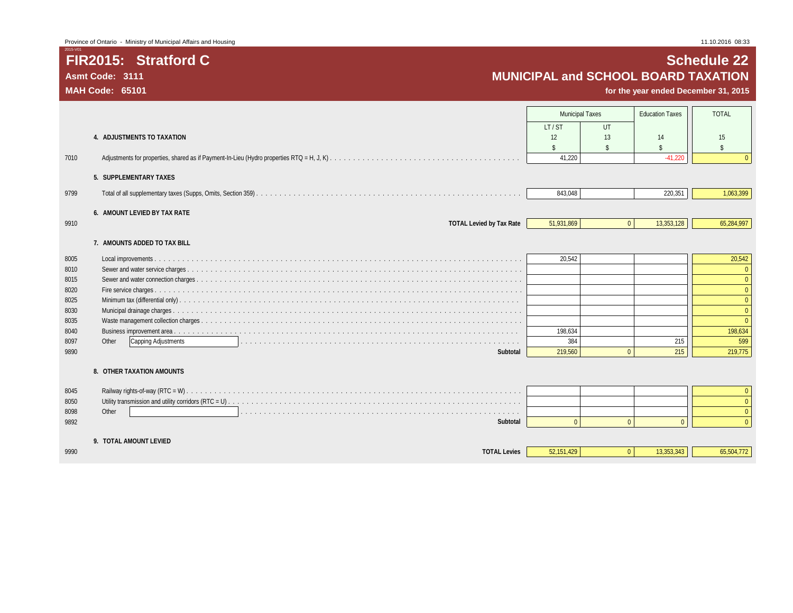## **FIR2015: Stratford C Schedule 22 Asmt Code: 3111 MUNICIPAL and SCHOOL BOARD TAXATION**

|      |                                 | <b>Municipal Taxes</b> |          | <b>Education Taxes</b> | <b>TOTAL</b>       |
|------|---------------------------------|------------------------|----------|------------------------|--------------------|
|      |                                 | LT/ST                  | $U$ T    |                        |                    |
|      | 4. ADJUSTMENTS TO TAXATION      | 12                     | 13       | 14                     | 15                 |
|      |                                 | $\mathbf{\hat{S}}$     | \$       | $\mathbf{\hat{S}}$     | $\mathbf{\hat{S}}$ |
| 7010 |                                 | 41,220                 |          | $-41,220$              |                    |
|      | 5. SUPPLEMENTARY TAXES          |                        |          |                        |                    |
| 9799 |                                 | 843,048                |          | 220,351                | 1,063,399          |
|      | 6. AMOUNT LEVIED BY TAX RATE    |                        |          |                        |                    |
| 9910 | <b>TOTAL Levied by Tax Rate</b> | 51,931,869             | $\Omega$ | 13,353,128             | 65,284,997         |
|      | 7. AMOUNTS ADDED TO TAX BILL    |                        |          |                        |                    |
| 8005 |                                 | 20,542                 |          |                        | 20,542             |
| 8010 |                                 |                        |          |                        | $\Omega$           |
| 8015 |                                 |                        |          |                        | $\Omega$           |
| 8020 |                                 |                        |          |                        | $\Omega$           |
| 8025 |                                 |                        |          |                        |                    |
| 8030 |                                 |                        |          |                        | $\Omega$           |
| 8035 |                                 |                        |          |                        | $\Omega$           |
| 8040 |                                 | 198.634                |          |                        | 198,634            |
| 8097 | Other<br>Capping Adjustments    | 384                    |          | 215                    | 599                |
| 9890 | Subtotal                        | 219,560                | $\Omega$ | 215                    | 219,775            |
|      | 8. OTHER TAXATION AMOUNTS       |                        |          |                        |                    |
| 8045 |                                 |                        |          |                        | $\Omega$           |
| 8050 |                                 |                        |          |                        | $\Omega$           |
| 8098 | Other                           |                        |          |                        | $\Omega$           |
| 9892 | Subtotal                        | $\Omega$               | $\Omega$ |                        | $\Omega$           |
|      | 9. TOTAL AMOUNT LEVIED          |                        |          |                        |                    |
| 9990 | <b>TOTAL Levies</b>             | 52,151,429             | $\Omega$ | 13,353,343             | 65,504,772         |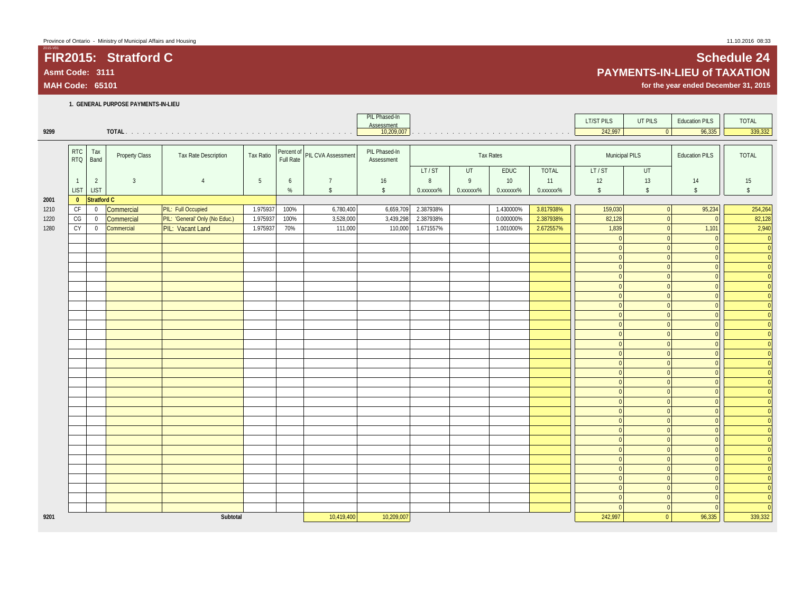### **1. GENERAL PURPOSE PAYMENTS-IN-LIEU**

| 9299 |                   |                |                       |                                |           |      |                               | PIL Phased-In<br>Assessment<br>10,209,007 |           |                        |                  |                        | <b>LT/ST PILS</b><br>242,997 | UT PILS<br>$\boxed{0}$ | <b>Education PILS</b><br>96,335 | <b>TOTAL</b><br>339,332 |
|------|-------------------|----------------|-----------------------|--------------------------------|-----------|------|-------------------------------|-------------------------------------------|-----------|------------------------|------------------|------------------------|------------------------------|------------------------|---------------------------------|-------------------------|
|      |                   |                |                       |                                |           |      |                               |                                           |           |                        |                  |                        |                              |                        |                                 |                         |
|      | RTC<br><b>RTQ</b> | Tax<br>Band    | <b>Property Class</b> | Tax Rate Description           | Tax Ratio |      | Percent of PIL CVA Assessment | PIL Phased-In<br>Assessment               |           |                        | <b>Tax Rates</b> |                        | Municipal PILS               |                        | <b>Education PILS</b>           | <b>TOTAL</b>            |
|      |                   |                |                       |                                |           |      |                               |                                           | LT/ST     | UT                     | EDUC             | <b>TOTAL</b>           | LT/ST                        | UT                     |                                 |                         |
|      | $\overline{1}$    | $\overline{2}$ | $\overline{3}$        | $\overline{4}$                 | 5         | 6    | $\overline{7}$                | 16                                        | 8         | 9                      | 10 <sup>°</sup>  | 11                     | 12                           | 13                     | 14                              | 15                      |
|      | <b>LIST</b>       | <b>LIST</b>    |                       |                                |           | %    | $\mathbb{S}$                  | $\sqrt[6]{}$                              | 0.xxxxxx% | 0. XXXXXX <sup>%</sup> | 0.xxxxxx%        | 0. XXXXXX <sup>%</sup> | $\mathbb{S}$                 | $\sqrt[6]{}$           | $\sqrt[6]{\frac{1}{2}}$         | $\sqrt[6]{}$            |
| 2001 | $\overline{0}$    | Stratford C    |                       |                                |           |      |                               |                                           |           |                        |                  |                        |                              |                        |                                 |                         |
| 1210 | CF                | $\overline{0}$ | Commercial            | PIL: Full Occupied             | 1.975937  | 100% | 6,780,400                     | 6,659,709                                 | 2.387938% |                        | 1.430000%        | 3.817938%              | 159,030                      | $\Omega$               | 95,234                          | 254,264                 |
| 1220 | CG                | $\mathbf 0$    | Commercial            | PIL: 'General' Only (No Educ.) | 1.975937  | 100% | 3,528,000                     | 3,439,298                                 | 2.387938% |                        | 0.000000%        | 2.387938%              | 82,128                       | $\overline{0}$         | $\Omega$                        | 82,128                  |
| 1280 | <b>CY</b>         | $\overline{0}$ | Commercial            | PIL: Vacant Land               | 1.975937  | 70%  | 111,000                       | 110,000                                   | 1.671557% |                        | 1.001000%        | 2.672557%              | 1,839                        | $\overline{0}$         | 1,101                           | 2,940                   |
|      |                   |                |                       |                                |           |      |                               |                                           |           |                        |                  |                        | $\overline{0}$               | $\Omega$               | $\Omega$                        | $\overline{0}$          |
|      |                   |                |                       |                                |           |      |                               |                                           |           |                        |                  |                        | $\overline{0}$               | $\Omega$               | $\Omega$                        | $\overline{0}$          |
|      |                   |                |                       |                                |           |      |                               |                                           |           |                        |                  |                        | $\overline{0}$               | $\Omega$               | $\Omega$                        | $\overline{0}$          |
|      |                   |                |                       |                                |           |      |                               |                                           |           |                        |                  |                        | $\overline{0}$               | $\overline{0}$         | $\Omega$                        | 0                       |
|      |                   |                |                       |                                |           |      |                               |                                           |           |                        |                  |                        | $\overline{0}$               | $\overline{0}$         | $\Omega$                        | $\overline{0}$          |
|      |                   |                |                       |                                |           |      |                               |                                           |           |                        |                  |                        | $\overline{0}$               | $\overline{0}$         | $\Omega$                        | $\overline{0}$          |
|      |                   |                |                       |                                |           |      |                               |                                           |           |                        |                  |                        | $\overline{0}$               | $\Omega$               | $\Omega$                        | $\overline{0}$          |
|      |                   |                |                       |                                |           |      |                               |                                           |           |                        |                  |                        | $\overline{0}$               | $\overline{0}$         | $\Omega$                        | $\overline{0}$          |
|      |                   |                |                       |                                |           |      |                               |                                           |           |                        |                  |                        | $\overline{0}$               | $\Omega$               | $\Omega$                        | $\overline{0}$          |
|      |                   |                |                       |                                |           |      |                               |                                           |           |                        |                  |                        | $\overline{0}$               | $\Omega$               | $\Omega$                        | $\Omega$                |
|      |                   |                |                       |                                |           |      |                               |                                           |           |                        |                  |                        | $\overline{0}$               | $\Omega$               | $\Omega$                        | $\overline{0}$          |
|      |                   |                |                       |                                |           |      |                               |                                           |           |                        |                  |                        | $\overline{0}$               | $\overline{0}$         | $\Omega$                        | $\overline{0}$          |
|      |                   |                |                       |                                |           |      |                               |                                           |           |                        |                  |                        | $\overline{0}$               | $\Omega$               | $\Omega$                        | $\overline{0}$          |
|      |                   |                |                       |                                |           |      |                               |                                           |           |                        |                  |                        | $\overline{0}$               | $\Omega$               | $\Omega$                        | $\overline{0}$          |
|      |                   |                |                       |                                |           |      |                               |                                           |           |                        |                  |                        | $\overline{0}$               | $\overline{0}$         | $\Omega$                        | $\Omega$                |
|      |                   |                |                       |                                |           |      |                               |                                           |           |                        |                  |                        | $\overline{0}$               | $\overline{0}$         | $\Omega$                        | $\Omega$                |
|      |                   |                |                       |                                |           |      |                               |                                           |           |                        |                  |                        | $\overline{0}$               | $\Omega$               | $\Omega$                        |                         |
|      |                   |                |                       |                                |           |      |                               |                                           |           |                        |                  |                        | $\overline{0}$               | $\overline{0}$         | $\Omega$                        | $\Omega$                |
|      |                   |                |                       |                                |           |      |                               |                                           |           |                        |                  |                        | $\overline{0}$               | $\Omega$               | $\Omega$                        |                         |
|      |                   |                |                       |                                |           |      |                               |                                           |           |                        |                  |                        |                              |                        |                                 |                         |
|      |                   |                |                       |                                |           |      |                               |                                           |           |                        |                  |                        | $\overline{0}$               | $\overline{0}$         | $\Omega$                        | $\Omega$                |
|      |                   |                |                       |                                |           |      |                               |                                           |           |                        |                  |                        | $\overline{0}$               | $\Omega$               | $\Omega$                        |                         |
|      |                   |                |                       |                                |           |      |                               |                                           |           |                        |                  |                        | $\overline{0}$               | $\Omega$               | $\Omega$                        |                         |
|      |                   |                |                       |                                |           |      |                               |                                           |           |                        |                  |                        | $\overline{0}$               | $\Omega$               | $\Omega$                        |                         |
|      |                   |                |                       |                                |           |      |                               |                                           |           |                        |                  |                        | $\overline{0}$               | $\overline{0}$         | $\Omega$                        |                         |
|      |                   |                |                       |                                |           |      |                               |                                           |           |                        |                  |                        | $\overline{0}$               | $\Omega$               | $\Omega$                        |                         |
|      |                   |                |                       |                                |           |      |                               |                                           |           |                        |                  |                        | $\overline{0}$               | $\Omega$               | $\Omega$                        | $\Omega$                |
|      |                   |                |                       |                                |           |      |                               |                                           |           |                        |                  |                        | $\overline{0}$               | $\overline{0}$         | $\Omega$                        | $\Omega$                |
|      |                   |                |                       |                                |           |      |                               |                                           |           |                        |                  |                        | $\overline{0}$               | $\Omega$               | $\Omega$                        | $\Omega$                |
|      |                   |                |                       |                                |           |      |                               |                                           |           |                        |                  |                        | $\Omega$                     | $\Omega$               |                                 |                         |
| 9201 |                   |                |                       | Subtotal                       |           |      | 10,419,400                    | 10,209,007                                |           |                        |                  |                        | 242,997                      | $\overline{0}$         | 96,335                          | 339,332                 |

## **FIR2015: Stratford C Schedule 24 Asmt Code: 3111 PAYMENTS-IN-LIEU of TAXATION**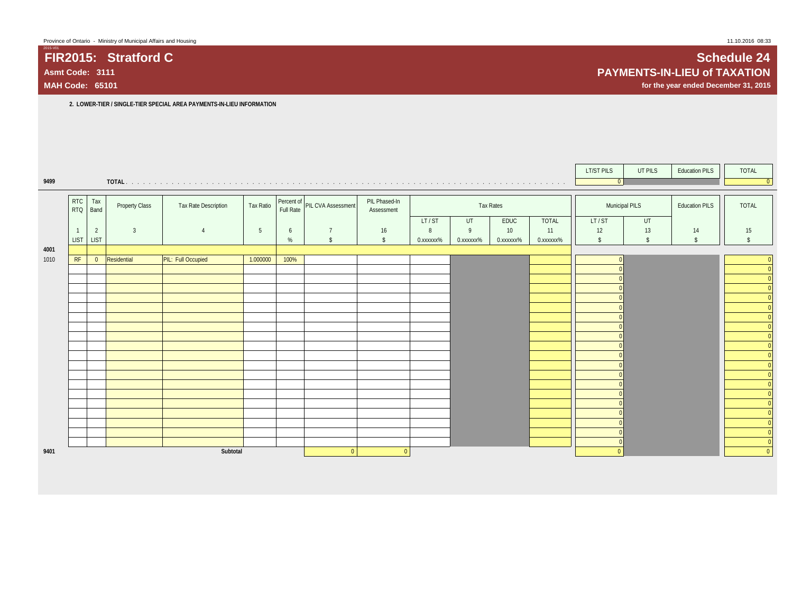**2. LOWER-TIER / SINGLE-TIER SPECIAL AREA PAYMENTS-IN-LIEU INFORMATION**

|      |                          |                |                |                      |           |      |                               |                             |           |           |           |           | LT/ST PILS         | UT PILS       | <b>Education PILS</b> | TOTAL                          |
|------|--------------------------|----------------|----------------|----------------------|-----------|------|-------------------------------|-----------------------------|-----------|-----------|-----------|-----------|--------------------|---------------|-----------------------|--------------------------------|
| 9499 |                          |                |                |                      |           |      |                               |                             |           |           |           |           | 0                  |               |                       | $\overline{0}$                 |
|      | <b>RTC</b><br><b>RTQ</b> | Tax<br>Band    | Property Class | Tax Rate Description | Tax Ratio |      | Percent of PIL CVA Assessment | PIL Phased-In<br>Assessment |           |           | Tax Rates |           | Municipal PILS     |               | <b>Education PILS</b> | TOTAL                          |
|      |                          |                |                |                      |           |      |                               |                             | LT/ST     | UT        | EDUC      | TOTAL     | LT/ST              | UT            |                       |                                |
|      |                          | $\overline{2}$ | $\mathbf{3}$   | $\overline{4}$       | 5         | 6    | $\overline{7}$                | 16                          | 8         | 9         | 10        | 11        | 12                 | 13            | 14                    | 15                             |
|      | LIST LIST                |                |                |                      |           | %    | $\mathsf{\$}$                 | $\mathsf{\$}$               | 0.xxxxxx% | 0.xxxxxx% | 0.xxxxxx% | 0.xxxxxx% | $\mathbf{\hat{s}}$ | $\mathsf{\$}$ | $\mathsf{\$}$         | $\hat{\mathbf{S}}$             |
| 4001 |                          |                |                |                      |           |      |                               |                             |           |           |           |           |                    |               |                       |                                |
| 1010 | RF                       | $\overline{0}$ | Residential    | PIL: Full Occupied   | 1.000000  | 100% |                               |                             |           |           |           |           |                    |               |                       | $\mathbf{0}$                   |
|      |                          |                |                |                      |           |      |                               |                             |           |           |           |           |                    |               |                       | $\mathbf{0}$<br>$\overline{0}$ |
|      |                          |                |                |                      |           |      |                               |                             |           |           |           |           |                    |               |                       | $\mathbf{0}$                   |
|      |                          |                |                |                      |           |      |                               |                             |           |           |           |           |                    |               |                       | $\overline{0}$                 |
|      |                          |                |                |                      |           |      |                               |                             |           |           |           |           |                    |               |                       | $\mathbf{0}$                   |
|      |                          |                |                |                      |           |      |                               |                             |           |           |           |           |                    |               |                       | $\mathbf{0}$                   |
|      |                          |                |                |                      |           |      |                               |                             |           |           |           |           |                    |               |                       | $\mathbf{0}$                   |
|      |                          |                |                |                      |           |      |                               |                             |           |           |           |           |                    |               |                       | $\mathbf{0}$                   |
|      |                          |                |                |                      |           |      |                               |                             |           |           |           |           |                    |               |                       | $\overline{0}$                 |
|      |                          |                |                |                      |           |      |                               |                             |           |           |           |           |                    |               |                       | $\mathbf{0}$                   |
|      |                          |                |                |                      |           |      |                               |                             |           |           |           |           |                    |               |                       | $\mathbf{0}$                   |
|      |                          |                |                |                      |           |      |                               |                             |           |           |           |           |                    |               |                       | $\mathbf{0}$                   |
|      |                          |                |                |                      |           |      |                               |                             |           |           |           |           |                    |               |                       | $\mathbf{0}$                   |
|      |                          |                |                |                      |           |      |                               |                             |           |           |           |           |                    |               |                       | $\mathbf{0}$                   |
|      |                          |                |                |                      |           |      |                               |                             |           |           |           |           |                    |               |                       | $\mathbf{0}$                   |
|      |                          |                |                |                      |           |      |                               |                             |           |           |           |           |                    |               |                       | $\mathbf{0}$<br>$\mathbf{0}$   |
|      |                          |                |                |                      |           |      |                               |                             |           |           |           |           |                    |               |                       | $\overline{0}$                 |
|      |                          |                |                |                      |           |      |                               |                             |           |           |           |           |                    |               |                       | $\mathbf{0}$                   |
| 9401 |                          |                |                | Subtotal             |           |      | $\overline{0}$                | $\overline{0}$              |           |           |           |           |                    |               |                       | $\overline{0}$                 |

## **FIR2015: Stratford C Schedule 24 Asmt Code: 3111 PAYMENTS-IN-LIEU of TAXATION**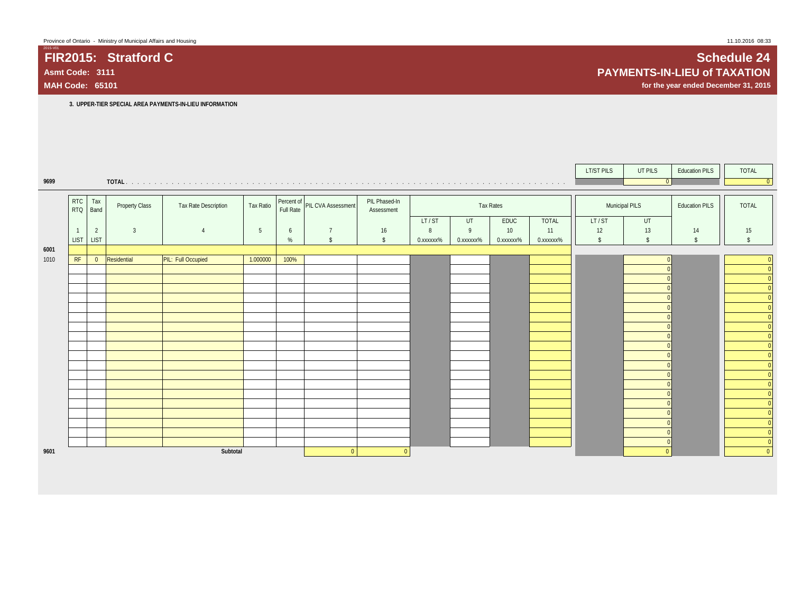|      |                          |                |                       |                      |           |           |                               |                             |           |           |                 |           | LT/ST PILS    | UT PILS            | <b>Education PILS</b> | TOTAL              |
|------|--------------------------|----------------|-----------------------|----------------------|-----------|-----------|-------------------------------|-----------------------------|-----------|-----------|-----------------|-----------|---------------|--------------------|-----------------------|--------------------|
| 9699 |                          |                | TOTAL.                |                      |           |           |                               |                             |           |           |                 |           |               | 0                  |                       | $\Omega$           |
|      |                          |                |                       |                      |           |           |                               |                             |           |           |                 |           |               |                    |                       |                    |
|      | <b>RTC</b><br><b>RTQ</b> | Tax<br>Band    | <b>Property Class</b> | Tax Rate Description | Tax Ratio | Full Rate | Percent of PIL CVA Assessment | PIL Phased-In<br>Assessment |           |           | Tax Rates       |           |               | Municipal PILS     | <b>Education PILS</b> | <b>TOTAL</b>       |
|      |                          |                |                       |                      |           |           |                               |                             | LT/ST     | UT        | EDUC            | TOTAL     | LT/ST         | UT                 |                       |                    |
|      |                          | $\overline{2}$ | $\overline{3}$        |                      | 5         | 6         | 7                             | 16                          | 8         | 9         | 10 <sup>°</sup> | 11        | 12            | 13                 | 14                    | 15                 |
|      | <b>LIST</b>              | <b>LIST</b>    |                       |                      |           | %         | $\mathsf{s}$                  | $\mathsf{\$}$               | 0.xxxxxx% | 0.xxxxxx% | 0.xxxxxx%       | 0.xxxxxx% | $\mathsf{\$}$ | $\mathbf{\hat{S}}$ | $\mathcal{S}$         | $\mathbf{\hat{S}}$ |
| 6001 |                          |                |                       |                      |           |           |                               |                             |           |           |                 |           |               |                    |                       |                    |
| 1010 | RF                       | $\overline{0}$ | Residential           | PIL: Full Occupied   | 1.000000  | 100%      |                               |                             |           |           |                 |           |               |                    |                       |                    |
|      |                          |                |                       |                      |           |           |                               |                             |           |           |                 |           |               |                    |                       | $\overline{0}$     |
|      |                          |                |                       |                      |           |           |                               |                             |           |           |                 |           |               |                    |                       | $\overline{0}$     |
|      |                          |                |                       |                      |           |           |                               |                             |           |           |                 |           |               |                    |                       | $\overline{0}$     |
|      |                          |                |                       |                      |           |           |                               |                             |           |           |                 |           |               |                    |                       | $\overline{0}$     |
|      |                          |                |                       |                      |           |           |                               |                             |           |           |                 |           |               |                    |                       | $\overline{0}$     |
|      |                          |                |                       |                      |           |           |                               |                             |           |           |                 |           |               |                    |                       |                    |
|      |                          |                |                       |                      |           |           |                               |                             |           |           |                 |           |               |                    |                       | $\mathbf{0}$       |
|      |                          |                |                       |                      |           |           |                               |                             |           |           |                 |           |               |                    |                       | $\overline{0}$     |
|      |                          |                |                       |                      |           |           |                               |                             |           |           |                 |           |               |                    |                       | $\overline{0}$     |
|      |                          |                |                       |                      |           |           |                               |                             |           |           |                 |           |               |                    |                       | $\overline{0}$     |
|      |                          |                |                       |                      |           |           |                               |                             |           |           |                 |           |               |                    |                       | $\overline{0}$     |
|      |                          |                |                       |                      |           |           |                               |                             |           |           |                 |           |               |                    |                       | $\overline{0}$     |
|      |                          |                |                       |                      |           |           |                               |                             |           |           |                 |           |               |                    |                       | $\overline{0}$     |
|      |                          |                |                       |                      |           |           |                               |                             |           |           |                 |           |               |                    |                       | 0                  |
|      |                          |                |                       |                      |           |           |                               |                             |           |           |                 |           |               |                    |                       |                    |
|      |                          |                |                       |                      |           |           |                               |                             |           |           |                 |           |               |                    |                       | $\mathbf{0}$       |
|      |                          |                |                       |                      |           |           |                               |                             |           |           |                 |           |               |                    |                       |                    |
|      |                          |                |                       |                      |           |           |                               |                             |           |           |                 |           |               |                    |                       | $\mathbf{0}$       |
|      |                          |                |                       |                      |           |           |                               |                             |           |           |                 |           |               |                    |                       | $\overline{0}$     |
| 9601 |                          |                |                       | Subtotal             |           |           | $\overline{0}$                | $\overline{0}$              |           |           |                 |           |               | $\Omega$           |                       | $\mathbf{0}$       |

**FIR2015: Stratford C Schedule 24 Asmt Code: 3111 PAYMENTS-IN-LIEU of TAXATION**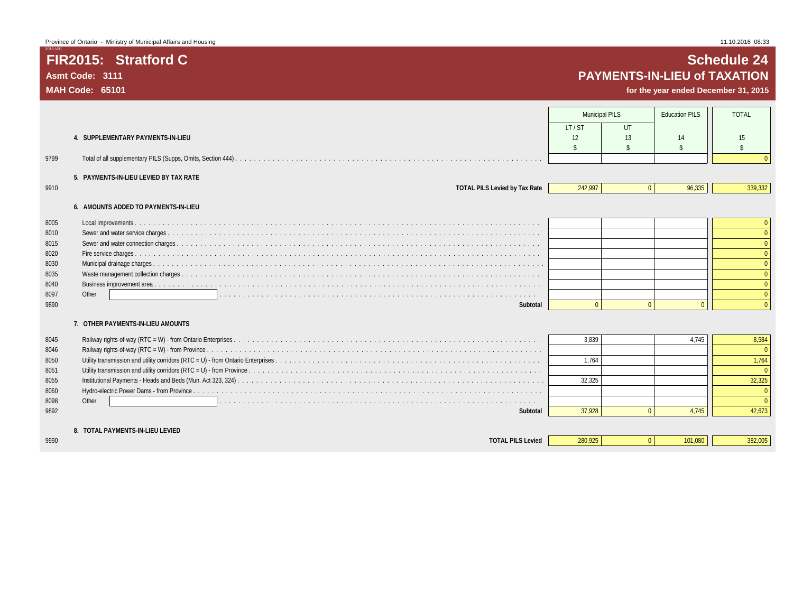## **FIR2015: Stratford C Schedule 24 Asmt Code: 3111 PAYMENTS-IN-LIEU of TAXATION**

|      |                                                                                                                        | <b>Municipal PILS</b> |                | <b>Education PILS</b> | <b>TOTAL</b>       |
|------|------------------------------------------------------------------------------------------------------------------------|-----------------------|----------------|-----------------------|--------------------|
|      |                                                                                                                        | IT/ST                 | UT             |                       |                    |
|      | 4. SUPPLEMENTARY PAYMENTS-IN-LIEU                                                                                      | 12                    | 13             | 14                    | 15                 |
|      |                                                                                                                        |                       |                | -S                    | $\mathbf{\hat{S}}$ |
| 9799 |                                                                                                                        |                       |                |                       |                    |
|      | 5. PAYMENTS-IN-LIEU LEVIED BY TAX RATE                                                                                 |                       |                |                       |                    |
| 9910 | <b>TOTAL PILS Levied by Tax Rate</b>                                                                                   | 242.997               | $\overline{0}$ | 96,335                | 339,332            |
|      | 6. AMOUNTS ADDED TO PAYMENTS-IN-LIEU                                                                                   |                       |                |                       |                    |
| 8005 |                                                                                                                        |                       |                |                       |                    |
| 8010 |                                                                                                                        |                       |                |                       | $\Omega$           |
| 8015 |                                                                                                                        |                       |                |                       |                    |
| 8020 |                                                                                                                        |                       |                |                       |                    |
| 8030 |                                                                                                                        |                       |                |                       |                    |
| 8035 |                                                                                                                        |                       |                |                       |                    |
| 8040 |                                                                                                                        |                       |                |                       | $\Omega$           |
| 8097 | Other<br>a constitution de la constitution de la constitution de la constitution de la constitution de la constitution |                       |                |                       | $\Omega$           |
| 9890 | Subtotal                                                                                                               | $\Omega$              | $\Omega$       | $\Omega$              | $\Omega$           |
|      | 7. OTHER PAYMENTS-IN-LIEU AMOUNTS                                                                                      |                       |                |                       |                    |
| 8045 |                                                                                                                        | 3.839                 |                | 4.745                 | 8,584              |
| 8046 |                                                                                                                        |                       |                |                       |                    |
| 8050 |                                                                                                                        | 1.764                 |                |                       | 1,764              |
| 8051 |                                                                                                                        |                       |                |                       |                    |
| 8055 |                                                                                                                        | 32.325                |                |                       | 32,325             |
| 8060 |                                                                                                                        |                       |                |                       |                    |
| 8098 | Other                                                                                                                  |                       |                |                       |                    |
| 9892 | Subtotal                                                                                                               | 37,928                | $\Omega$       | 4,745                 | 42,673             |
|      | 8. TOTAL PAYMENTS-IN-LIEU LEVIED                                                                                       |                       |                |                       |                    |
| 9990 | <b>TOTAL PILS Levied</b>                                                                                               | 280.925               | $\Omega$       | 101.080               | 382,005            |
|      |                                                                                                                        |                       |                |                       |                    |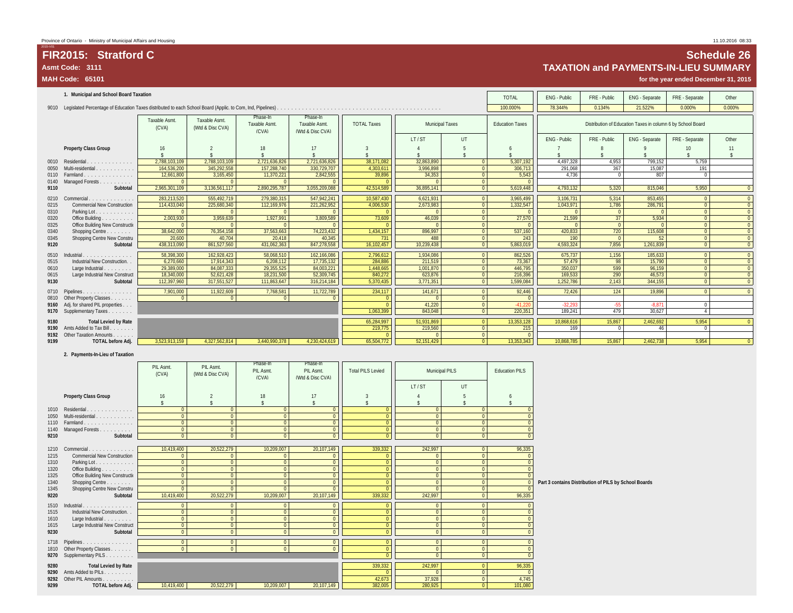## **FIR2015: Stratford C Schedule 26** Asmt Code: 3111<br>MAH Code: 65101 **TAXATION and PAYMENTS-IN-LIEU SUMMARY**<br>MAH Code: 65101 **for the year ended December 31, 2015**

**MAH Code: 65101 for the year ended December 31, 2015**

|      | 1. Municipal and School Board Taxation |                        |                                   |                                   |                                                     | <b>TOTAL</b>       | ENG - Public           | FRE - Public   | ENG - Separate         | FRE - Separate | Other        |                                                             |                |                          |
|------|----------------------------------------|------------------------|-----------------------------------|-----------------------------------|-----------------------------------------------------|--------------------|------------------------|----------------|------------------------|----------------|--------------|-------------------------------------------------------------|----------------|--------------------------|
|      |                                        |                        |                                   |                                   |                                                     |                    |                        |                | 100.000%               | 78.344%        | 0.134%       | 21.522%                                                     | 0.000%         | 0.000%                   |
|      |                                        | Taxable Asmt.<br>(CVA) | Taxable Asmt.<br>(Wtd & Disc CVA) | Phase-In<br>Taxable Asmt<br>(CVA) | Phase-In<br><b>Taxable Asmt</b><br>(Wtd & Disc CVA) | <b>TOTAL Taxes</b> | <b>Municipal Taxes</b> |                | <b>Education Taxes</b> |                |              | Distribution of Education Taxes in column 6 by School Board |                |                          |
|      |                                        |                        |                                   |                                   |                                                     |                    | LT/ST                  | <b>UT</b>      |                        | ENG - Public   | FRE - Public | ENG - Separate                                              | FRE - Separate | Other                    |
|      | <b>Property Class Group</b>            | 16                     |                                   | 18<br>$\hat{\mathbf{x}}$          | 17                                                  |                    |                        |                |                        |                |              |                                                             | 10             | 11<br>$\hat{\mathbf{s}}$ |
|      | 0010 Residential.<br>.                 | 2,788,103,109          | 2,788,103,109                     | 2,721,636,826                     | 2,721,636,826                                       | 38,171,082         | 32,863,890             | $\Omega$       | 5,307,192              | 4,497,328      | 4,953        | 799,152                                                     | 5,759          |                          |
| 0050 | Multi-residential                      | 164,536,200            | 345,292,558                       | 157.288.740                       | 330,729,707                                         | 4,303,611          | 3,996,898              | $\Omega$       | 306.713                | 291.068        | 367          | 15.087                                                      | 191            |                          |
|      | 0110 Farmland<br>.                     | 12,661,800             | 3,165,450                         | 11,370,221                        | 2,842,555                                           | 39,896             | 34,353                 | $\Omega$       | 5.543                  | 4.736          |              | 807                                                         | $\Omega$       |                          |
| 0140 | Managed Forests                        |                        |                                   | $\sqrt{ }$                        |                                                     |                    | $\Omega$               | $\overline{0}$ | $\Omega$               |                |              |                                                             |                |                          |
| 9110 | Subtotal                               | 2.965.301.109          | 3,136,561,117                     | 2,890,295,787                     | 3,055,209,088                                       | 42,514,589         | 36,895,141             | $\Omega$       | 5,619,448              | 4,793,132      | 5.320        | 815.046                                                     | 5.950          |                          |
| 0210 | Commercial.<br>and a straightful and a | 283,213,520            | 555,492,719                       | 279,380,315                       | 547,942,241                                         | 10,587,430         | 6,621,931              | $\Omega$       | 3,965,499              | 3,106,731      | 5,314        | 853,455                                                     | $\Omega$       |                          |
| 0215 | <b>Commercial New Construction</b>     | 114,433,040            | 225,680,340                       | 112,169,976                       | 221,262,952                                         | 4,006,530          | 2,673,983              | $\Omega$       | 1,332,547              | 1,043,971      | 1,786        | 286,791                                                     | $\Omega$       |                          |
| 0310 | Parking Lot.                           |                        |                                   |                                   |                                                     |                    | $\Omega$               | $\Omega$       |                        |                |              |                                                             | $\overline{0}$ |                          |
| 0320 | Office Building                        | 2.003.930              | 3.959.639                         | 1.927.991                         | 3.809.589                                           | 73.609             | 46.039                 | $\Omega$       | 27.570                 | 21.599         | 37           | 5.934                                                       | $\Omega$       | $\Omega$                 |
| 0325 | Office Building New Constructi         |                        |                                   |                                   |                                                     |                    |                        | $\Omega$       |                        |                |              |                                                             | $\overline{0}$ | $\overline{0}$           |
| 0340 | Shopping Centre                        | 38,642,000             | 76,354,158                        | 37,563,663                        | 74,223,432                                          | 1,434,157          | 896,997                | $\overline{0}$ | 537,160                | 420.833        | 720          | 115,608                                                     | $\overline{0}$ | $\overline{0}$           |
| 0345 | Shopping Centre New Constru            | 20,600                 | 40.704                            | 20,418                            | 40.345                                              | 731                | 488                    | $\overline{0}$ | 243                    | 190            |              | 52                                                          | $\overline{0}$ | $\Omega$                 |
| 9120 | Subtotal                               | 438,313,090            | 861,527,560                       | 431,062,363                       | 847,278,558                                         | 16,102,457         | 10,239,438             | $\Omega$       | 5,863,019              | 4,593,324      | 7,856        | 1,261,839                                                   | $\overline{0}$ |                          |
| 0510 | Industrial.<br>.                       | 58.398.300             | 162.928.423                       | 58.068.510                        | 162,166,086                                         | 2,796,612          | 1,934,086              | $\overline{0}$ | 862.526                | 675,737        | 1,156        | 185.633                                                     | $\overline{0}$ |                          |
| 0515 | Industrial New Construction.           | 6,270,660              | 17.914.343                        | 6.208.112                         | 17,735,132                                          | 284,886            | 211.519                | $\Omega$       | 73.367                 | 57.479         | 98           | 15.790                                                      | $\overline{0}$ | $\Omega$                 |
| 0610 | Large Industrial.<br>and a state       | 29,389,000             | 84,087,333                        | 29,355,525                        | 84.003.221                                          | 1,448,665          | 1.001.870              | $\Omega$       | 446.795                | 350.037        | 599          | 96.159                                                      | $\Omega$       |                          |
| 0615 | Large Industrial New Construct         | 18,340,000             | 52,621,428                        | 18.231.500                        | 52,309,745                                          | 840,272            | 623,876                | $\overline{0}$ | 216,396                | 169.533        | 290          | 46.573                                                      | $\overline{0}$ |                          |
| 9130 | Subtotal                               | 112,397,960            | 317,551,527                       | 111,863,647                       | 316,214,184                                         | 5,370,435          | 3,771,351              | $\Omega$       | 1,599,084              | 1,252,786      | 2,143        | 344.155                                                     | $\overline{0}$ |                          |
|      | 0710 Pipelines                         | 7,901,000              | 11,922,609                        | 7,768,581                         | 11,722,789                                          | 234,117            | 141,671                | $\Omega$       | 92,446                 | 72,426         | 124          | 19,896                                                      | $\overline{0}$ |                          |
|      | 0810 Other Property Classes            | $\Omega$               | $\Omega$                          | $\Omega$                          |                                                     | ſ                  | $\Omega$               | $\Omega$       |                        |                |              |                                                             |                |                          |
|      | 9160 Adj. for shared PIL properties    |                        |                                   |                                   |                                                     | $\Omega$           | 41.220                 | $\overline{0}$ | $-41.220$              | $-32.293$      | $-55$        | $-8.871$                                                    | $\overline{0}$ |                          |
|      | 9170 Supplementary Taxes               |                        |                                   |                                   |                                                     | 1.063.399          | 843.048                | $\mathbf{0}$   | 220.351                | 189.241        | 479          | 30.627                                                      |                |                          |
| 9180 | <b>Total Levied by Rate</b>            |                        |                                   |                                   |                                                     | 65,284,997         | 51.931.869             | $\overline{0}$ | 13,353,128             | 10.868.616     | 15,867       | 2,462,692                                                   | 5,954          |                          |
|      | 9190 Amts Added to Tax Bill.<br>.      |                        |                                   |                                   |                                                     | 219,775            | 219,560                | $\overline{0}$ | 215                    | 169            |              | 46                                                          | $\Omega$       |                          |
|      | 9192 Other Taxation Amounts            |                        |                                   |                                   |                                                     |                    | $\Omega$               | $\Omega$       | $\Omega$               |                |              |                                                             |                |                          |
| 9199 | <b>TOTAL before Adj.</b>               | 3,523,913,159          | 4.327.562.814                     | 3.440.990.378                     | 4,230,424,619                                       | 65,504,772         | 52.151.429             | $\Omega$       | 13,353,343             | 10.868.785     | 15.867       | 2.462.738                                                   | 5.954          |                          |
|      |                                        |                        |                                   |                                   |                                                     |                    |                        |                |                        |                |              |                                                             |                |                          |

### **2. Payments-In-Lieu of Taxation**

|              |                                                                                                                                  | PIL Asmt.<br>(CVA)   | PIL Asmt.<br>(Wtd & Disc CVA)    | Phase-In<br>PIL Asmt.<br>(CVA) | Phase-In<br>PIL Asmt.<br>(Wtd & Disc CVA) | <b>Total PILS Levied</b>         | Municipal PILS<br>LT/ST |                          | <b>Education PILS</b> |                                                       |
|--------------|----------------------------------------------------------------------------------------------------------------------------------|----------------------|----------------------------------|--------------------------------|-------------------------------------------|----------------------------------|-------------------------|--------------------------|-----------------------|-------------------------------------------------------|
|              | <b>Property Class Group</b>                                                                                                      | 16                   |                                  | 18                             | 17                                        |                                  |                         | UT                       |                       |                                                       |
|              | 1010 Residential                                                                                                                 | $\hat{\mathbf{x}}$   | $\Omega$                         | $\hat{\mathbf{x}}$             |                                           | $\hat{\mathbf{x}}$               | $\Omega$                |                          |                       |                                                       |
| 1050         | .<br>Multi-residential.                                                                                                          |                      | $\Omega$                         | $\mathbf{0}$<br>$\Omega$       | $\mathbf{0}$<br>$\Omega$                  | $\overline{0}$<br>$\overline{0}$ | $\Omega$                | $\mathbf{0}$<br>$\Omega$ |                       |                                                       |
|              | 1110 Farmland.<br>.                                                                                                              | $\Omega$             | $\overline{0}$                   | $\Omega$                       | $\Omega$                                  | $\Omega$                         | $\Omega$                | $\Omega$                 |                       |                                                       |
| 1140         | Managed Forests                                                                                                                  | $\Omega$             | $\overline{0}$                   | $\mathbf{0}$                   | $\mathbf{0}$                              | $\overline{0}$                   | $\mathbf{0}$            | $\mathbf{0}$             | $\Omega$              |                                                       |
| 9210         | Subtotal                                                                                                                         | $\Omega$             | $\Omega$                         | $\Omega$                       | $\sqrt{ }$                                | $\Omega$                         | $\Omega$                | $\Omega$                 | $\sqrt{ }$            |                                                       |
|              |                                                                                                                                  |                      |                                  |                                |                                           |                                  |                         |                          |                       |                                                       |
| 1210         | Commercial.                                                                                                                      | 10,419,400           | 20,522,279                       | 10,209,007                     | 20,107,149                                | 339,332                          | 242,997                 | $\overline{0}$           | 96,335                |                                                       |
| 1215         | <b>Commercial New Construction</b>                                                                                               |                      | $\Omega$                         | $\Omega$                       | $\Omega$                                  | $\Omega$                         |                         | $\Omega$                 |                       |                                                       |
| 1310         | Parking Lot.                                                                                                                     | $\Omega$<br>$\Omega$ | $\Omega$                         | $\Omega$                       | $\Omega$                                  | $\overline{0}$                   | $\Omega$<br>$\Omega$    | $\Omega$                 |                       |                                                       |
| 1320<br>1325 | Office Building<br>Office Building New Constructi                                                                                | $\Omega$             | $\overline{0}$<br>$\overline{0}$ | $\mathbf{0}$<br>$\mathbf{0}$   | $\mathbf{0}$<br>$\Omega$                  | $\overline{0}$<br>$\overline{0}$ | $\mathbf{0}$            | $\Omega$<br>$\mathbf{0}$ |                       |                                                       |
| 1340         | Shopping Centre                                                                                                                  | $\Omega$             | $\Omega$                         | $\Omega$                       | $\Omega$                                  | $\overline{0}$                   |                         | $\Omega$                 | $\Omega$              | Part 3 contains Distribution of PILS by School Boards |
| 1345         | Shopping Centre New Constru                                                                                                      | $\Omega$             | $\Omega$                         | $\Omega$                       | $\Omega$                                  | $\sqrt{ }$                       | $\Omega$                | $\mathbf{0}$             |                       |                                                       |
| 9220         | Subtotal                                                                                                                         | 10,419,400           | 20,522,279                       | 10,209,007                     | 20,107,149                                | 339,332                          | 242,997                 | $\mathbf{0}$             | 96,335                |                                                       |
| 1510         | Industrial                                                                                                                       | $\Omega$             | $\overline{0}$                   | $\mathbf{0}$                   | $\Omega$                                  | $\Omega$                         | $\Omega$                | $\Omega$                 |                       |                                                       |
| 1515         | .<br>Industrial New Construction.                                                                                                | $\Omega$             | $\Omega$                         | $\mathbf{0}$                   | $\Omega$                                  | $\overline{0}$                   | $\Omega$                | $\mathbf{0}$             |                       |                                                       |
| 1610         | Large Industrial                                                                                                                 | $\Omega$             | $\Omega$                         | $\Omega$                       | $\sqrt{ }$                                | $\Omega$                         | $\Omega$                | $\Omega$                 |                       |                                                       |
| 1615         | Large Industrial New Construct                                                                                                   | $\Omega$             | $\overline{0}$                   | $\mathbf{0}$                   | $\overline{0}$                            | $\overline{0}$                   | $\Omega$                | $\overline{0}$           |                       |                                                       |
| 9230         | Subtotal                                                                                                                         | $\Omega$             | $\overline{0}$                   | $\Omega$                       | $\Omega$                                  | $\overline{0}$                   | $\Omega$                | $\overline{0}$           | $\Omega$              |                                                       |
| 1718         | Pipelines.                                                                                                                       | $\Omega$             | $\Omega$                         | $\mathbf{0}$                   | $\mathbf{0}$                              | $\overline{0}$                   | $\Omega$                | $\Omega$                 |                       |                                                       |
|              | $\begin{array}{cccccccccccccc} . & . & . & . & . & . & . & . & . & . & . & . & . & . \end{array}$<br>1810 Other Property Classes | $\Omega$             | $\Omega$                         | $\mathbf{0}$                   | $\Omega$                                  | $\overline{0}$                   | $\mathbf{0}$            | $\mathbf{0}$             | $\Omega$              |                                                       |
|              | 9270 Supplementary PILS                                                                                                          |                      |                                  |                                |                                           | $\Omega$                         | $\Omega$                | $\mathbf{0}$             | $\Omega$              |                                                       |
|              |                                                                                                                                  |                      |                                  |                                |                                           |                                  |                         |                          |                       |                                                       |
| 9280         | <b>Total Levied by Rate</b>                                                                                                      |                      |                                  |                                |                                           | 339,332                          | 242,997                 | $\overline{0}$           | 96,335                |                                                       |
| 9290         | Amts Added to PILs<br>9292 Other PIL Amounts                                                                                     |                      |                                  |                                |                                           | 42,673                           | 37,928                  | $\overline{0}$           | 4,745                 |                                                       |
| 9299         | TOTAL before Adj.                                                                                                                | 10,419,400           | 20,522,279                       | 10,209,007                     | 20,107,149                                | 382,005                          | 280.925                 | $\mathbf{0}$<br>$\Omega$ | 101,080               |                                                       |
|              |                                                                                                                                  |                      |                                  |                                |                                           |                                  |                         |                          |                       |                                                       |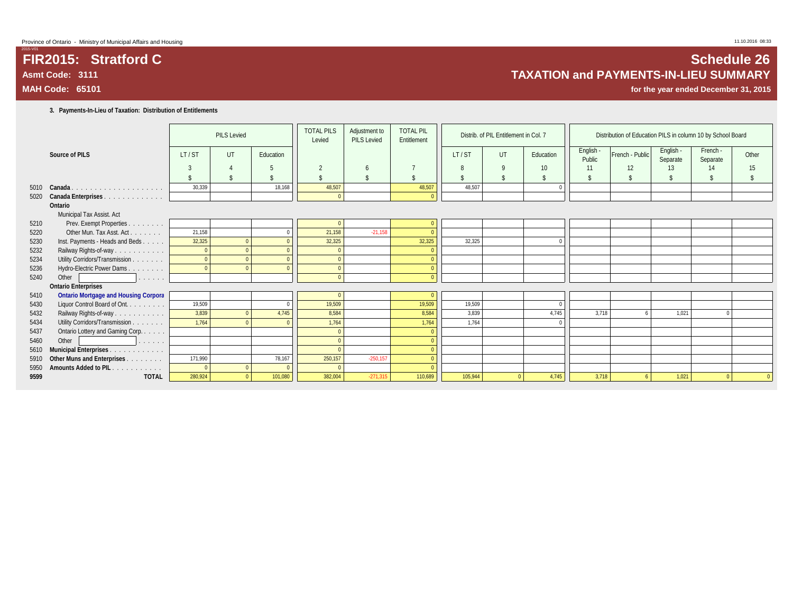### **3. Payments-In-Lieu of Taxation: Distribution of Entitlements**

|      |                                                |         | <b>PILS Levied</b> |           | <b>TOTAL PILS</b><br>Levied | Adjustment to<br><b>PILS Levied</b> | <b>TOTAL PIL</b><br>Entitlement |         | Distrib. of PIL Entitlement in Col. 7 |           |                     | Distribution of Education PILS in column 10 by School Board |                       |                      |       |
|------|------------------------------------------------|---------|--------------------|-----------|-----------------------------|-------------------------------------|---------------------------------|---------|---------------------------------------|-----------|---------------------|-------------------------------------------------------------|-----------------------|----------------------|-------|
|      | Source of PILS                                 | LT/ST   | UT                 | Education |                             |                                     |                                 | LT/ST   | UT                                    | Education | English -<br>Public | French - Public                                             | English -<br>Separate | French -<br>Separate | Other |
|      |                                                | 3       | $\Delta$           |           | $\overline{\phantom{a}}$    | h                                   |                                 | 8       | 9                                     | 10        | 11                  | 12                                                          | 13                    | 14                   | 15    |
|      |                                                |         | \$                 |           |                             |                                     | $\mathbf{\hat{S}}$              |         | $\mathbf{\hat{S}}$                    |           | $\mathsf{\$}$       | \$                                                          |                       | $\mathbf{\hat{S}}$   | \$    |
|      | 5010 Canada.<br>.                              | 30.339  |                    | 18.168    | 48,507                      |                                     | 48,507                          | 48.507  |                                       |           |                     |                                                             |                       |                      |       |
| 5020 | Canada Enterprises                             |         |                    |           | $\Omega$                    |                                     |                                 |         |                                       |           |                     |                                                             |                       |                      |       |
|      | Ontario                                        |         |                    |           |                             |                                     |                                 |         |                                       |           |                     |                                                             |                       |                      |       |
|      | Municipal Tax Assist. Act                      |         |                    |           |                             |                                     |                                 |         |                                       |           |                     |                                                             |                       |                      |       |
| 5210 | Prev. Exempt Properties                        |         |                    |           |                             |                                     |                                 |         |                                       |           |                     |                                                             |                       |                      |       |
| 5220 | Other Mun. Tax Asst. Act.                      | 21,158  |                    |           | 21,158                      | $-21,158$                           |                                 |         |                                       |           |                     |                                                             |                       |                      |       |
| 5230 | Inst. Payments - Heads and Beds                | 32,325  |                    |           | 32,325                      |                                     | 32,325                          | 32,325  |                                       |           |                     |                                                             |                       |                      |       |
| 5232 | Railway Rights-of-way                          |         |                    |           |                             |                                     |                                 |         |                                       |           |                     |                                                             |                       |                      |       |
| 5234 | Utility Corridors/Transmission                 |         |                    |           |                             |                                     |                                 |         |                                       |           |                     |                                                             |                       |                      |       |
| 5236 | Hydro-Electric Power Dams.<br>.                |         |                    |           |                             |                                     |                                 |         |                                       |           |                     |                                                             |                       |                      |       |
| 5240 | Other<br>and a strainer                        |         |                    |           |                             |                                     |                                 |         |                                       |           |                     |                                                             |                       |                      |       |
|      | <b>Ontario Enterprises</b>                     |         |                    |           |                             |                                     |                                 |         |                                       |           |                     |                                                             |                       |                      |       |
| 5410 | <b>Ontario Mortgage and Housing Corpora</b>    |         |                    |           |                             |                                     |                                 |         |                                       |           |                     |                                                             |                       |                      |       |
| 5430 | Liquor Control Board of Ont.                   | 19,509  |                    |           | 19,509                      |                                     | 19,509                          | 19.509  |                                       | $\Omega$  |                     |                                                             |                       |                      |       |
| 5432 | Railway Rights-of-way                          | 3,839   |                    | 4,745     | 8,584                       |                                     | 8,584                           | 3.839   |                                       | 4.745     | 3,718               |                                                             | 1,021                 | $\Omega$             |       |
| 5434 | Utility Corridors/Transmission                 | 1,764   |                    |           | 1,764                       |                                     | 1,764                           | 1,764   |                                       |           |                     |                                                             |                       |                      |       |
| 5437 | Ontario Lottery and Gaming Corp                |         |                    |           |                             |                                     | $\Omega$                        |         |                                       |           |                     |                                                             |                       |                      |       |
| 5460 | Other<br>and a strain                          |         |                    |           |                             |                                     |                                 |         |                                       |           |                     |                                                             |                       |                      |       |
| 5610 | Municipal Enterprises                          |         |                    |           |                             |                                     |                                 |         |                                       |           |                     |                                                             |                       |                      |       |
| 5910 | Other Muns and Enterprises                     | 171.990 |                    | 78.167    | 250,157                     | $-250.157$                          | $\Omega$                        |         |                                       |           |                     |                                                             |                       |                      |       |
| 5950 | Amounts Added to PIL.<br>and a straightful and |         |                    |           |                             |                                     |                                 |         |                                       |           |                     |                                                             |                       |                      |       |
| 9599 | <b>TOTAL</b>                                   | 280,924 |                    | 101.080   | 382,004                     | $-271.315$                          | 110,689                         | 105,944 |                                       | 4.745     | 3,718               |                                                             | 1,021                 | $\Omega$             |       |

## **FIR2015: Stratford C Schedule 26 Asmt Code: 3111 TAXATION and PAYMENTS-IN-LIEU SUMMARY**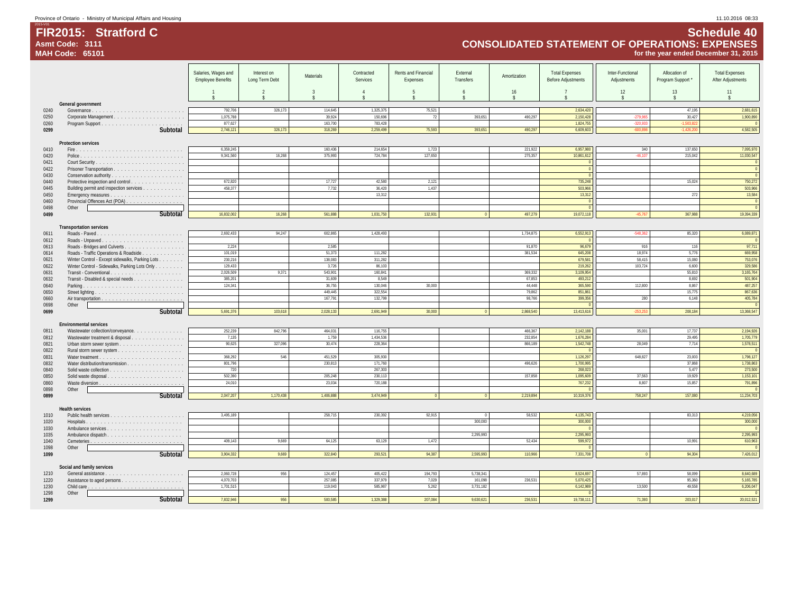## **FIR2015: Stratford C Schedule 40 Asmt Code: 3111 CONSOLIDATED STATEMENT OF OPERATIONS: EXPENSES MAH Code: 65101 for the year ended December 31, 2015**

|              |                                                                              | Salaries, Wages and      | Interest on    | Materials                          | Contracted           | Rents and Financial | External  | Amortization       | <b>Total Expenses</b>     | Inter-Functional | Allocation of            | <b>Total Expenses</b>    |
|--------------|------------------------------------------------------------------------------|--------------------------|----------------|------------------------------------|----------------------|---------------------|-----------|--------------------|---------------------------|------------------|--------------------------|--------------------------|
|              |                                                                              | <b>Employee Benefits</b> | Long Term Debt |                                    | Services             | Expenses            | Transfers |                    | <b>Before Adjustments</b> | Adjustments      | Program Support *        | After Adjustments        |
|              |                                                                              |                          |                |                                    |                      |                     |           |                    |                           |                  |                          |                          |
|              |                                                                              | $\overline{1}$           | $\overline{2}$ | $\mathbf{3}$<br>$\hat{\mathbf{x}}$ | $\overline{4}$<br>¢. | $\overline{5}$      | 6         | 16<br>$\mathsf{s}$ |                           | 12<br>\$         | 13<br>$\hat{\mathbf{s}}$ | 11<br>$\hat{\mathbf{x}}$ |
|              | General government                                                           |                          |                |                                    |                      |                     |           |                    |                           |                  |                          |                          |
| 0240         | Governance                                                                   | 792,706                  | 326,173        | 114,645                            | 1,325,375            | 75,521              |           |                    | 2,634,420                 |                  | 47,195                   | 2,681,615                |
| 0250         |                                                                              | 1,075,788                |                | 39,924                             | 150,696              | 72                  | 393,651   | 490,297            | 2,150,428                 | $-279,96!$       | 30,427                   | 1,900,890                |
| 0260         |                                                                              | 877,627                  |                | 163,700                            | 783,428              |                     |           |                    | 1,824,755                 | 320,93           | 1.503.8                  |                          |
| 0299         | Subtotal                                                                     | 2,746,121                | 326.173        | 318,269                            | 2,259,499            | 75,593              | 393.651   | 490.297            | 6,609,603                 | 5008             | 1.426.2                  | 4,582,505                |
|              |                                                                              |                          |                |                                    |                      |                     |           |                    |                           |                  |                          |                          |
|              | <b>Protection services</b>                                                   |                          |                |                                    |                      |                     |           |                    |                           |                  |                          |                          |
| 0410         |                                                                              | 6,359,245                |                | 160,436                            | 214,654              | 1,723               |           | 221,922            | 6,957,980                 | 340              | 137.650                  | 7,095,970                |
| 0420         |                                                                              | 9.341.560                | 16.268         | 375.993                            | 724,784              | 127.650             |           | 275.357            | 10.861.612                | $-46.10$         | 215.042                  | 11,030,547               |
| 0421         |                                                                              |                          |                |                                    |                      |                     |           |                    |                           |                  |                          |                          |
| 0422         |                                                                              |                          |                |                                    |                      |                     |           |                    |                           |                  |                          |                          |
| 0430<br>0440 |                                                                              | 672,820                  |                | 17,727                             | 42.580               | 2,121               |           |                    | $\Omega$<br>735,248       |                  | 15,024                   | 750,272                  |
| 0445         | Protective inspection and control<br>Building permit and inspection services | 458,377                  |                | 7,732                              | 36,420               | 1,437               |           |                    | 503,966                   |                  |                          | 503,966                  |
| 0450         |                                                                              |                          |                |                                    | 13,312               |                     |           |                    | 13,312                    |                  | 272                      | 13,584                   |
| 0460         | Provincial Offences Act (POA)                                                |                          |                |                                    |                      |                     |           |                    | $\Omega$                  |                  |                          |                          |
| 0498         | Other                                                                        |                          |                |                                    |                      |                     |           |                    |                           |                  |                          |                          |
| 0499         | Subtotal                                                                     | 16.832.002               | 16,268         | 561,888                            | 1.031.750            | 132,931             |           | 497,279            | 19,072,118                | $-45.76$         | 367,988                  | 19,394,339               |
|              |                                                                              |                          |                |                                    |                      |                     |           |                    |                           |                  |                          |                          |
|              | <b>Transportation services</b>                                               |                          |                |                                    |                      |                     |           |                    |                           |                  |                          |                          |
| 0611         |                                                                              | 2.692.433                | 94,247         | 602.865                            | 1,428,493            |                     |           | 1,734,875          | 6,552,913                 | $-548.362$       | 85.320                   | 6,089,871                |
| 0612         |                                                                              |                          |                |                                    |                      |                     |           |                    |                           |                  |                          |                          |
| 0613         | Roads - Bridges and Culverts                                                 | 2,224                    |                | 2,585                              |                      |                     |           | 91,870             | 96,679                    | 916              | 116                      | 97,711                   |
| 0614         | Roads - Traffic Operations & Roadside                                        | 101.019                  |                | 51.373                             | 111.282              |                     |           | 381.534            | 645.208                   | 18.974           | 5.776                    | 669,958                  |
| 0621         | Winter Control - Except sidewalks, Parking Lots                              | 230,216                  |                | 138,083                            | 311,282              |                     |           |                    | 679,581                   | 58,415           | 15,080                   | 753,076                  |
| 0622         | Winter Control - Sidewalks, Parking Lots Only                                | 129,433<br>2,026,509     | 9.371          | 3,726<br>543,901                   | 86,103<br>160,841    |                     |           | 369,332            | 219,262<br>3,109,954      | 103,724          | 6,600<br>55,810          | 329,586<br>3,165,764     |
| 0631<br>0632 |                                                                              | 385,201                  |                | 31,609                             | 8,549                |                     |           | 67,853             | 493,212                   |                  | 8,692                    | 501,904                  |
| 0640         | Transit - Disabled & special needs                                           | 124.341                  |                | 36.755                             | 130.046              | 30,000              |           | 44.448             | 365.590                   | 112,800          | 8.867                    | 487,257                  |
| 0650         |                                                                              |                          |                | 449.445                            | 322.554              |                     |           | 79.862             | 851,861                   |                  | 15,775                   | 867,636                  |
| 0660         |                                                                              |                          |                | 167,791                            | 132,799              |                     |           | 98,766             | 399,356                   | 280              | 6,148                    | 405,784                  |
| 0698         | Other                                                                        |                          |                |                                    |                      |                     |           |                    |                           |                  |                          |                          |
| 0699         | Subtotal                                                                     | 5.691.376                | 103.618        | 2,028,133                          | 2.691.949            | 30,000              |           | 2.868.540          | 13,413,616                | 253.25           | 208.184                  | 13,368,547               |
|              |                                                                              |                          |                |                                    |                      |                     |           |                    |                           |                  |                          |                          |
|              | <b>Environmental services</b>                                                |                          |                |                                    |                      |                     |           |                    |                           |                  |                          |                          |
| 0811         | Wastewater collection/conveyance.                                            | 252,239                  | 842,796        | 464,031                            | 116,755              |                     |           | 466,367            | 2,142,188                 | 35,001           | 17.737                   | 2,194,926                |
| 0812         | Wastewater treatment & disposal                                              | 7,135                    |                | 1,759                              | 1,434,536            |                     |           | 232,854            | 1,676,284                 |                  | 29,495                   | 1,705,779                |
| 0821         |                                                                              | 90,625                   | 327,096        | 30,474                             | 228,364              |                     |           | 866,189            | 1,542,748                 | 28,049           | 7,714                    | 1,578,511                |
| 0822<br>0831 |                                                                              | 368.292                  | 546            | 451.529                            | 305.930              |                     |           |                    | 1,126,297                 | 648.827          | 23.003                   | 1,798,127                |
| 0832         | Water distribution/transmission                                              | 801.796                  |                | 230.813                            | 171,760              |                     |           | 496.626            | 1.700.995                 |                  | 37.868                   | 1.738.863                |
| 0840         |                                                                              | 720                      |                |                                    | 267.303              |                     |           |                    | 268,023                   |                  | 5.477                    | 273,500                  |
| 0850         |                                                                              | 502,390                  |                | 205,248                            | 230,113              |                     |           | 157.858            | 1,095,609                 | 37,563           | 19,929                   | 1,153,101                |
| 0860         |                                                                              | 24.010                   |                | 23.034                             | 720.188              |                     |           |                    | 767.232                   | 8.807            | 15.857                   | 791,896                  |
| 0898         | Other                                                                        |                          |                |                                    |                      |                     |           |                    |                           |                  |                          |                          |
| 0899         | Subtotal                                                                     | 2,047,207                | 1,170,438      | 1,406,888                          | 3,474,949            |                     |           | 2,219,894          | 10,319,376                | 758,247          | 157,080                  | 11,234,703               |
|              |                                                                              |                          |                |                                    |                      |                     |           |                    |                           |                  |                          |                          |
|              | <b>Health services</b>                                                       |                          |                |                                    |                      |                     |           |                    |                           |                  |                          |                          |
| 1010         |                                                                              | 3,495,189                |                | 258,715                            | 230,392              | 92,915              |           | 58,532             | 4,135,743                 |                  | 83,313                   | 4,219,056                |
| 1020         |                                                                              |                          |                |                                    |                      |                     | 300,000   |                    | 300,000                   |                  |                          | 300,000                  |
| 1030<br>1035 |                                                                              |                          |                |                                    |                      |                     | 2,295,993 |                    | $\sqrt{2}$<br>2,295,993   |                  |                          | 2,295,993                |
| 1040         |                                                                              | 409.143                  | 9.669          | 64,125                             | 63,129               | 1,472               |           | 52.434             | 599.972                   |                  | 10.991                   | 610,963                  |
| 1098         | Other                                                                        |                          |                |                                    |                      |                     |           |                    |                           |                  |                          |                          |
| 1099         | Subtotal                                                                     | 3,904,332                | 9.669          | 322,840                            | 293,521              | 94,387              | 2.595.993 | 110.966            | 7,331,708                 |                  | 94,304                   | 7,426,012                |
|              |                                                                              |                          |                |                                    |                      |                     |           |                    |                           |                  |                          |                          |
|              | Social and family services                                                   |                          |                |                                    |                      |                     |           |                    |                           |                  |                          |                          |
| 1210         |                                                                              | 2,060,728                | 956            | 124,457                            | 405,422              | 194,793             | 5,738,341 |                    | 8,524,697                 | 57,893           | 58,099                   | 8,640,689                |
| 1220         |                                                                              | 4.070.703                |                | 257.085                            | 337.979              | 7.029               | 161.098   | 236.531            | 5.070.425                 |                  | 95.360                   | 5.165.785                |
| 1230         |                                                                              | 1,701,515                |                | 119,043                            | 585,987              | 5,262               | 3,731,182 |                    | 6,142,989                 | 13,500           | 49.558                   | 6,206,047                |
| 1298         | Other                                                                        |                          |                |                                    |                      |                     |           |                    |                           |                  |                          |                          |
| 1299         | Subtotal                                                                     | 7,832,946                | 956            | 500.585                            | 1.329.388            | 207.084             | 9.630.621 | 236.531            | 19.738.111                | 71.393           | 203.017                  | 20,012,521               |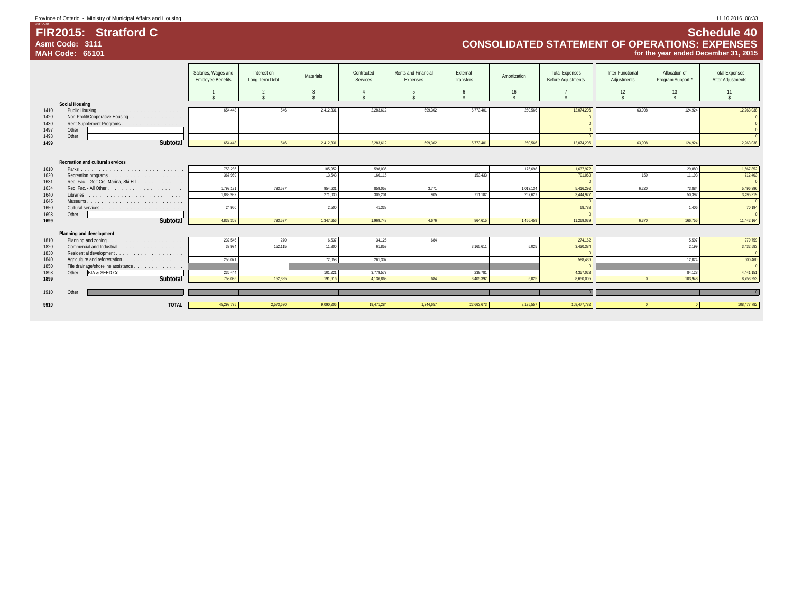## **FIR2015: Stratford C Schedule 40 Asmt Code: 3111 CONSOLIDATED STATEMENT OF OPERATIONS: EXPENSES MAH Code: 65101 for the year ended December 31, 2015**

|              |                                         | Salaries, Wages and<br><b>Employee Benefits</b> | Interest on<br>Long Term Debt | Materials | Contracted<br>Services | Rents and Financial<br>Expenses | External<br>Transfers | Amortization | <b>Total Expenses</b><br><b>Before Adjustments</b> | Inter-Functional<br>Adjustments | Allocation of<br>Program Support * | <b>Total Expenses</b><br>After Adjustments |
|--------------|-----------------------------------------|-------------------------------------------------|-------------------------------|-----------|------------------------|---------------------------------|-----------------------|--------------|----------------------------------------------------|---------------------------------|------------------------------------|--------------------------------------------|
|              |                                         |                                                 |                               |           |                        |                                 |                       | 16           |                                                    | 12                              | 13                                 | 11                                         |
|              | <b>Social Housing</b>                   |                                                 |                               |           |                        |                                 |                       |              |                                                    |                                 |                                    |                                            |
| 1410         |                                         | 654.448                                         | 546                           | 2,412,331 | 2,283,612              | 699,302                         | 5,773,401             | 250,566      | 12,074,206                                         | 63.908                          | 124,924                            | 12,263,038                                 |
| 1420         | Non-Profit/Cooperative Housing          |                                                 |                               |           |                        |                                 |                       |              |                                                    |                                 |                                    | $\overline{0}$                             |
| 1430         | Rent Supplement Programs.               |                                                 |                               |           |                        |                                 |                       |              |                                                    |                                 |                                    | $\overline{0}$                             |
| 1497         | Other                                   |                                                 |                               |           |                        |                                 |                       |              |                                                    |                                 |                                    | $\overline{0}$                             |
| 1498         | Other                                   |                                                 |                               |           |                        |                                 |                       |              |                                                    |                                 |                                    | $\Omega$                                   |
| 1499         | Subtotal                                | 654,448                                         | 546                           | 2,412,331 | 2,283,612              | 699,302                         | 5,773,401             | 250,566      | 12,074,206                                         | 63.908                          | 124,924                            | 12,263,038                                 |
|              | Recreation and cultural services        | 758.286                                         |                               | 105.952   | 598.036                |                                 |                       | 175.698      |                                                    |                                 | 29,880                             |                                            |
| 1610         |                                         |                                                 |                               |           |                        |                                 |                       |              | 1,637,972                                          |                                 |                                    | 1,667,852                                  |
| 1620         |                                         | 367.969                                         |                               | 13.543    | 166.115                |                                 | 153.433               |              | 701,060                                            | 150                             | 11.193                             | 712,403<br>$\Omega$                        |
| 1631         | Rec. Fac. - Golf Crs, Marina, Ski Hill. | 1.792.121                                       | 793.577                       | 954.631   | 859.058                | 3,771                           |                       | 1.013.134    |                                                    | 6.220                           | 73.884                             |                                            |
| 1634         |                                         |                                                 |                               |           |                        |                                 |                       |              | 5,416,292                                          |                                 |                                    | 5,496,396                                  |
| 1640         |                                         | 1,888,982                                       |                               | 271,030   | 305,201                | 905                             | 711,182               | 267,627      | 3,444,927                                          |                                 | 50,392                             | 3,495,319                                  |
| 1645         |                                         |                                                 |                               |           |                        |                                 |                       |              |                                                    |                                 | 1.406                              | $\overline{0}$                             |
| 1650         |                                         | 24,950                                          |                               | 2,500     | 41,338                 |                                 |                       |              | 68,788                                             |                                 |                                    | 70,194<br>$\Omega$                         |
| 1698<br>1699 | Other<br>Subtotal                       | 4.832.308                                       | 793,577                       | 1,347,656 | 1,969,748              | 4,676                           | 864.615               | 1,456,459    | 11,269,039                                         | 6,370                           | 166,755                            | 11,442,164                                 |
|              |                                         |                                                 |                               |           |                        |                                 |                       |              |                                                    |                                 |                                    |                                            |
|              | Planning and development                |                                                 |                               |           |                        |                                 |                       |              |                                                    |                                 |                                    |                                            |
| 1810         | Planning and zoning                     | 232,546                                         | 270                           | 6,537     | 34,125                 | 684                             |                       |              | 274,162                                            |                                 | 5,597                              | 279,759                                    |
| 1820         |                                         | 33.974                                          | 152,115                       | 11.800    | 61,859                 |                                 | 3,165,611             | 5,025        | 3,430,384                                          |                                 | 2,199                              | 3,432,583                                  |
| 1830         |                                         |                                                 |                               |           |                        |                                 |                       |              |                                                    |                                 |                                    | $\overline{0}$                             |
| 1840         |                                         | 255.071                                         |                               | 72,058    | 261.307                |                                 |                       |              | 588,436                                            |                                 | 12.024                             | 600,460                                    |
| 1850         | Tile drainage/shoreline assistance      |                                                 |                               |           |                        |                                 |                       |              |                                                    |                                 |                                    |                                            |
| 1898         | <b>BIA &amp; SEED Co</b><br>Other       | 236.444                                         |                               | 101,221   | 3,779,577              |                                 | 239.781               |              | 4,357,023                                          |                                 | 84.128                             | 4,441,151                                  |
| 1899         | Subtotal                                | 758,035                                         | 152,385                       | 191,616   | 4,136,868              | 684                             | 3,405,392             | 5,025        | 8,650,005                                          |                                 | 103,948                            | 8,753,953                                  |
|              |                                         |                                                 |                               |           |                        |                                 |                       |              |                                                    |                                 |                                    |                                            |
| 1910         | Other                                   |                                                 |                               |           |                        |                                 |                       |              |                                                    |                                 |                                    |                                            |
| 9910         | <b>TOTAL</b>                            | 45,298,775                                      | 2.573.630                     | 9,090,206 | 19,471,284             | 1,244,657                       | 22,663,673            | 8.135.557    | 108.477.782                                        |                                 |                                    | 108,477,782                                |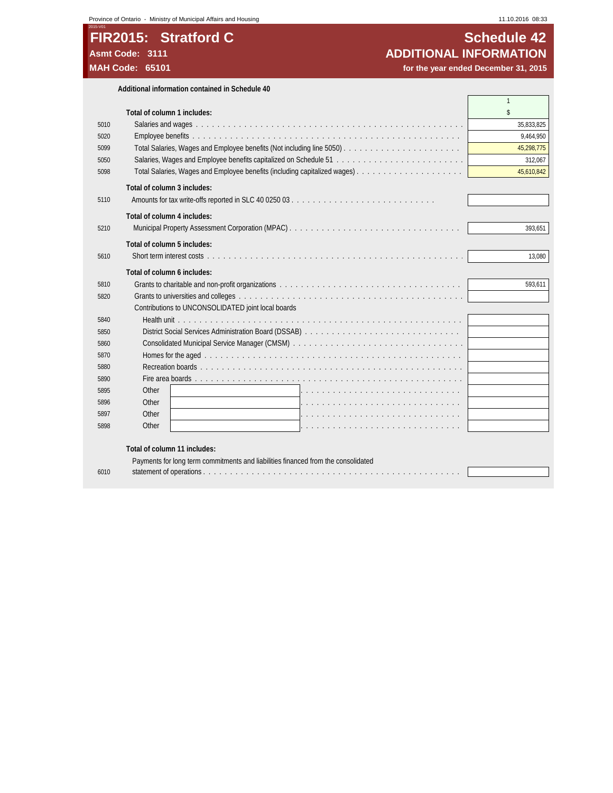## **FIR2015: Stratford C C SCHEDULE 12 Schedule 42 Asmt Code: 3111 ADDITIONAL INFORMATION**

for the year ended December 31, 2015

|      | Additional information contained in Schedule 40    |              |
|------|----------------------------------------------------|--------------|
|      |                                                    | $\mathbf{1}$ |
|      | Total of column 1 includes:                        | \$           |
| 5010 |                                                    | 35.833.825   |
| 5020 |                                                    | 9.464.950    |
| 5099 |                                                    | 45,298,775   |
| 5050 |                                                    | 312.067      |
| 5098 |                                                    | 45,610,842   |
|      | Total of column 3 includes:                        |              |
| 5110 |                                                    |              |
|      | Total of column 4 includes:                        |              |
| 5210 |                                                    | 393.651      |
|      |                                                    |              |
|      | Total of column 5 includes:                        |              |
| 5610 |                                                    | 13.080       |
|      | Total of column 6 includes:                        |              |
| 5810 |                                                    | 593.611      |
| 5820 |                                                    |              |
|      | Contributions to UNCONSOLIDATED joint local boards |              |
| 5840 |                                                    |              |
| 5850 |                                                    |              |
| 5860 |                                                    |              |
| 5870 |                                                    |              |
| 5880 |                                                    |              |
| 5890 |                                                    |              |
| 5895 | Other                                              |              |
| 5896 | Other                                              |              |
| 5897 | Other                                              |              |
| 5898 | Other                                              |              |
|      | Total of column 11 included                        |              |

### **Total of column 11 includes:**

|      | Payments for long term commitments and liabilities financed from the consolidated |  |
|------|-----------------------------------------------------------------------------------|--|
| 6010 |                                                                                   |  |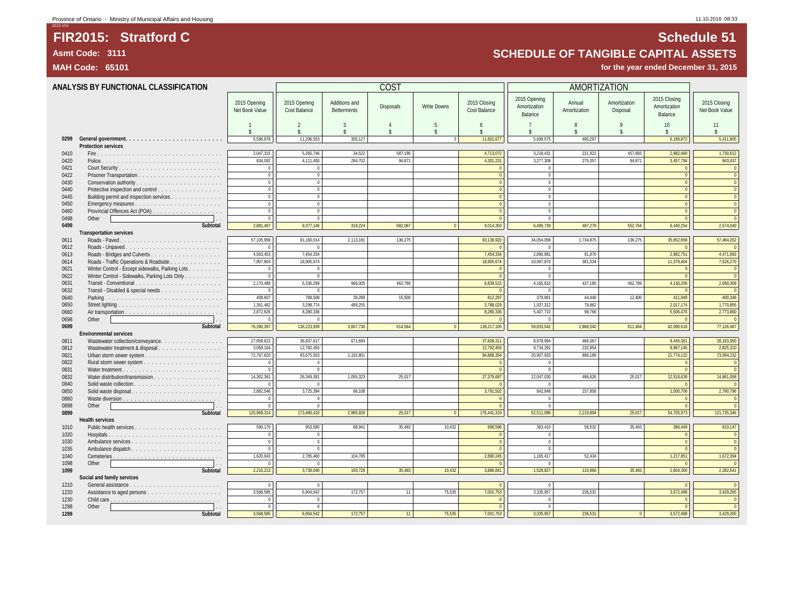## **Asmt Code: 3111 SCHEDULE OF TANGIBLE CAPITAL ASSETS**

|              | ANALYSIS BY FUNCTIONAL CLASSIFICATION                                        |                                    |                              |                                      | COST               |                                        |                              |                                         | AMORTIZATION            |                                    |                                         |                                |
|--------------|------------------------------------------------------------------------------|------------------------------------|------------------------------|--------------------------------------|--------------------|----------------------------------------|------------------------------|-----------------------------------------|-------------------------|------------------------------------|-----------------------------------------|--------------------------------|
|              |                                                                              | 2015 Opening<br>Net Book Value     | 2015 Opening<br>Cost Balance | Additions and<br><b>Betterments</b>  | <b>Disposals</b>   | <b>Write Downs</b>                     | 2015 Closing<br>Cost Balance | 2015 Opening<br>Amortization<br>Balance | Annual<br>Amortization  | Amortization<br>Disposal           | 2015 Closing<br>Amortization<br>Balance | 2015 Closing<br>Net Book Value |
|              |                                                                              | $\mathbf{1}$<br>$\hat{\mathbf{x}}$ | $\overline{2}$<br>¢          | $\overline{3}$<br>$\hat{\mathbf{x}}$ | $\hat{\mathbf{x}}$ | $\overline{5}$<br>$\tilde{\mathbf{S}}$ | 6<br>¢                       | $\overline{7}$<br>\$                    | 8<br>$\hat{\mathbf{x}}$ | $\mathsf{Q}$<br>$\hat{\mathbf{S}}$ | 10<br>$\hat{\mathbf{x}}$                | 11<br>$\hat{S}$                |
| 0299         |                                                                              | 5.596.978                          | 11,296,553                   | 305,127                              |                    |                                        | 11,601,677                   | 5,699,575                               | 490,297                 |                                    | 6,189,872                               | 5,411,805                      |
|              | Protection services                                                          |                                    |                              |                                      |                    |                                        |                              |                                         |                         |                                    |                                         |                                |
| 0410         |                                                                              | 2,047,315                          | 5,265,746                    | 34,522                               | 587,196            |                                        | 4,713,072                    | 3,218,431                               | 221,922                 | 457,893                            | 2,982,460                               | 1,730,612                      |
| 0420         |                                                                              | 834,092                            | 4,111,400                    | 284,702                              | 94,871             |                                        | 4,301,231                    | 3,277,308                               | 275,357                 | 94.871                             | 3,457,794                               | 843,437                        |
| 0421         |                                                                              | $\bf 0$                            | $\Omega$                     |                                      |                    |                                        | $\sqrt{2}$                   | $\bf 0$                                 |                         |                                    | $\mathbf{0}$                            | $\mathbf 0$                    |
| 0422         |                                                                              | $\overline{0}$                     | $\Omega$                     |                                      |                    |                                        | $\Omega$                     | $\mathbf{0}$                            |                         |                                    | $\overline{0}$                          | $\overline{0}$                 |
| 0430         |                                                                              | $\mathbb O$<br>$\mathbf{0}$        | $\Omega$<br>$\Omega$         |                                      |                    |                                        | $\Omega$<br>$\Omega$         | $\mathbf{0}$<br>$\mathbf{0}$            |                         |                                    | $\mathbf 0$<br>$\mathbf{0}$             | $\bullet$<br>$\overline{0}$    |
| 0440<br>0445 | Protective inspection and control<br>Building permit and inspection services | $\Omega$                           | $\Omega$                     |                                      |                    |                                        | $\Omega$                     | $\theta$                                |                         |                                    | $\overline{0}$                          | $\bullet$                      |
| 0450         |                                                                              | $\mathbb O$                        | $\overline{0}$               |                                      |                    |                                        | $\Omega$                     | $\mathbb O$                             |                         |                                    | $\mathbf 0$                             | $\mathbf 0$                    |
| 0460         |                                                                              | $\mathbf{0}$                       | $\overline{0}$               |                                      |                    |                                        | $\Omega$                     | $\mathbf{0}$                            |                         |                                    | $\Omega$                                | $\overline{0}$                 |
| 0498         | Other                                                                        | $\mathbf 0$                        | $\overline{0}$               |                                      |                    |                                        | $\Omega$                     | $\bf 0$                                 |                         |                                    | $\Omega$                                | $\overline{0}$                 |
| 0499         | Subtotal                                                                     | 2,881,407                          | 9,377,146                    | 319,224                              | 682,067            |                                        | 9,014,303                    | 6,495,739                               | 497,279                 | 552,764                            | 6,440,254                               | 2,574,049                      |
|              | <b>Transportation services</b>                                               |                                    |                              |                                      |                    |                                        |                              |                                         |                         |                                    |                                         |                                |
| 0611         |                                                                              | 57,105,956                         | 91,160,014                   | 2,113,181                            | 136,275            |                                        | 93,136,920                   | 34,054,058                              | 1,734,875               | 136,275                            | 35,652,658                              | 57,484,262                     |
| 0612         | Roads - Unpaved                                                              | $\Omega$                           | $\Omega$                     |                                      |                    |                                        | $\sqrt{0}$                   | $\mathbf{0}$                            |                         |                                    | $\Omega$                                | $\overline{0}$                 |
| 0613         |                                                                              | 4.563.453                          | 7.454.334                    |                                      |                    |                                        | 7.454.334                    | 2,890,881                               | 91.870                  |                                    | 2,982,751                               | 4.471.583                      |
| 0614         | Roads - Traffic Operations & Roadside                                        | 7,907,804                          | 18,905,674                   |                                      |                    |                                        | 18,905,674                   | 10,997,870                              | 381,534                 |                                    | 11,379,404                              | 7,526,270                      |
| 0621         | Winter Control - Except sidewalks, Parking Lots                              | $\mathbf{0}$                       | $\Omega$                     |                                      |                    |                                        | $\sqrt{ }$                   | $\Omega$                                |                         |                                    |                                         | $\overline{0}$                 |
| 0622         | Winter Control - Sidewalks, Parking Lots Only                                | $\mathbf{0}$                       | $\overline{0}$               |                                      | 462.789            |                                        | $\overline{0}$               | $\mathbf{0}$                            |                         |                                    | $\overline{0}$                          | $\overline{0}$                 |
| 0631<br>0632 | Transit - Conventional                                                       | 2,170,489<br>$\Omega$              | 6,336,299<br>$\Omega$        | 966,005                              |                    |                                        | 6,839,515<br>$\Omega$        | 4,165,810<br>$\Omega$                   | 437,185                 | 462,789                            | 4,140,206<br>$\Omega$                   | 2,699,309<br>$\overline{0}$    |
| 0640         | Transit - Disabled & special needs                                           | 408,607                            | 788,508                      | 39,289                               | 15,500             |                                        | 812,297                      | 379,901                                 | 44,448                  | 12,400                             | 411,949                                 | 400,348                        |
| 0650         |                                                                              | 1,361,462                          | 3,298,774                    | 489,255                              |                    |                                        | 3,788,029                    | 1,937,312                               | 79,862                  |                                    | 2,017,174                               | 1,770,855                      |
| 0660         |                                                                              | 2,872,626                          | 8,280,336                    |                                      |                    |                                        | 8,280,336                    | 5,407,710                               | 98,766                  |                                    | 5,506,476                               | 2,773,860                      |
| 0698         | Other                                                                        | $\theta$                           | $\Omega$                     |                                      |                    |                                        | $\sqrt{ }$                   | $\Omega$                                |                         |                                    | $\overline{0}$                          | $\overline{0}$                 |
| 0699         | Subtotal                                                                     | 76,390,397                         | 136,223,939                  | 3,607,730                            | 614.564            | $\Omega$                               | 139,217,105                  | 59.833.542                              | 2,868,540               | 611.464                            | 62,090,618                              | 77,126,487                     |
|              | <b>Environmental services</b>                                                |                                    |                              |                                      |                    |                                        |                              |                                         |                         |                                    |                                         |                                |
| 0811         | Wastewater collection/conveyance.                                            | 27,958,623                         | 36,937,617                   | 671,694                              |                    |                                        | 37,609,311                   | 8,978,994                               | 466,367                 |                                    | 9,445,361                               | 28,163,950                     |
| 0812         | Wastewater treatment & disposal                                              | 3.058.164                          | 12.792.455                   |                                      |                    |                                        | 12.792.455                   | 9,734,291                               | 232.854                 |                                    | 9,967,145                               | 2,825,310                      |
| 0821         |                                                                              | 72,767,620                         | 93,675,553                   | 1,192,801                            |                    |                                        | 94,868,354                   | 20,907,933                              | 866,189                 |                                    | 21,774,122                              | 73,094,232                     |
| 0822         |                                                                              | $\Omega$                           | $\Omega$                     |                                      |                    |                                        | $\theta$                     | $\Omega$                                |                         |                                    | $\Omega$                                | $\overline{0}$                 |
| 0831         |                                                                              | $\Omega$                           | $\Omega$                     |                                      |                    |                                        | $\Omega$                     | $\theta$                                |                         |                                    | $\Omega$                                | $\overline{0}$                 |
| 0832<br>0840 |                                                                              | 14,302,361<br>$\Omega$             | 26,349,391<br>$\Omega$       | 1,055,323                            | 25.017             |                                        | 27,379,697<br>$\Omega$       | 12,047,030<br>$\Omega$                  | 496,626                 | 25,017                             | 12,518,639                              | 14,861,058<br>$\Omega$         |
| 0850         |                                                                              | 2.882.546                          | 3.725.394                    | 66.108                               |                    |                                        | 3.791.502                    | 842.848                                 | 157.858                 |                                    | 1.000.706                               | 2,790,796                      |
| 0860         |                                                                              | $\overline{0}$                     | $\Omega$                     |                                      |                    |                                        | $\Omega$                     | $\Omega$                                |                         |                                    | $\overline{0}$                          | $\overline{0}$                 |
| 0898         | Other                                                                        | $\Omega$                           | $\Omega$                     |                                      |                    |                                        | $\sqrt{0}$                   | $\mathbf{0}$                            |                         |                                    | $\overline{0}$                          | $\overline{0}$                 |
| 0899         | Subtotal                                                                     | 120,969,314                        | 173,480,410                  | 2,985,926                            | 25,017             | $\mathbf{0}$                           | 176,441,319                  | 52,511,096                              | 2,219,894               | 25,017                             | 54,705,973                              | 121,735,346                    |
|              | <b>Health services</b>                                                       |                                    |                              |                                      |                    |                                        |                              |                                         |                         |                                    |                                         |                                |
| 1010         |                                                                              | 590.170                            | 953.580                      | 88.941                               | 35.493             | 10.432                                 | 996,596                      | 363,410                                 | 58.532                  | 35.493                             | 386,449                                 | 610,147                        |
| 1020         | Hospitals                                                                    | $\,0\,$                            | $\mathbf 0$                  |                                      |                    |                                        | $\sqrt{2}$                   | $^{\circ}$                              |                         |                                    | $\overline{0}$                          | $\overline{0}$                 |
| 1030         |                                                                              | $\mathbf{0}$                       | $\mathbf{0}$                 |                                      |                    |                                        | $\Omega$                     | $\mathbf{0}$                            |                         |                                    | $\overline{0}$                          | $\overline{0}$                 |
| 1035         |                                                                              | $\Omega$                           | $\Omega$                     |                                      |                    |                                        | $\sqrt{ }$                   | $\Omega$                                |                         |                                    | $\Omega$                                | $\Omega$                       |
| 1040         |                                                                              | 1,620,043                          | 2,785,460                    | 104,785                              |                    |                                        | 2,890,245                    | 1,165,417                               | 52,434                  |                                    | 1,217,851                               | 1,672,394                      |
| 1098         | Other                                                                        | $\Omega$                           |                              |                                      |                    |                                        |                              |                                         |                         |                                    |                                         |                                |
| 1099         | Subtotal                                                                     | 2,210,213                          | 3,739,040                    | 193,726                              | 35,493             | 10,432                                 | 3,886,841                    | 1,528,827                               | 110,966                 | 35,493                             | 1,604,300                               | 2,282,541                      |
| 1210         | Social and family services                                                   | $\overline{0}$                     | $\Omega$                     |                                      |                    |                                        | $\overline{0}$               | $\mathbf 0$                             |                         |                                    | $\overline{0}$                          | $\mathbf{0}$                   |
| 1220         |                                                                              | 3,568,585                          | 6,904,542                    | 172,757                              | 11                 | 75,535                                 | 7,001,753                    | 3,335,957                               | 236,531                 |                                    | 3,572,488                               | 3,429,265                      |
| 1230         | Child care <u>.</u> .                                                        | $\mathbf{0}$                       | $\Omega$                     |                                      |                    |                                        | $\sqrt{2}$                   | $\mathbf{0}$                            |                         |                                    | $\overline{0}$                          | $\mathbf 0$                    |
| 1298         | Other                                                                        | $\Omega$                           | $\Omega$                     |                                      |                    |                                        | $\Omega$                     | $\Omega$                                |                         |                                    | $\Omega$                                | $\Omega$                       |
| 1299         | Subtotal                                                                     | 3,568,585                          | 6,904,542                    | 172,757                              | 11                 | 75,535                                 | 7,001,753                    | 3,335,957                               | 236,531                 | $\Omega$                           | 3,572,488                               | 3,429,265                      |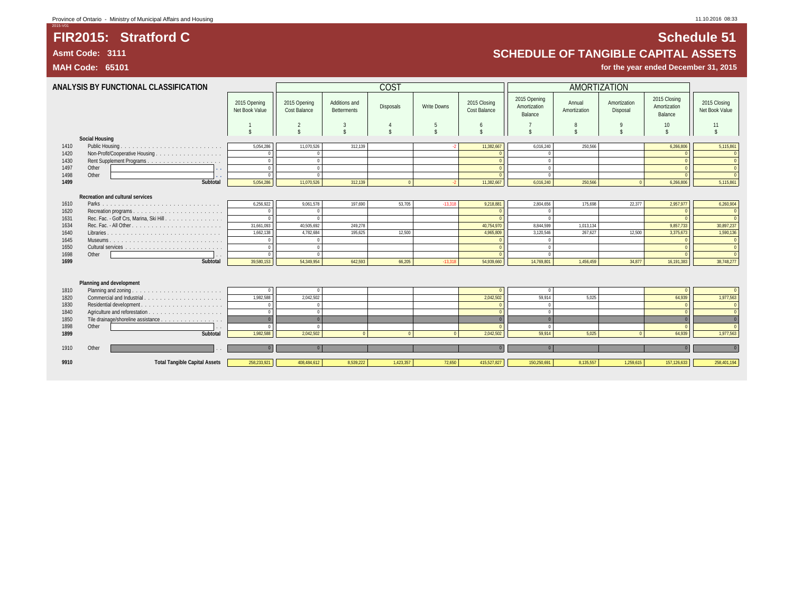## **FIR2015: Stratford C Schedule 51 Asmt Code: 3111 SCHEDULE OF TANGIBLE CAPITAL ASSETS**

**MAH Code: 65101 for the year ended December 31, 2015**

**ANALYSIS BY FUNCTIONAL CLASSIFICATION** COST AMORTIZATION 2015 Opening Net Book Value 2015 Opening Cost Balance Additions and \dditions and disposals Write Downs 2015 Closing<br>Betterments Betterments Cost Balance 2015 Opening Amortization Balance Annual Amortization Amortization Disposal 2015 Closing Amortization Balance 2015 Closing Net Book Value 1 || 2 | 3 | 4 | 5 | 6 || 7 | 8 | 9 | 10 || 11 \$ \$ \$ \$ \$ \$ \$ \$ \$ \$ \$ **Social Housing** 1410 Public Housing . . . . . . . . . . . . . . . . . | 5,054,286 || 11,070,526 312,139 | 2 11,382,667 || 6,016,240 | 250,566 | | 5,115,861 | 5,115,861 1420 Non-Profit/Cooperative Housing . . . . . . . . . . . . . . . . . 0 0 0 0 0 0 1430 Rent Supplement Programs . . . . . . . . . . . . . . . . . . . 0 0 0 0 0 0 1497 Other **. .** 0 0 0 0 0 0 1498 Other **. .** 0 0 0 0 0 0 **1499 Subtotal** 5,054,286 11,070,526 312,139 0 -2 11,382,667 6,016,240 250,566 0 6,266,806 5,115,861 **Recreation and cultural services** 1610 Parks . . . . . . . . . . . . . . . . . . . . . . . . . . . . . . 6,256,922 9,061,578 197,690 53,705 -13,318 9,218,881 2,804,656 175,698 22,377 2,957,977 6,260,904 1620 Recreation programs . . . . . . . . . . . . . . . . . . . . . . . 0 0 0 0 0 0 1631 Rec. Fac. - Golf Crs, Marina, Ski Hill . . . . . . . . . . . . . . . 0 0 0 0 0 0 1634 Rec. Fac. - All Other . . . . . . . . . . . . . . . . . . . . . . . 31,661,093 40,505,692 249,278 40,754,970 8,844,599 1,013,134 9,857,733 30,897,237 1640 Libraries . . . . . . . . . . . . . . . . . . . . . . . . . . . . . 1,662,138 4,782,684 195,625 12,500 4,965,809 3,120,546 267,627 12,500 3,375,673 1,590,136 1645 Museums . . . . . . . . . . . . . . . . . . . . . . . . . . . . . 0 0 0 0 0 0 1650 Cultural services . . . . . . . . . . . . . . . . . . . . . . . . . 0 0 0 0 0 0 1698 Other . . 0 0 0 0 0 0 **1699 Subtotal** 39,580,153 54,349,954 642,593 66,205 -13,318 54,939,660 14,769,801 1,456,459 34,877 16,191,383 38,748,277 **Planning and development** 1810 Planning and zoning . . . . . . . . . . . . . . . . . . . . . . . 0 0 0 0 0 0 1820 Commercial and Industrial . . . . . . . . . . . . . . . . . . . . 1,982,588 2,042,502 2,042,502 59,914 5,025 64,939 1,977,563 1830 Residential development . . . . . . . . . . . . . . . . . . . . . 0 0 0 0 0 0 1840 Agriculture and reforestation . . . . . . . . . . . . . . . . . . . 0 0 0 0 0 0 Tile drainage/shoreline assistance . . 1898 Other . . 0 0 0 0 0 0 **1899 Subtotal** 1,982,588 2,042,502 0 0 0 2,042,502 59,914 5,025 0 64,939 1,977,563 1910 Other . . 0 0 0 0 0 0 **9910 Total Tangible Capital Assets** 258,233,921 408,484,612 8,539,222 1,423,357 72,650 415,527,827 150,250,691 8,135,557 1,259,615 157,126,633 258,401,194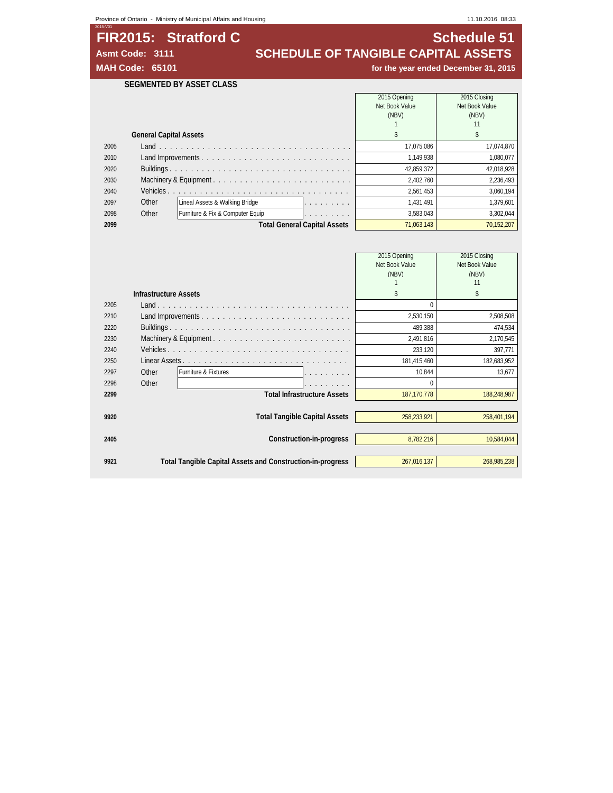## **FIR2015: Stratford C**<br>**SCHEDULE OF TANGIBLE CAPITAL ASSETS** Asmt Code: 3111 **SCHEDULE OF TANGIBLE CAPITAL ASSETS**<br>MAH Code: 65101 *MAH* **Code: 65101** *MAH* Code: 65101

for the year ended December 31, 2015

## **SEGMENTED BY ASSET CLASS**

|      |                               |                                  |                                     | 2015 Opening   | 2015 Closing   |
|------|-------------------------------|----------------------------------|-------------------------------------|----------------|----------------|
|      |                               |                                  |                                     | Net Book Value | Net Book Value |
|      |                               |                                  |                                     | (NBV)          | (NBV)          |
|      |                               |                                  |                                     |                | 11             |
|      | <b>General Capital Assets</b> |                                  |                                     |                |                |
| 2005 |                               |                                  |                                     | 17.075.086     | 17,074,870     |
| 2010 |                               |                                  |                                     | 1.149.938      | 1.080.077      |
| 2020 |                               |                                  |                                     | 42.859.372     | 42,018,928     |
| 2030 |                               |                                  |                                     | 2.402.760      | 2,236,493      |
| 2040 |                               |                                  |                                     | 2.561.453      | 3,060,194      |
| 2097 | Other                         | Lineal Assets & Walking Bridge   | .                                   | 1.431.491      | 1,379,601      |
| 2098 | Other                         | Furniture & Fix & Computer Equip | and a series and a series           | 3.583.043      | 3,302,044      |
| 2099 |                               |                                  | <b>Total General Capital Assets</b> | 71.063.143     | 70,152,207     |

|      |                              |                                                            | 2015 Opening   | 2015 Closing   |
|------|------------------------------|------------------------------------------------------------|----------------|----------------|
|      |                              |                                                            | Net Book Value | Net Book Value |
|      |                              |                                                            | (NBV)          | (NBV)          |
|      |                              |                                                            |                | 11             |
|      | <b>Infrastructure Assets</b> |                                                            | S              | \$             |
| 2205 |                              |                                                            | 0              |                |
| 2210 |                              |                                                            | 2,530,150      | 2,508,508      |
| 2220 |                              |                                                            | 489,388        | 474,534        |
| 2230 |                              |                                                            | 2,491,816      | 2,170,545      |
| 2240 |                              |                                                            | 233,120        | 397,771        |
| 2250 |                              |                                                            | 181,415,460    | 182,683,952    |
| 2297 | Other                        | Furniture & Fixtures                                       | 10,844         | 13,677         |
| 2298 | Other                        | .                                                          | 0              |                |
| 2299 |                              | <b>Total Infrastructure Assets</b>                         | 187, 170, 778  | 188,248,987    |
|      |                              |                                                            |                |                |
| 9920 |                              | <b>Total Tangible Capital Assets</b>                       | 258,233,921    | 258,401,194    |
|      |                              |                                                            |                |                |
| 2405 |                              | Construction-in-progress                                   | 8,782,216      | 10,584,044     |
|      |                              |                                                            |                |                |
| 9921 |                              | Total Tangible Capital Assets and Construction-in-progress | 267,016,137    | 268,985,238    |
|      |                              |                                                            |                |                |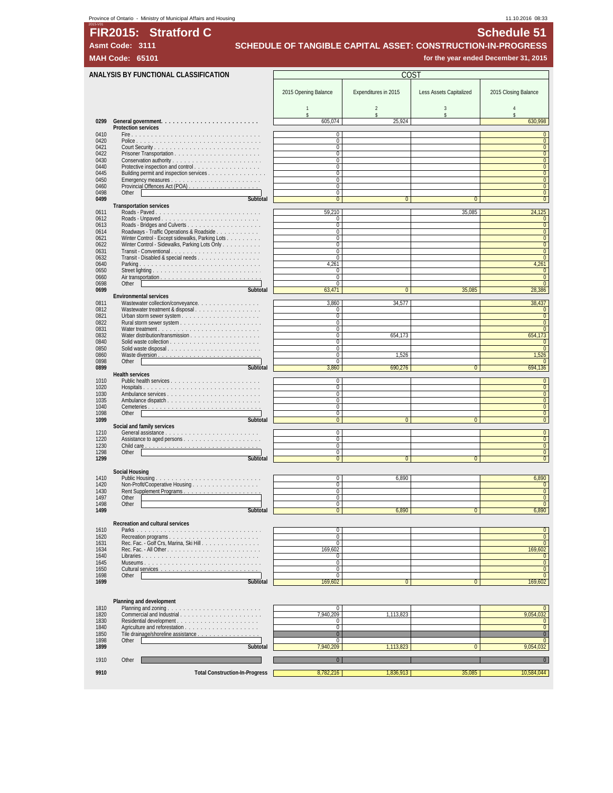## Province of Ontario - Ministry of Municipal Affairs and Housing 11.10.2016 08:33

FIR2015: Stratford C

| <b>MAH Code:</b> | 6510                                                                                                                                                                                                                          |                                    |                      |                         | for the year ended December 31, 2015 |
|------------------|-------------------------------------------------------------------------------------------------------------------------------------------------------------------------------------------------------------------------------|------------------------------------|----------------------|-------------------------|--------------------------------------|
|                  | ANALYSIS BY FUNCTIONAL CLASSIFICATION                                                                                                                                                                                         |                                    | <b>COST</b>          |                         |                                      |
|                  |                                                                                                                                                                                                                               |                                    |                      |                         |                                      |
|                  |                                                                                                                                                                                                                               | 2015 Opening Balance               | Expenditures in 2015 | Less Assets Capitalized | 2015 Closing Balance                 |
|                  |                                                                                                                                                                                                                               | $\mathbf{1}$                       | $\overline{2}$       | $\mathbf{3}$            | $\overline{4}$                       |
| 0299             |                                                                                                                                                                                                                               | \$<br>605,074                      | \$<br>25.924         | \$                      | \$<br>630,998                        |
|                  | <b>Protection services</b>                                                                                                                                                                                                    |                                    |                      |                         |                                      |
| 0410<br>0420     |                                                                                                                                                                                                                               | $\mathbf 0$<br>$\mathbf 0$         |                      |                         | $\pmb{0}$                            |
| 0421             |                                                                                                                                                                                                                               | $\mathbf 0$                        |                      |                         | $\pmb{0}$                            |
| 0422<br>0430     |                                                                                                                                                                                                                               | 0<br>$\mathbf 0$                   |                      |                         | $\mathbf{0}$<br>$\pmb{0}$            |
| 0440<br>0445     | Protective inspection and control<br>Building permit and inspection services                                                                                                                                                  | $\boldsymbol{0}$<br>0              |                      |                         | $\pmb{0}$<br>$\overline{0}$          |
| 0450             |                                                                                                                                                                                                                               | 0                                  |                      |                         | $\pmb{0}$                            |
| 0460<br>0498     | Other                                                                                                                                                                                                                         | 0<br>0                             |                      |                         | $\pmb{0}$<br>$\overline{0}$          |
| 0499             | Subtotal                                                                                                                                                                                                                      | $\mathbf{0}$                       | $\overline{0}$       | $\mathbf{0}$            | $\mathbf{0}$                         |
| 0611             | <b>Transportation services</b><br>Roads - Paved                                                                                                                                                                               | 59,210                             |                      | 35,085                  | 24,125                               |
| 0612             |                                                                                                                                                                                                                               | 0                                  |                      |                         | $\pmb{0}$                            |
| 0613<br>0614     | Roadways - Traffic Operations & Roadside                                                                                                                                                                                      | $\mathbf 0$<br>0                   |                      |                         | $\pmb{0}$<br>$\mathbf{0}$            |
| 0621             | Winter Control - Except sidewalks, Parking Lots                                                                                                                                                                               | 0                                  |                      |                         | $\mathbf{0}$                         |
| 0622<br>0631     | Winter Control - Sidewalks, Parking Lots Only                                                                                                                                                                                 | $\mathbf 0$<br>$\mathbf 0$         |                      |                         | $\overline{0}$<br>$\overline{0}$     |
| 0632             | Transit - Disabled & special needs                                                                                                                                                                                            | $\mathbf 0$                        |                      |                         | $\overline{0}$                       |
| 0640<br>0650     | Parking                                                                                                                                                                                                                       | 4.261<br>0                         |                      |                         | 4,261<br>$\mathbf{0}$                |
| 0660<br>0698     |                                                                                                                                                                                                                               | $\mathbf{0}$<br>$\mathbf 0$        |                      |                         | $\mathbf{0}$<br>$\overline{0}$       |
| 0699             | Other<br>Subtotal                                                                                                                                                                                                             | 63,471                             | $\overline{0}$       | 35,085                  | 28,386                               |
| 0811             | <b>Environmental services</b><br>Wastewater collection/conveyance.                                                                                                                                                            | 3,860                              | 34,577               |                         | 38,437                               |
| 0812             | Wastewater treatment & disposal                                                                                                                                                                                               | 0                                  |                      |                         | $\mathbf{0}$                         |
| 0821<br>0822     |                                                                                                                                                                                                                               | $\mathbf 0$<br>$\mathbf 0$         |                      |                         | $\mathbf{0}$<br>$\mathbf{0}$         |
| 0831             |                                                                                                                                                                                                                               | $\overline{0}$                     |                      |                         | $\overline{0}$                       |
| 0832<br>0840     |                                                                                                                                                                                                                               | 0<br>0                             | 654,173              |                         | 654.173<br>$\bf{0}$                  |
| 0850             | Solid waste disposal                                                                                                                                                                                                          | $\mathbf 0$                        |                      |                         | $\mathbf 0$                          |
| 0860<br>0898     | Other                                                                                                                                                                                                                         | 0<br>0                             | 1,526                |                         | 1,526<br>$\mathbf{0}$                |
| 0899             | Subtotal<br><b>Health services</b>                                                                                                                                                                                            | 3,860                              | 690,276              | $\overline{0}$          | 694,136                              |
| 1010             |                                                                                                                                                                                                                               | $\mathbf 0$                        |                      |                         | $\bf{0}$                             |
| 1020<br>1030     | Ambulance services                                                                                                                                                                                                            | $\mathbf 0$<br>0                   |                      |                         | $\mathbf{0}$<br>$\mathbf{0}$         |
| 1035             |                                                                                                                                                                                                                               | 0                                  |                      |                         | $\mathbf{0}$                         |
| 1040<br>1098     | Other and the contract of the contract of the contract of the contract of the contract of the contract of the contract of the contract of the contract of the contract of the contract of the contract of the contract of the | $\mathbf 0$<br>$\mathbf 0$         |                      |                         | $\mathbf{0}$<br>$\overline{0}$       |
| 1099             | Subtotal                                                                                                                                                                                                                      | $\mathbf{0}$                       | 0                    | $\mathbf{0}$            | $\mathbf{0}$                         |
| 1210             | Social and family services                                                                                                                                                                                                    | $\mathbf 0$                        |                      |                         | $\overline{0}$                       |
| 1220             |                                                                                                                                                                                                                               | $\mathbf{0}$                       |                      |                         | $\mathbf{0}$                         |
| 1230<br>1298     | Other                                                                                                                                                                                                                         | $\mathbf 0$<br>$\mathbf 0$         |                      |                         | $\mathbf{0}$<br>$\overline{0}$       |
| 1299             | Subtotal                                                                                                                                                                                                                      | $\mathbf{0}$                       | $\mathbf{0}$         | $\mathbf{0}$            | $\mathbf{0}$                         |
|                  | Social Housing                                                                                                                                                                                                                |                                    |                      |                         |                                      |
| 1410<br>1420     |                                                                                                                                                                                                                               | 0<br>$\mathbf 0$                   | 6.890                |                         | 6,890<br>$\mathbf 0$                 |
| 1430             |                                                                                                                                                                                                                               | $\mathbf 0$                        |                      |                         | $\overline{0}$                       |
| 1497<br>1498     | Other<br>Other                                                                                                                                                                                                                | 0<br>$\Omega$                      |                      |                         | $\mathbf{0}$<br>$\overline{0}$       |
| 1499             | Subtotal                                                                                                                                                                                                                      | $\overline{0}$                     | 6,890                | $\mathbf{0}$            | 6,890                                |
|                  | Recreation and cultural services                                                                                                                                                                                              |                                    |                      |                         |                                      |
| 1610<br>1620     |                                                                                                                                                                                                                               | $\mathbf 0$<br>$\mathbf 0$         |                      |                         | $\pmb{0}$<br>$\mathbf 0$             |
| 1631             | Recreation programs<br>Rec. Fac. - Golf Crs, Marina, Ski Hill.                                                                                                                                                                | 0                                  |                      |                         | $\mathbf 0$                          |
| 1634<br>1640     |                                                                                                                                                                                                                               | 169.602<br>0                       |                      |                         | 169,602<br>$\overline{0}$            |
| 1645             |                                                                                                                                                                                                                               | $\boldsymbol{0}$                   |                      |                         | $\pmb{0}$                            |
| 1650<br>1698     | Other                                                                                                                                                                                                                         | $\boldsymbol{0}$<br>$\overline{0}$ |                      |                         | $\mathbf{0}$<br>$\overline{0}$       |
| 1699             | Subtotal                                                                                                                                                                                                                      | 169,602                            | $\bf{0}$             | $\mathbf{0}$            | 169,602                              |
|                  |                                                                                                                                                                                                                               |                                    |                      |                         |                                      |
|                  | Planning and development                                                                                                                                                                                                      |                                    |                      |                         |                                      |
| 1810<br>1820     | Commercial and Industrial                                                                                                                                                                                                     | $\mathbf 0$<br>7.940.209           | 1,113,823            |                         | $\mathbf 0$<br>9,054,032             |
| 1830             |                                                                                                                                                                                                                               | 0<br>$\boldsymbol{0}$              |                      |                         | $\pmb{0}$<br>$\mathbf 0$             |
| 1840<br>1850     | Tile drainage/shoreline assistance                                                                                                                                                                                            | $\overline{0}$                     |                      |                         | $\bf{0}$                             |
| 1898<br>1899     | Other<br>Subtotal                                                                                                                                                                                                             | 0<br>7.940.209                     | 1,113,823            | $\Omega$                | $\mathbf{0}$<br>9,054,032            |
|                  |                                                                                                                                                                                                                               |                                    |                      |                         |                                      |
| 1910             | Other                                                                                                                                                                                                                         | $\mathbf{0}$                       |                      |                         | $\overline{0}$                       |
| 9910             | <b>Total Construction-In-Progress</b>                                                                                                                                                                                         | 8,782,216                          | 1,836,913            | 35,085                  | 10,584,044                           |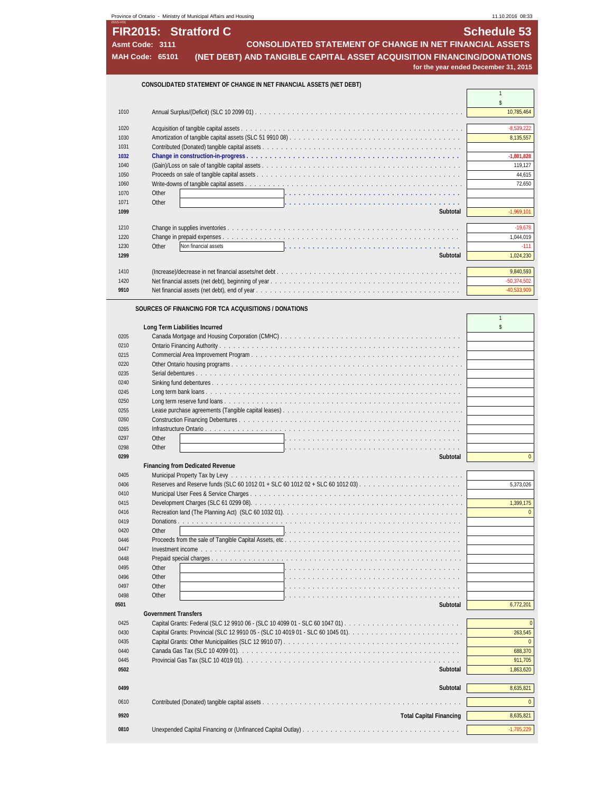| 11.10.2016 08:33 |                                                                       |
|------------------|-----------------------------------------------------------------------|
|                  | Schedule 53                                                           |
|                  | <b>CONSOLIDATED STATEMENT OF CHANGE IN NET FINANCIAL ASSETS</b>       |
|                  | (NET DEBT) AND TANGIBLE CAPITAL ASSET ACQUISITION FINANCING/DONATIONS |
|                  | for the year ended December 31, 2015                                  |
|                  |                                                                       |
|                  |                                                                       |
|                  |                                                                       |
|                  |                                                                       |
|                  |                                                                       |
|                  |                                                                       |
|                  |                                                                       |
|                  |                                                                       |
|                  |                                                                       |
|                  |                                                                       |
|                  |                                                                       |
|                  | Subtotal                                                              |
|                  |                                                                       |
|                  |                                                                       |
|                  |                                                                       |
|                  | Subtotal                                                              |
|                  |                                                                       |
|                  |                                                                       |
|                  |                                                                       |
|                  |                                                                       |
|                  |                                                                       |
|                  |                                                                       |
|                  |                                                                       |
|                  |                                                                       |
|                  |                                                                       |
|                  |                                                                       |
|                  |                                                                       |
|                  |                                                                       |
|                  |                                                                       |
|                  |                                                                       |
|                  |                                                                       |
|                  |                                                                       |
|                  | Subtotal                                                              |
|                  |                                                                       |
|                  |                                                                       |
|                  |                                                                       |
|                  |                                                                       |
|                  |                                                                       |
|                  |                                                                       |
|                  |                                                                       |
|                  |                                                                       |
|                  |                                                                       |
|                  |                                                                       |
|                  |                                                                       |
|                  |                                                                       |
|                  |                                                                       |
|                  | Subtotal                                                              |
|                  |                                                                       |
|                  |                                                                       |
|                  |                                                                       |
|                  |                                                                       |
|                  | Subtotal                                                              |
|                  | Subtotal                                                              |
|                  |                                                                       |
|                  | <b>Total Capital Financing</b>                                        |
|                  |                                                                       |
|                  |                                                                       |
|                  |                                                                       |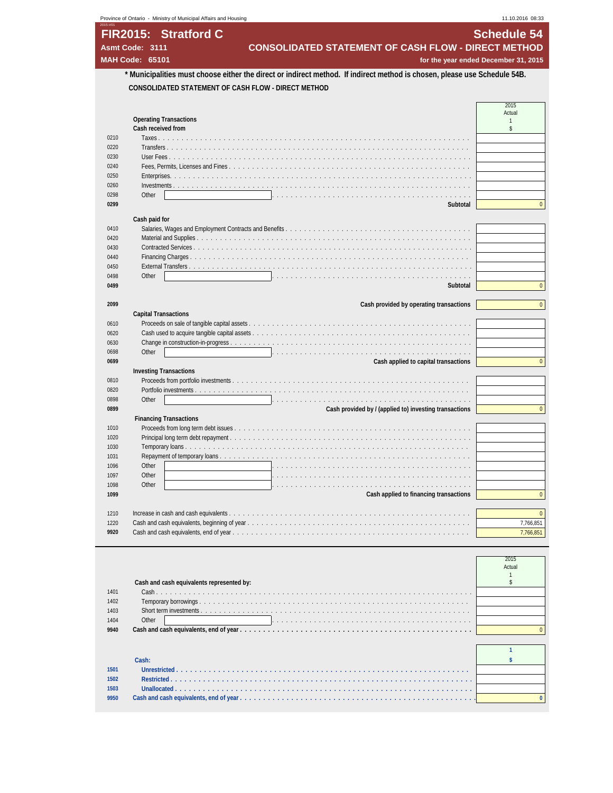| Asmt Code: 3111        | FIR2015: Stratford C                | <b>CONSOLIDATED STATEMENT OF CASH FLOW - DIRECT METHOD</b>                                                                | <b>Schedule 54</b> |
|------------------------|-------------------------------------|---------------------------------------------------------------------------------------------------------------------------|--------------------|
|                        |                                     |                                                                                                                           |                    |
| <b>MAH Code: 65101</b> |                                     | for the year ended December 31, 2015                                                                                      |                    |
|                        |                                     | * Municipalities must choose either the direct or indirect method. If indirect method is chosen, please use Schedule 54B. |                    |
|                        |                                     | CONSOLIDATED STATEMENT OF CASH FLOW - DIRECT METHOD                                                                       |                    |
|                        |                                     |                                                                                                                           | 2015               |
|                        |                                     |                                                                                                                           | Actual             |
|                        | <b>Operating Transactions</b>       |                                                                                                                           | $\mathbf{1}$       |
| 0210                   | Cash received from                  |                                                                                                                           | \$                 |
| 0220                   | Transfers                           |                                                                                                                           |                    |
| 0230                   | User Fees                           |                                                                                                                           |                    |
| 0240                   | Fees, Permits, Licenses and Fines   |                                                                                                                           |                    |
| 0250                   | Enterprises.                        |                                                                                                                           |                    |
| 0260                   |                                     |                                                                                                                           |                    |
| 0298<br>Other          |                                     |                                                                                                                           |                    |
| 0299                   |                                     | Subtotal                                                                                                                  | $\mathbf{0}$       |
|                        |                                     |                                                                                                                           |                    |
| Cash paid for          |                                     |                                                                                                                           |                    |
| 0410                   |                                     |                                                                                                                           |                    |
| 0420<br>0430           | Contracted Services                 |                                                                                                                           |                    |
| 0440                   | Financing Charges                   |                                                                                                                           |                    |
| 0450                   | External Transfers                  |                                                                                                                           |                    |
| 0498<br>Other          |                                     |                                                                                                                           |                    |
| 0499                   |                                     | Subtotal                                                                                                                  | $\Omega$           |
|                        |                                     |                                                                                                                           |                    |
| 2099                   |                                     | Cash provided by operating transactions                                                                                   | $\mathbf{0}$       |
|                        | <b>Capital Transactions</b>         |                                                                                                                           |                    |
| 0610                   |                                     |                                                                                                                           |                    |
| 0620                   |                                     |                                                                                                                           |                    |
| 0630                   |                                     |                                                                                                                           |                    |
| Other<br>0698          |                                     |                                                                                                                           |                    |
| 0699                   |                                     | Cash applied to capital transactions                                                                                      | $\mathbf{0}$       |
|                        | <b>Investing Transactions</b>       |                                                                                                                           |                    |
| 0810                   | Proceeds from portfolio investments |                                                                                                                           |                    |
| 0820                   |                                     |                                                                                                                           |                    |
| 0898<br>Other          |                                     |                                                                                                                           |                    |
| 0899                   |                                     | Cash provided by / (applied to) investing transactions                                                                    | $\mathbf{0}$       |
|                        | <b>Financing Transactions</b>       |                                                                                                                           |                    |
| 1010                   | Proceeds from long term debt issues |                                                                                                                           |                    |
| 1020                   |                                     |                                                                                                                           |                    |
| 1030                   |                                     |                                                                                                                           |                    |
| 1031<br>Other<br>1096  |                                     |                                                                                                                           |                    |
| 1097<br>Other          |                                     |                                                                                                                           |                    |
| 1098<br>Other          |                                     |                                                                                                                           |                    |
| 1099                   |                                     | Cash applied to financing transactions                                                                                    | $\mathbf{0}$       |
|                        |                                     |                                                                                                                           |                    |
| 1210                   |                                     |                                                                                                                           |                    |
|                        |                                     |                                                                                                                           |                    |
| 1220                   |                                     |                                                                                                                           | 7,766,851          |

|      | Cash and cash equivalents represented by: | 2015<br>Actual |
|------|-------------------------------------------|----------------|
|      |                                           |                |
| 1401 |                                           |                |
| 1402 |                                           |                |
| 1403 |                                           |                |
| 1404 | Other                                     |                |
| 9940 |                                           |                |
|      |                                           |                |
|      |                                           |                |

**Cash: A** Cash: **A Cash: \$** Cash: **\$** Cash: **\$** Cash: **\$** Cash: **\$** Cash: **\$** Cash: **\$** Cash: **\$** Cash: **\$** Cash: **\$** Cash: **\$** Cash: **\$** Cash: **\$** Cash: **\$** Cash: **\$** Cash: **\$** Cash: **\$** Cash: **\$** Cash: **\$** Cash: **\$ Unrestricted . . . . . . . . . . . . . . . . . . . . . . . . . . . . . . . . . . . . . . . . . . . . . . . . . . . . . . . . . . . . . . . Restricted . . . . . . . . . . . . . . . . . . . . . . . . . . . . . . . . . . . . . . . . . . . . . . . . . . . . . . . . . . . . . . . . . Unallocated . . . . . . . . . . . . . . . . . . . . . . . . . . . . . . . . . . . . . . . . . . . . . . . . . . . . . . . . . . . . . . . . 9950 Cash and cash equivalents, end of year . . . . . . . . . . . . . . . . . . . . . . . . . . . . . . . . . . . . . . . . . . . . . . . . . . . 0**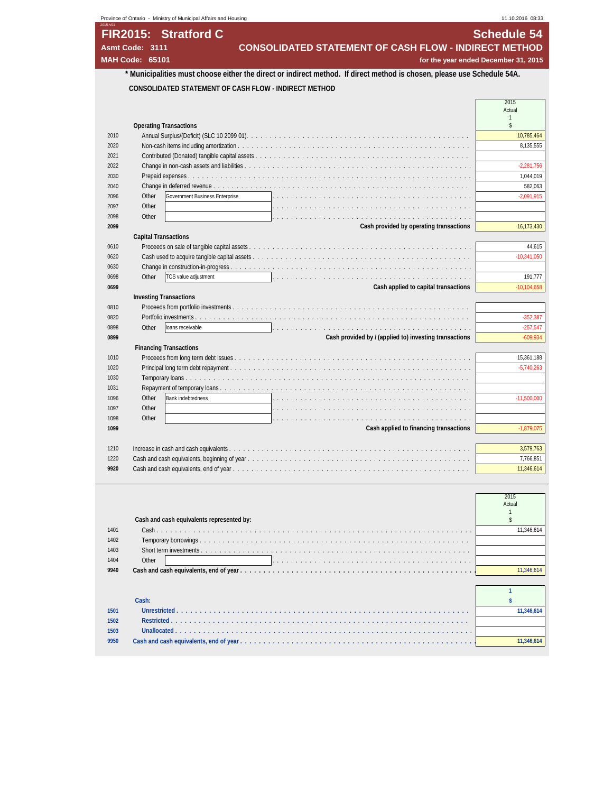| 11.10.2016 08:33   |                                                                                                                         | Province of Ontario - Ministry of Municipal Affairs and Housing |
|--------------------|-------------------------------------------------------------------------------------------------------------------------|-----------------------------------------------------------------|
| <b>Schedule 54</b> |                                                                                                                         | FIR2015: Stratford C                                            |
|                    | <b>CONSOLIDATED STATEMENT OF CASH FLOW - INDIRECT METHOD</b>                                                            | Asmt Code: 3111                                                 |
|                    | for the year ended December 31, 2015                                                                                    | <b>MAH Code: 65101</b>                                          |
|                    | * Municipalities must choose either the direct or indirect method. If direct method is chosen, please use Schedule 54A. |                                                                 |
|                    |                                                                                                                         |                                                                 |
|                    | CONSOLIDATED STATEMENT OF CASH FLOW - INDIRECT METHOD                                                                   |                                                                 |
| 2015               |                                                                                                                         |                                                                 |
| Actual             |                                                                                                                         |                                                                 |
| s                  |                                                                                                                         | <b>Operating Transactions</b>                                   |
| 10,785,464         |                                                                                                                         | 2010                                                            |
| 8,135,555          |                                                                                                                         | 2020                                                            |
|                    | Contributed (Donated) tangible capital assets                                                                           | 2021                                                            |
| $-2,281,756$       |                                                                                                                         | 2022                                                            |
| 1,044,019          |                                                                                                                         | 2030                                                            |
| 582,063            | Change in deferred revenue                                                                                              | 2040                                                            |
| $-2,091,915$       | Government Business Enterprise                                                                                          | Other<br>2096                                                   |
|                    |                                                                                                                         | Other<br>2097                                                   |
|                    |                                                                                                                         | 2098<br>Other                                                   |
| 16,173,430         | Cash provided by operating transactions                                                                                 | 2099                                                            |
|                    |                                                                                                                         | <b>Capital Transactions</b>                                     |
| 44,615             |                                                                                                                         | 0610                                                            |
| $-10.341.050$      |                                                                                                                         | 0620                                                            |
|                    | Change in construction-in-progress                                                                                      | 0630                                                            |
| 191,777            |                                                                                                                         | 0698<br>Other                                                   |
| $-10, 104, 658$    | Cash applied to capital transactions                                                                                    | 0699                                                            |
|                    |                                                                                                                         | <b>Investing Transactions</b>                                   |
|                    |                                                                                                                         | 0810                                                            |
| $-352,387$         | Portfolio investments                                                                                                   | 0820                                                            |
| $-257,547$         |                                                                                                                         | 0898<br>Other                                                   |
| $-609,934$         | Cash provided by / (applied to) investing transactions                                                                  | 0899                                                            |
|                    |                                                                                                                         | <b>Financing Transactions</b>                                   |
| 15,361,188         |                                                                                                                         | 1010                                                            |
| $-5,740,263$       |                                                                                                                         | 1020                                                            |
|                    |                                                                                                                         | 1030                                                            |
|                    | Repayment of temporary loans                                                                                            | 1031                                                            |
| $-11,500,000$      |                                                                                                                         | Other<br>1096                                                   |
|                    |                                                                                                                         | 1097<br>Other                                                   |
|                    |                                                                                                                         | 1098<br>Other                                                   |
| $-1,879,075$       | Cash applied to financing transactions                                                                                  | 1099                                                            |
| 3,579,763          |                                                                                                                         | 1210                                                            |
|                    |                                                                                                                         |                                                                 |
| 7,766,851          | Cash and cash equivalents, beginning of year                                                                            | 1220                                                            |

|      | Cash and cash equivalents represented by: | 2015<br>Actual |
|------|-------------------------------------------|----------------|
| 1401 |                                           |                |
| 1402 |                                           |                |
| 1403 |                                           |                |
| 1404 | Other                                     |                |
| 9940 |                                           |                |

| 1501 |  |
|------|--|
| 1502 |  |
| 1503 |  |
| 9950 |  |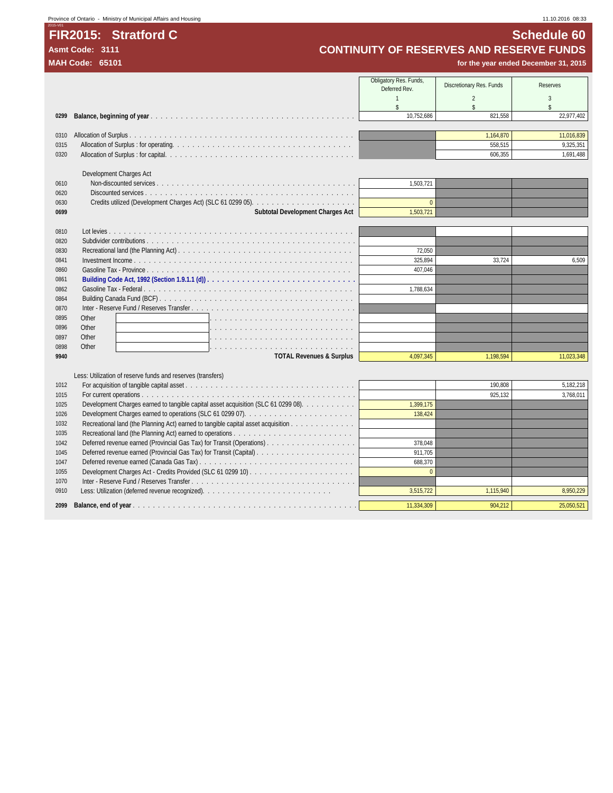## 2015-V01 **FIR2015: Stratford C Schedule 60**

Province of Ontario - Ministry of Municipal Affairs and Housing 11.10.2016 08:33

Asmt Code: 3111<br> **Asmt Code: 3111 CONTINUITY OF RESERVES AND RESERVE FUNDS**<br> **MAH Code: 65101 for the year ended December 31, 2015** 

|              |                                                                                    | Obligatory Res. Funds,<br>Deferred Rev. | Discretionary Res. Funds | <b>Reserves</b>    |
|--------------|------------------------------------------------------------------------------------|-----------------------------------------|--------------------------|--------------------|
|              |                                                                                    | $\overline{1}$                          | $\overline{2}$           | 3                  |
|              |                                                                                    | $\mathsf{\$}$                           | $\mathsf{\$}$            | $\hat{\mathbf{S}}$ |
| 0299         |                                                                                    | 10,752,686                              | 821,558                  | 22,977,402         |
|              |                                                                                    |                                         |                          |                    |
| 0310         |                                                                                    |                                         | 1,164,870                | 11,016,839         |
| 0315         |                                                                                    |                                         | 558.515                  | 9,325,351          |
| 0320         |                                                                                    |                                         | 606,355                  | 1,691,488          |
|              |                                                                                    |                                         |                          |                    |
|              | Development Charges Act                                                            |                                         |                          |                    |
| 0610         |                                                                                    | 1,503,721                               |                          |                    |
| 0620         |                                                                                    |                                         |                          |                    |
| 0630         |                                                                                    | $\overline{0}$                          |                          |                    |
| 0699         | Subtotal Development Charges Act                                                   | 1,503,721                               |                          |                    |
|              |                                                                                    |                                         |                          |                    |
| 0810         |                                                                                    |                                         |                          |                    |
| 0820         |                                                                                    | 72,050                                  |                          |                    |
| 0830<br>0841 |                                                                                    | 325,894                                 | 33,724                   | 6,509              |
| 0860         |                                                                                    | 407.046                                 |                          |                    |
| 0861         |                                                                                    |                                         |                          |                    |
| 0862         |                                                                                    | 1,788,634                               |                          |                    |
| 0864         |                                                                                    |                                         |                          |                    |
| 0870         |                                                                                    |                                         |                          |                    |
| 0895         | Other                                                                              |                                         |                          |                    |
| 0896         | Other                                                                              |                                         |                          |                    |
| 0897         | Other                                                                              |                                         |                          |                    |
| 0898         | Other                                                                              |                                         |                          |                    |
| 9940         | <b>TOTAL Revenues &amp; Surplus</b>                                                | 4,097,345                               | 1,198,594                | 11,023,348         |
|              |                                                                                    |                                         |                          |                    |
|              | Less: Utilization of reserve funds and reserves (transfers)                        |                                         |                          |                    |
| 1012         |                                                                                    |                                         | 190,808                  | 5,182,218          |
| 1015         |                                                                                    |                                         | 925,132                  | 3.768.011          |
| 1025         | Development Charges earned to tangible capital asset acquisition (SLC 61 0299 08). | 1,399,175                               |                          |                    |
| 1026         |                                                                                    | 138,424                                 |                          |                    |
| 1032         | Recreational land (the Planning Act) earned to tangible capital asset acquisition  |                                         |                          |                    |
| 1035         |                                                                                    |                                         |                          |                    |
| 1042         |                                                                                    | 378.048                                 |                          |                    |
| 1045         |                                                                                    | 911,705                                 |                          |                    |
| 1047         |                                                                                    | 688,370                                 |                          |                    |
| 1055         |                                                                                    | $\theta$                                |                          |                    |
| 1070         |                                                                                    |                                         |                          |                    |
| 0910         |                                                                                    | 3,515,722                               | 1,115,940                | 8,950,229          |
| 2099         |                                                                                    | 11,334,309                              | 904,212                  | 25,050,521         |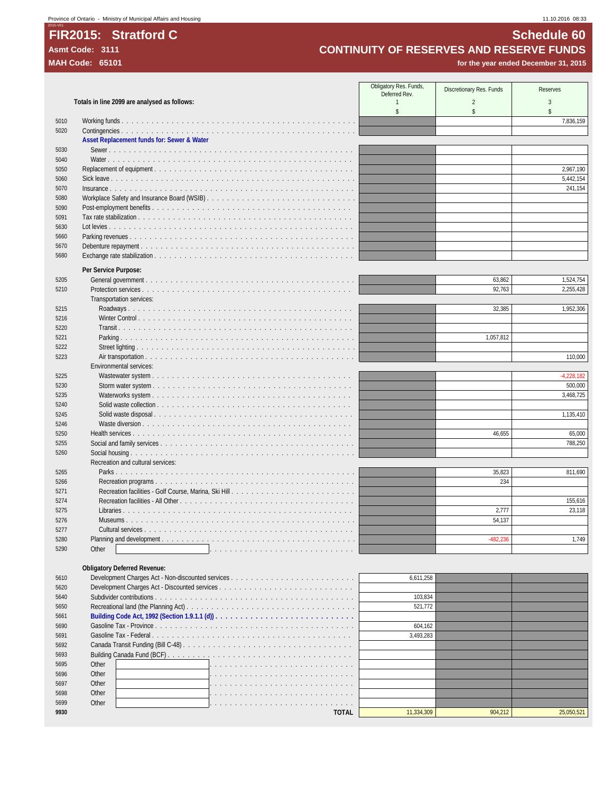## **FIR2015: Stratford C Schedule 60**<br>Asmt Code: 3111 **Schedule 60**<br>CONTINUITY OF RESERVES AND RESERVE FUNDS Asmt Code: 3111<br> **CONTINUITY OF RESERVES AND RESERVE FUNDS**<br>
for the year ended December 31, 2015<br> **MAH Code:** 65101

for the year ended December 31, 2015

|              |                                                 | Obligatory Res. Funds, | Discretionary Res. Funds | <b>Reserves</b> |
|--------------|-------------------------------------------------|------------------------|--------------------------|-----------------|
|              |                                                 | Deferred Rev.          |                          |                 |
|              | Totals in line 2099 are analysed as follows:    | $\mathbf{1}$<br>\$     | $\overline{2}$<br>\$     | 3<br>\$         |
| 5010         |                                                 |                        |                          | 7,836,159       |
| 5020         |                                                 |                        |                          |                 |
|              | Asset Replacement funds for: Sewer & Water      |                        |                          |                 |
| 5030         |                                                 |                        |                          |                 |
| 5040         |                                                 |                        |                          |                 |
| 5050         |                                                 |                        |                          | 2,967,190       |
| 5060         |                                                 |                        |                          | 5,442,154       |
| 5070         | $Insurface. \ldots \ldots \ldots \ldots \ldots$ |                        |                          | 241,154         |
| 5080         |                                                 |                        |                          |                 |
| 5090         |                                                 |                        |                          |                 |
| 5091         |                                                 |                        |                          |                 |
| 5630         |                                                 |                        |                          |                 |
| 5660         |                                                 |                        |                          |                 |
| 5670         |                                                 |                        |                          |                 |
| 5680         |                                                 |                        |                          |                 |
|              |                                                 |                        |                          |                 |
|              | Per Service Purpose:                            |                        |                          |                 |
| 5205         |                                                 |                        | 63,862                   | 1,524,754       |
| 5210         |                                                 |                        | 92,763                   | 2,255,428       |
|              | Transportation services:                        |                        |                          |                 |
| 5215         |                                                 |                        | 32,385                   | 1,952,306       |
| 5216         | Winter Control                                  |                        |                          |                 |
| 5220         |                                                 |                        |                          |                 |
| 5221         |                                                 |                        | 1,057,812                |                 |
| 5222         |                                                 |                        |                          |                 |
| 5223         |                                                 |                        |                          | 110,000         |
|              | Environmental services:                         |                        |                          |                 |
| 5225         |                                                 |                        |                          | $-4,228,182$    |
| 5230         |                                                 |                        |                          | 500,000         |
| 5235         |                                                 |                        |                          | 3,468,725       |
| 5240<br>5245 |                                                 |                        |                          | 1,135,410       |
|              | Solid waste disposal                            |                        |                          |                 |
| 5246<br>5250 |                                                 |                        | 46,655                   | 65,000          |
| 5255         |                                                 |                        |                          | 788,250         |
| 5260         |                                                 |                        |                          |                 |
|              | Recreation and cultural services:               |                        |                          |                 |
| 5265         |                                                 |                        | 35,823                   | 811,690         |
| 5266         |                                                 |                        | 234                      |                 |
| 5271         |                                                 |                        |                          |                 |
| 5274         |                                                 |                        |                          | 155,616         |
| 5275         |                                                 |                        | 2,777                    | 23,118          |
| 5276         |                                                 |                        | 54,137                   |                 |
| 5277         |                                                 |                        |                          |                 |
| 5280         |                                                 |                        | $-482,236$               | 1,749           |
| 5290         | Other                                           |                        |                          |                 |
|              |                                                 |                        |                          |                 |
|              | <b>Obligatory Deferred Revenue:</b>             |                        |                          |                 |
| 5610         |                                                 | 6,611,258              |                          |                 |
| 5620         |                                                 |                        |                          |                 |
| 5640         |                                                 | 103,834                |                          |                 |
| 5650         |                                                 | 521,772                |                          |                 |
| 5661         |                                                 |                        |                          |                 |
| 5690         |                                                 | 604,162                |                          |                 |
| 5691         |                                                 | 3,493,283              |                          |                 |
| 5692         |                                                 |                        |                          |                 |
| 5693         |                                                 |                        |                          |                 |
|              |                                                 |                        |                          |                 |

 Other . . . . . . . . . . . . . . . . . . . . . . . . . . . . . Other . . . . . . . . . . . . . . . . . . . . . . . . . . . . . Other . . . . . . . . . . . . . . . . . . . . . . . . . . . . . Other . . . . . . . . . . . . . . . . . . . . . . . . . . . . . Other . . . . . . . . . . . . . . . . . . . . . . . . . . . . . **TOTAL** 11,334,309 904,212 25,050,521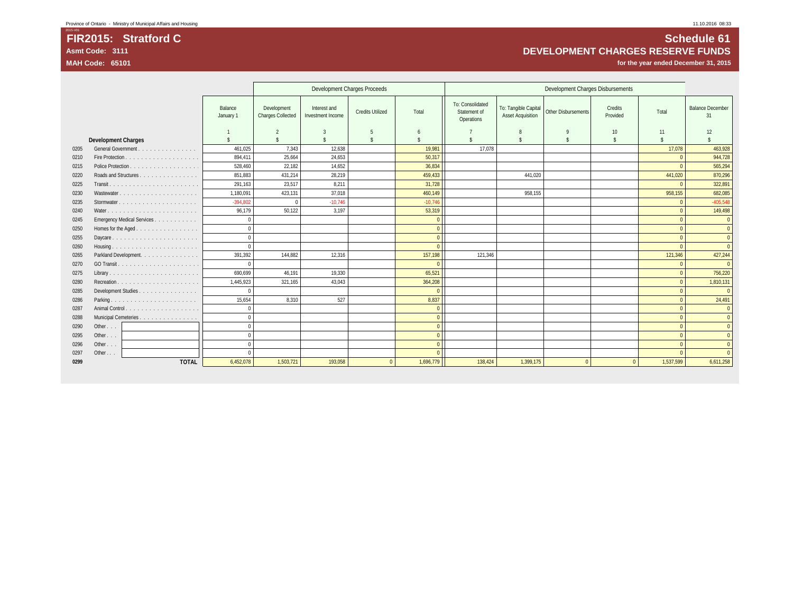## **FIR2015: Stratford C Schedule 61 Asmt Code: 3111 DEVELOPMENT CHARGES RESERVE FUNDS**

for the year ended December 31, 2015

|      |                            |                      | Development Charges Proceeds<br>Development Charges Disbursements |                                   |                         |           |                                                |                                                  |                     |                     |              |                               |
|------|----------------------------|----------------------|-------------------------------------------------------------------|-----------------------------------|-------------------------|-----------|------------------------------------------------|--------------------------------------------------|---------------------|---------------------|--------------|-------------------------------|
|      |                            | Balance<br>January 1 | Development<br>Charges Collected                                  | Interest and<br>Investment Income | <b>Credits Utilized</b> | Total     | To: Consolidated<br>Statement of<br>Operations | To: Tangible Capital<br><b>Asset Acquisition</b> | Other Disbursements | Credits<br>Provided | Total        | <b>Balance December</b><br>31 |
|      |                            |                      | $\overline{2}$                                                    |                                   |                         | 6         |                                                | 8                                                |                     | 10                  | 11           | 12                            |
|      | <b>Development Charges</b> |                      | $\hat{\mathbf{x}}$                                                |                                   | Ŝ                       |           |                                                | \$                                               |                     | $\mathcal{S}$       | \$           |                               |
| 0205 | General Government         | 461,025              | 7,343                                                             | 12,638                            |                         | 19,981    | 17,078                                         |                                                  |                     |                     | 17,078       | 463,928                       |
| 0210 |                            | 894.411              | 25,664                                                            | 24.653                            |                         | 50.317    |                                                |                                                  |                     |                     | $\Omega$     | 944,728                       |
| 0215 |                            | 528,460              | 22,182                                                            | 14,652                            |                         | 36,834    |                                                |                                                  |                     |                     | $\Omega$     | 565,294                       |
| 0220 | Roads and Structures       | 851,883              | 431,214                                                           | 28,219                            |                         | 459,433   |                                                | 441,020                                          |                     |                     | 441,020      | 870,296                       |
| 0225 |                            | 291,163              | 23,517                                                            | 8,211                             |                         | 31.728    |                                                |                                                  |                     |                     | $\Omega$     | 322,891                       |
| 0230 |                            | 1,180,091            | 423,131                                                           | 37,018                            |                         | 460,149   |                                                | 958.155                                          |                     |                     | 958.155      | 682,085                       |
| 0235 |                            | $-394,802$           |                                                                   | $-10,746$                         |                         | $-10,746$ |                                                |                                                  |                     |                     | $\Omega$     | $-405,548$                    |
| 0240 |                            | 96.179               | 50.122                                                            | 3,197                             |                         | 53,319    |                                                |                                                  |                     |                     | $\Omega$     | 149,498                       |
| 0245 | Emergency Medical Services | $\mathbf{0}$         |                                                                   |                                   |                         | $\Omega$  |                                                |                                                  |                     |                     | $\Omega$     | $\overline{0}$                |
| 0250 | Homes for the Aged         | $\Omega$             |                                                                   |                                   |                         | $\Omega$  |                                                |                                                  |                     |                     | $\Omega$     | $\overline{0}$                |
| 0255 |                            | $\mathbf{0}$         |                                                                   |                                   |                         | $\Omega$  |                                                |                                                  |                     |                     | $\Omega$     | $\Omega$                      |
| 0260 |                            | $\Omega$             |                                                                   |                                   |                         | $\Omega$  |                                                |                                                  |                     |                     | $\Omega$     | $\Omega$                      |
| 0265 | Parkland Development.      | 391,392              | 144,882                                                           | 12,316                            |                         | 157,198   | 121,346                                        |                                                  |                     |                     | 121,346      | 427,244                       |
| 0270 |                            |                      |                                                                   |                                   |                         |           |                                                |                                                  |                     |                     | $\mathbf{0}$ | $\Omega$                      |
| 0275 |                            | 690,699              | 46,191                                                            | 19,330                            |                         | 65,521    |                                                |                                                  |                     |                     | $\Omega$     | 756,220                       |
| 0280 |                            | 1,445,923            | 321,165                                                           | 43,043                            |                         | 364,208   |                                                |                                                  |                     |                     | $\Omega$     | 1,810,131                     |
| 0285 | Development Studies        | $\Omega$             |                                                                   |                                   |                         | $\Omega$  |                                                |                                                  |                     |                     | $\Omega$     | $\Omega$                      |
| 0286 | Parking                    | 15,654               | 8,310                                                             | 527                               |                         | 8,837     |                                                |                                                  |                     |                     | $\Omega$     | 24,491                        |
| 0287 |                            | $\mathbf{0}$         |                                                                   |                                   |                         | $\Omega$  |                                                |                                                  |                     |                     | $\Omega$     | $\overline{0}$                |
| 0288 | Municipal Cemeteries       | $\Omega$             |                                                                   |                                   |                         | $\Omega$  |                                                |                                                  |                     |                     | $\Omega$     | $\overline{0}$                |
| 0290 | Other                      | $\Omega$             |                                                                   |                                   |                         | $\Omega$  |                                                |                                                  |                     |                     | $\Omega$     | $\Omega$                      |
| 0295 | Other $\ldots$             | $\Omega$             |                                                                   |                                   |                         | $\Omega$  |                                                |                                                  |                     |                     | $\Omega$     | $\overline{0}$                |
| 0296 | Other                      | $\Omega$             |                                                                   |                                   |                         | $\Omega$  |                                                |                                                  |                     |                     | $\Omega$     | $\Omega$                      |
| 0297 | Other                      |                      |                                                                   |                                   |                         |           |                                                |                                                  |                     |                     |              | $\Omega$                      |
| 0299 | <b>TOTAL</b>               | 6.452.078            | 1.503.721                                                         | 193.058                           | $\Omega$                | 1.696.779 | 138.424                                        | 1.399.175                                        | $\Omega$            | $\Omega$            | 1.537.599    | 6.611.258                     |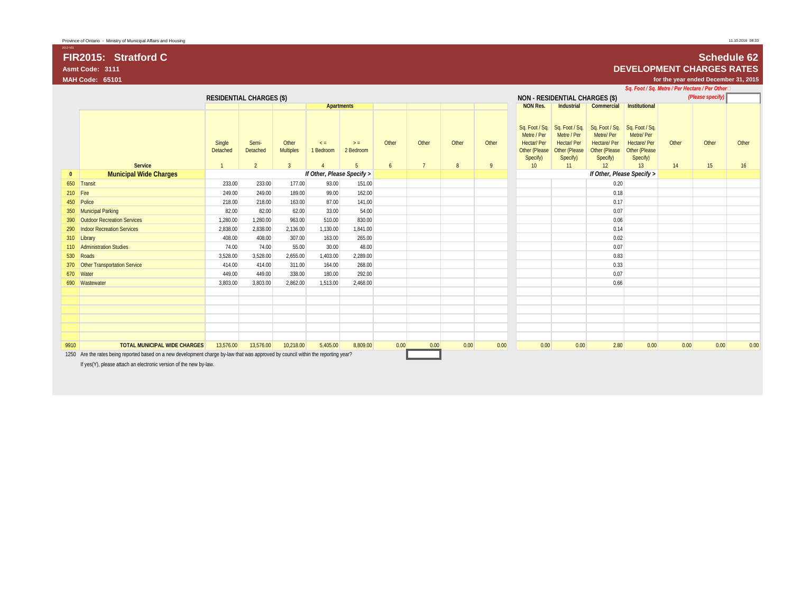# **Asmt Code: 3111 DEVELOPMENT CHARGES RATES**

2012-V01

## **FIR2015: Stratford C Schedule 62**

**MAH Code: 65101 for the year ended December 31, 2015**

|              |                                                                                                                                    |                                 |                   |                           |                            |                    |       |                 |       |       |                                                               |                                                                                                    |                                                                                | Sq. Foot / Sq. Metre / Per Hectare / Per Other                                 |       |                  |       |
|--------------|------------------------------------------------------------------------------------------------------------------------------------|---------------------------------|-------------------|---------------------------|----------------------------|--------------------|-------|-----------------|-------|-------|---------------------------------------------------------------|----------------------------------------------------------------------------------------------------|--------------------------------------------------------------------------------|--------------------------------------------------------------------------------|-------|------------------|-------|
|              |                                                                                                                                    | <b>RESIDENTIAL CHARGES (\$)</b> |                   |                           |                            |                    |       |                 |       |       |                                                               | <b>NON - RESIDENTIAL CHARGES (\$)</b>                                                              |                                                                                |                                                                                |       | (Please specify) |       |
|              |                                                                                                                                    |                                 |                   |                           | <b>Apartments</b>          |                    |       |                 |       |       | <b>NON Res.</b>                                               | Industrial                                                                                         | Commercial                                                                     | Institutional                                                                  |       |                  |       |
|              |                                                                                                                                    | Single<br>Detached              | Semi-<br>Detached | Other<br><b>Multiples</b> | $\leq$ =<br>1 Bedroom      | $>$ =<br>2 Bedroom | Other | Other           | Other | Other | Metre / Per<br><b>Hectar/Per</b><br>Other (Please<br>Specify) | Sq. Foot / Sq.   Sq. Foot / Sq.  <br>Metre / Per<br><b>Hectar/Per</b><br>Other (Please<br>Specify) | Sq. Foot / Sq.<br>Metre/Per<br><b>Hectare/Per</b><br>Other (Please<br>Specify) | Sq. Foot / Sq.<br>Metre/Per<br><b>Hectare/Per</b><br>Other (Please<br>Specify) | Other | Other            | Other |
|              | Service                                                                                                                            | $\mathbf{1}$                    | $\overline{2}$    | $\overline{3}$            |                            | $5\overline{)}$    | 6     | $7\overline{ }$ | 8     | 9     | 10 <sup>°</sup>                                               | 11                                                                                                 | 12                                                                             | 13                                                                             | 14    | 15               | 16    |
| $\mathbf{0}$ | <b>Municipal Wide Charges</b>                                                                                                      |                                 |                   |                           | If Other, Please Specify > |                    |       |                 |       |       |                                                               |                                                                                                    |                                                                                | If Other, Please Specify >                                                     |       |                  |       |
|              | 650 Transit                                                                                                                        | 233.00                          | 233.00            | 177.00                    | 93.00                      | 151.00             |       |                 |       |       |                                                               |                                                                                                    | 0.20                                                                           |                                                                                |       |                  |       |
| 210 Fire     |                                                                                                                                    | 249.00                          | 249.00            | 189.00                    | 99.00                      | 162.00             |       |                 |       |       |                                                               |                                                                                                    | 0.18                                                                           |                                                                                |       |                  |       |
|              | 450 Police                                                                                                                         | 218.00                          | 218.00            | 163.00                    | 87.00                      | 141.00             |       |                 |       |       |                                                               |                                                                                                    | 0.17                                                                           |                                                                                |       |                  |       |
|              | 350 Municipal Parking                                                                                                              | 82.00                           | 82.00             | 62.00                     | 33.00                      | 54.00              |       |                 |       |       |                                                               |                                                                                                    | 0.07                                                                           |                                                                                |       |                  |       |
|              | 390 Outdoor Recreation Services                                                                                                    | 1.280.00                        | 1,280.00          | 963.00                    | 510.00                     | 830.00             |       |                 |       |       |                                                               |                                                                                                    | 0.06                                                                           |                                                                                |       |                  |       |
|              | 290 Indoor Recreation Services                                                                                                     | 2,838.00                        | 2,838.00          | 2,136.00                  | 1,130.00                   | 1,841.00           |       |                 |       |       |                                                               |                                                                                                    | 0.14                                                                           |                                                                                |       |                  |       |
|              | 310 Library                                                                                                                        | 408.00                          | 408.00            | 307.00                    | 163.00                     | 265.00             |       |                 |       |       |                                                               |                                                                                                    | 0.02                                                                           |                                                                                |       |                  |       |
|              | 110 Administration Studies                                                                                                         | 74.00                           | 74.00             | 55.00                     | 30.00                      | 48.00              |       |                 |       |       |                                                               |                                                                                                    | 0.07                                                                           |                                                                                |       |                  |       |
|              | 530 Roads                                                                                                                          | 3,528.00                        | 3,528.00          | 2,655.00                  | 1,403.00                   | 2,289.00           |       |                 |       |       |                                                               |                                                                                                    | 0.83                                                                           |                                                                                |       |                  |       |
|              | 370 Other Transportation Service                                                                                                   | 414.00                          | 414.00            | 311.00                    | 164.00                     | 268.00             |       |                 |       |       |                                                               |                                                                                                    | 0.33                                                                           |                                                                                |       |                  |       |
|              | 670 Water                                                                                                                          | 449.00                          | 449.00            | 338.00                    | 180.00                     | 292.00             |       |                 |       |       |                                                               |                                                                                                    | 0.07                                                                           |                                                                                |       |                  |       |
|              | 690 Wastewater                                                                                                                     | 3,803.00                        | 3,803.00          | 2,862.00                  | 1,513.00                   | 2,468.00           |       |                 |       |       |                                                               |                                                                                                    | 0.66                                                                           |                                                                                |       |                  |       |
|              |                                                                                                                                    |                                 |                   |                           |                            |                    |       |                 |       |       |                                                               |                                                                                                    |                                                                                |                                                                                |       |                  |       |
|              |                                                                                                                                    |                                 |                   |                           |                            |                    |       |                 |       |       |                                                               |                                                                                                    |                                                                                |                                                                                |       |                  |       |
|              |                                                                                                                                    |                                 |                   |                           |                            |                    |       |                 |       |       |                                                               |                                                                                                    |                                                                                |                                                                                |       |                  |       |
|              |                                                                                                                                    |                                 |                   |                           |                            |                    |       |                 |       |       |                                                               |                                                                                                    |                                                                                |                                                                                |       |                  |       |
|              |                                                                                                                                    |                                 |                   |                           |                            |                    |       |                 |       |       |                                                               |                                                                                                    |                                                                                |                                                                                |       |                  |       |
|              |                                                                                                                                    |                                 |                   |                           |                            |                    |       |                 |       |       |                                                               |                                                                                                    |                                                                                |                                                                                |       |                  |       |
| 9910         | <b>TOTAL MUNICIPAL WIDE CHARGES</b>                                                                                                | 13,576.00                       | 13,576.00         | 10,218.00                 | 5,405.00                   | 8,809.00           | 0.00  | 0.00            | 0.00  | 0.00  | 0.00                                                          | 0.00                                                                                               | 2.80                                                                           | 0.00                                                                           | 0.00  | 0.00             | 0.00  |
|              | 1250 Are the rates being reported based on a new development charge by-law that was approved by council within the reporting year? |                                 |                   |                           |                            |                    |       |                 |       |       |                                                               |                                                                                                    |                                                                                |                                                                                |       |                  |       |

If yes(Y), please attach an electronic version of the new by-law.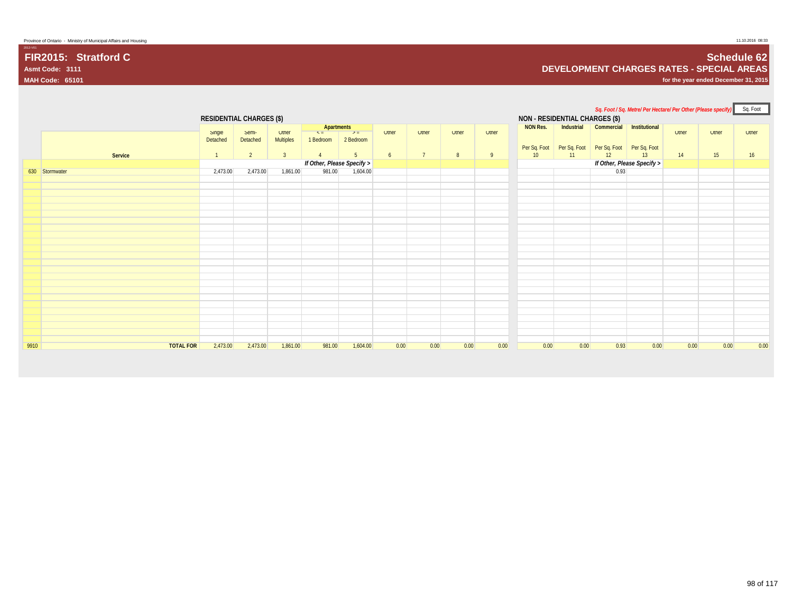## **FIR2015: Stratford C Schedule 62 Asmt Code: 3111 DEVELOPMENT CHARGES RATES - SPECIAL AREAS**

**MAH Code: 65101 for the year ended December 31, 2015**

2012-V01

|      |                  |                                             |                   |                    |                            |                |                |              |       |          |                                       |                          |                                                           | Sq. Foot / Sq. Metre/ Per Hectare/ Per Other (Please specify) Sq. Foot |      |                 |       |
|------|------------------|---------------------------------------------|-------------------|--------------------|----------------------------|----------------|----------------|--------------|-------|----------|---------------------------------------|--------------------------|-----------------------------------------------------------|------------------------------------------------------------------------|------|-----------------|-------|
|      |                  | <b>RESIDENTIAL CHARGES (\$)</b>             |                   |                    |                            |                |                |              |       |          | <b>NON - RESIDENTIAL CHARGES (\$)</b> |                          |                                                           |                                                                        |      |                 |       |
|      |                  | $\leq$ <b>Apartments</b><br>$\rightarrow$ = |                   |                    |                            | <b>Utner</b>   | Utner          | <b>Utner</b> | Utner | NON Res. | Industrial                            | Commercial Institutional |                                                           | Utner                                                                  |      |                 |       |
|      |                  | Single<br>Detached                          | Semi-<br>Detached | Utner<br>Multiples | 1 Bedroom                  | 2 Bedroom      |                |              |       |          |                                       |                          |                                                           |                                                                        |      | Utner           | Utner |
|      |                  |                                             |                   |                    |                            |                |                |              |       |          |                                       |                          | Per Sq. Foot   Per Sq. Foot   Per Sq. Foot   Per Sq. Foot |                                                                        |      |                 |       |
|      | Service          | $\overline{1}$                              | 2                 | $\overline{3}$     |                            | 5 <sup>5</sup> | 6 <sup>1</sup> | $7^{\circ}$  | 8     | 9        | 10                                    | 11                       | 12                                                        | 13                                                                     | 14   | 15 <sub>1</sub> | 16    |
|      |                  |                                             |                   |                    | If Other, Please Specify > |                |                |              |       |          |                                       |                          |                                                           | If Other, Please Specify >                                             |      |                 |       |
|      | 630 Stormwater   | 2,473.00                                    | 2,473.00          | 1,861.00           | 981.00                     | 1,604.00       |                |              |       |          |                                       |                          | 0.93                                                      |                                                                        |      |                 |       |
|      |                  |                                             |                   |                    |                            |                |                |              |       |          |                                       |                          |                                                           |                                                                        |      |                 |       |
|      |                  |                                             |                   |                    |                            |                |                |              |       |          |                                       |                          |                                                           |                                                                        |      |                 |       |
|      |                  |                                             |                   |                    |                            |                |                |              |       |          |                                       |                          |                                                           |                                                                        |      |                 |       |
|      |                  |                                             |                   |                    |                            |                |                |              |       |          |                                       |                          |                                                           |                                                                        |      |                 |       |
|      |                  |                                             |                   |                    |                            |                |                |              |       |          |                                       |                          |                                                           |                                                                        |      |                 |       |
|      |                  |                                             |                   |                    |                            |                |                |              |       |          |                                       |                          |                                                           |                                                                        |      |                 |       |
|      |                  |                                             |                   |                    |                            |                |                |              |       |          |                                       |                          |                                                           |                                                                        |      |                 |       |
|      |                  |                                             |                   |                    |                            |                |                |              |       |          |                                       |                          |                                                           |                                                                        |      |                 |       |
|      |                  |                                             |                   |                    |                            |                |                |              |       |          |                                       |                          |                                                           |                                                                        |      |                 |       |
|      |                  |                                             |                   |                    |                            |                |                |              |       |          |                                       |                          |                                                           |                                                                        |      |                 |       |
|      |                  |                                             |                   |                    |                            |                |                |              |       |          |                                       |                          |                                                           |                                                                        |      |                 |       |
|      |                  |                                             |                   |                    |                            |                |                |              |       |          |                                       |                          |                                                           |                                                                        |      |                 |       |
|      |                  |                                             |                   |                    |                            |                |                |              |       |          |                                       |                          |                                                           |                                                                        |      |                 |       |
|      |                  |                                             |                   |                    |                            |                |                |              |       |          |                                       |                          |                                                           |                                                                        |      |                 |       |
|      |                  |                                             |                   |                    |                            |                |                |              |       |          |                                       |                          |                                                           |                                                                        |      |                 |       |
|      |                  |                                             |                   |                    |                            |                |                |              |       |          |                                       |                          |                                                           |                                                                        |      |                 |       |
|      |                  |                                             |                   |                    |                            |                |                |              |       |          |                                       |                          |                                                           |                                                                        |      |                 |       |
|      |                  |                                             |                   |                    |                            |                |                |              |       |          |                                       |                          |                                                           |                                                                        |      |                 |       |
|      |                  |                                             |                   |                    |                            |                |                |              |       |          |                                       |                          |                                                           |                                                                        |      |                 |       |
|      |                  |                                             |                   |                    |                            |                |                |              |       |          |                                       |                          |                                                           |                                                                        |      |                 |       |
| 9910 | <b>TOTAL FOR</b> | 2,473.00                                    | 2,473.00          | 1,861.00           | 981.00                     | 1,604.00       | 0.00           | 0.00         | 0.00  | 0.00     | 0.00                                  | 0.00                     | 0.93                                                      | 0.00                                                                   | 0.00 | 0.00            | 0.00  |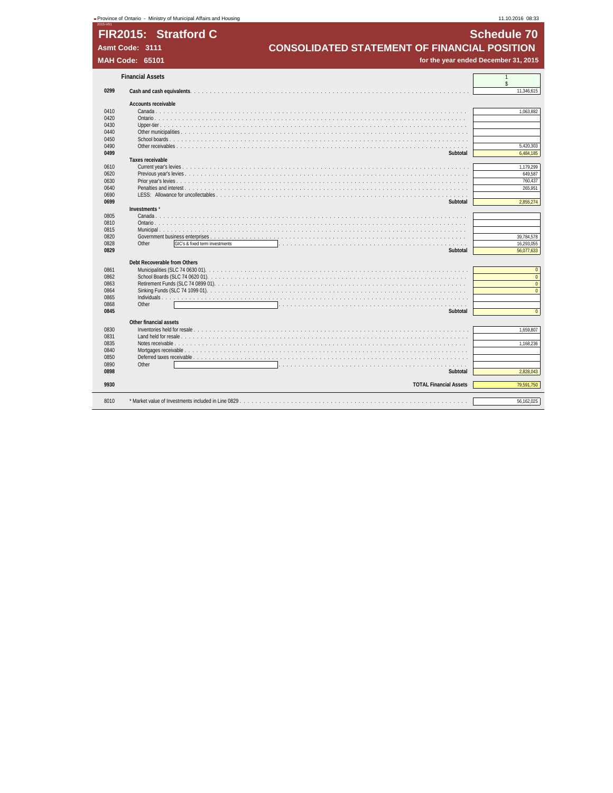|      | - Province of Ontario - Ministry of Municipal Affairs and Housing |                                                     | 11.10.2016 08:33   |
|------|-------------------------------------------------------------------|-----------------------------------------------------|--------------------|
|      | FIR2015: Stratford C                                              |                                                     | <b>Schedule 70</b> |
|      | Asmt Code: 3111                                                   | <b>CONSOLIDATED STATEMENT OF FINANCIAL POSITION</b> |                    |
|      |                                                                   |                                                     |                    |
|      | <b>MAH Code: 65101</b>                                            | for the year ended December 31, 2015                |                    |
|      | <b>Financial Assets</b>                                           |                                                     |                    |
| 0299 | Cash and cash equivalents.                                        |                                                     | ¢<br>11,346,615    |
|      | Accounts receivable                                               |                                                     |                    |
| 0410 | Canada                                                            |                                                     | 1,063,882          |
| 0420 |                                                                   |                                                     |                    |
| 0430 | Upper-tier $\ldots$ $\ldots$ .                                    |                                                     |                    |
| 0440 | Other municipalities                                              |                                                     |                    |
| 0450 | School boards.                                                    |                                                     |                    |
| 0490 | Other receivables                                                 | .                                                   | 5,420,303          |
| 0499 |                                                                   | Subtotal                                            | 6,484,185          |
|      | Taxes receivable                                                  |                                                     |                    |
| 0610 |                                                                   |                                                     | 1,179,299          |
| 0620 |                                                                   |                                                     | 649,587            |
| 0630 |                                                                   |                                                     | 760,437            |
| 0640 | Penalties and interest                                            |                                                     | 265,951            |
| 0690 |                                                                   |                                                     |                    |
| 0699 |                                                                   | Subtotal                                            | 2,855,274          |
|      | Investments *                                                     |                                                     |                    |
| 0805 | Canada.                                                           |                                                     |                    |
| 0810 | Ontario.                                                          |                                                     |                    |
| 0815 | Municipal                                                         |                                                     |                    |
| 0820 |                                                                   |                                                     | 39,784,578         |
| 0828 | Other<br>GIC's & fixed term investments                           |                                                     | 16,293,055         |
| 0829 |                                                                   | Subtotal                                            | 56,077,633         |
|      |                                                                   |                                                     |                    |
|      | Debt Recoverable from Others                                      |                                                     |                    |
| 0861 |                                                                   |                                                     |                    |
| 0862 |                                                                   |                                                     |                    |
| 0863 |                                                                   |                                                     |                    |
| 0864 |                                                                   |                                                     |                    |
| 0865 |                                                                   |                                                     |                    |
| 0868 | Other                                                             |                                                     |                    |
| 0845 |                                                                   | Subtotal                                            |                    |
|      | Other financial assets                                            |                                                     |                    |
| 0830 | Inventories held for resale.                                      |                                                     | 1,659,807          |
| 0831 | Land held for resale                                              |                                                     |                    |
| 0835 | Notes receivable                                                  |                                                     | 1,168,236          |
| 0840 |                                                                   |                                                     |                    |
| 0850 |                                                                   |                                                     |                    |
| 0890 | Other                                                             |                                                     |                    |
| 0898 |                                                                   | Subtotal                                            | 2,828,043          |
| 9930 |                                                                   | <b>TOTAL Financial Assets</b>                       | 79,591,750         |
|      |                                                                   |                                                     |                    |
| 8010 |                                                                   |                                                     | 56,162,025         |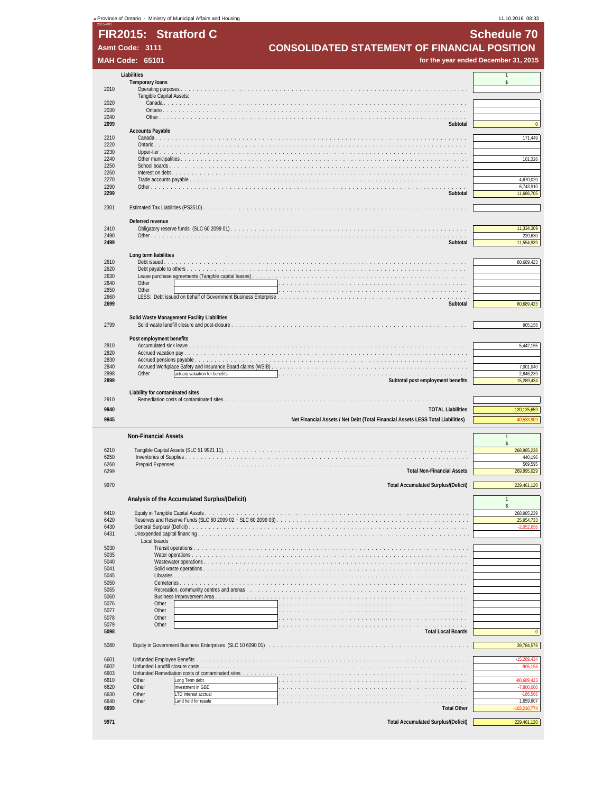|              | - Province of Ontario - Ministry of Municipal Affairs and Housing               | 11.10.2016 08:33                     |
|--------------|---------------------------------------------------------------------------------|--------------------------------------|
|              | FIR2015: Stratford C                                                            | <b>Schedule 70</b>                   |
|              | <b>CONSOLIDATED STATEMENT OF FINANCIAL POSITION</b><br>Asmt Code: 3111          |                                      |
|              | <b>MAH Code: 65101</b>                                                          | for the year ended December 31, 2015 |
|              |                                                                                 |                                      |
|              | Liabilities<br><b>Temporary loans</b>                                           | $\overline{1}$<br>$\mathbf{\hat{S}}$ |
| 2010         | Tangible Capital Assets:                                                        |                                      |
| 2020         | Canada                                                                          |                                      |
| 2030<br>2040 | Ontario                                                                         |                                      |
| 2099         | Subtotal<br><b>Accounts Payable</b>                                             | $\overline{0}$                       |
| 2210         | Canada                                                                          | 171,449                              |
| 2220<br>2230 | Upper-tier $\ldots$ .                                                           |                                      |
| 2240         | Other municipalities                                                            | 101,326                              |
| 2250<br>2260 | Interest on debt                                                                |                                      |
| 2270<br>2290 |                                                                                 | 4,670,020<br>6,743,910               |
| 2299         | Subtotal                                                                        | 11,686,705                           |
| 2301         |                                                                                 |                                      |
|              | Deferred revenue                                                                |                                      |
| 2410         |                                                                                 | 11,334,309                           |
| 2490<br>2499 | Subtotal                                                                        | 220,630<br>11,554,939                |
|              | Long term liabilities                                                           |                                      |
| 2610         | Debt issued.                                                                    | 80,689,423                           |
| 2620<br>2630 | Debt payable to others.<br>Lease purchase agreements (Tangible capital leases)  |                                      |
| 2640         | Other                                                                           |                                      |
| 2650<br>2660 | Other                                                                           |                                      |
| 2699         | Subtotal                                                                        | 80,689,423                           |
|              | Solid Waste Management Facility Liabilities                                     |                                      |
| 2799         |                                                                                 | 905,158                              |
| 2810         | Post employment benefits                                                        | 5,442,155                            |
| 2820         |                                                                                 |                                      |
| 2830<br>2840 | Accrued Workplace Safety and Insurance Board claims (WSIB)                      | 7,001,040                            |
| 2898<br>2899 | Other<br>actuary valuation for benefits                                         | 2,846,239                            |
|              | Subtotal post employment benefits                                               | 15,289,434                           |
| 2910         | Liability for contaminated sites                                                |                                      |
| 9940         | <b>TOTAL Liabilities</b>                                                        | 120,125,659                          |
| 9945         | Net Financial Assets / Net Debt (Total Financial Assets LESS Total Liabilities) | 40,533,909                           |
|              | <b>Non-Financial Assets</b>                                                     | $\overline{1}$                       |
| 6210         |                                                                                 | $\mathsf{s}$<br>268,985,238          |
| 6250<br>6260 | Prepaid Expenses                                                                | 440,196<br>569,595                   |
| 6299         | <b>Total Non-Financial Assets</b>                                               | 269,995,029                          |
| 9970         | <b>Total Accumulated Surplus/(Deficit)</b>                                      | 229,461,120                          |
|              | Analysis of the Accumulated Surplus/(Deficit)                                   |                                      |
|              |                                                                                 |                                      |
| 6410<br>6420 |                                                                                 | 268,985,239<br>25,954,733            |
| 6430<br>6431 |                                                                                 | $-2,052,656$                         |
|              | Local boards                                                                    |                                      |
| 5030<br>5035 |                                                                                 |                                      |
| 5040         |                                                                                 |                                      |
| 5041<br>5045 |                                                                                 |                                      |
| 5050<br>5055 |                                                                                 |                                      |
| 5060         | Business Improvement Area                                                       |                                      |
| 5076<br>5077 | Other<br>Other                                                                  |                                      |
| 5078<br>5079 | Other<br>Other                                                                  |                                      |
| 5098         | <b>Total Local Boards</b>                                                       |                                      |
| 5080         |                                                                                 | 39,784,578                           |
| 6601         |                                                                                 |                                      |
| 6602         |                                                                                 | $-15,289,434$<br>$-905,158$          |
| 6603<br>6610 | Unfunded Remediation costs of contaminated sites<br>Other<br>Long Term debt     | $-80,689,423$                        |
| 6620         | Investment in GBE<br>Other                                                      | $-7,800,000$                         |
| 6630<br>6640 | Other<br>LTD interest accrual<br>Other<br>Land held for resale<br>.             | $-186,566$<br>1,659,807              |
| 6699         | <b>Total Other</b>                                                              | 103,210,774                          |
| 9971         | <b>Total Accumulated Surplus/(Deficit)</b>                                      | 229,461,120                          |
|              |                                                                                 |                                      |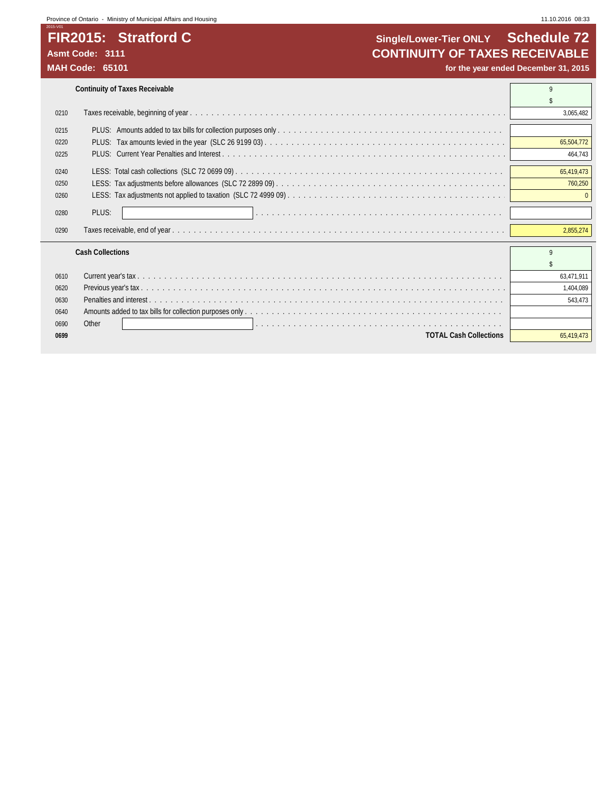# FIR2015: Stratford C

## **FIR2015: Stratford C Single/Lower-Tier ONLY Schedule 72**<br>Asmt Code: 3111 **CONTINUITY OF TAXES RECEIVABLE** Asmt Code: 3111<br>
MAH Code: 65101<br>
MAH Code: 65101

for the year ended December 31, 2015

|      | <b>Continuity of Taxes Receivable</b> |            |
|------|---------------------------------------|------------|
|      |                                       |            |
| 0210 |                                       | 3,065,482  |
| 0215 |                                       |            |
| 0220 |                                       | 65,504,772 |
| 0225 |                                       | 464,743    |
|      |                                       |            |
| 0240 |                                       | 65.419.473 |
| 0250 |                                       | 760,250    |
| 0260 |                                       |            |
| 0280 | PLUS:                                 |            |
| 0290 |                                       | 2,855,274  |
|      | <b>Cash Collections</b>               | Q          |
|      |                                       |            |
| 0610 |                                       | 63.471.911 |
| 0620 |                                       | 1,404,089  |
| 0630 |                                       | 543.473    |
| 0640 |                                       |            |
| 0690 | Other                                 |            |
| 0699 | <b>TOTAL Cash Collections</b>         | 65,419,473 |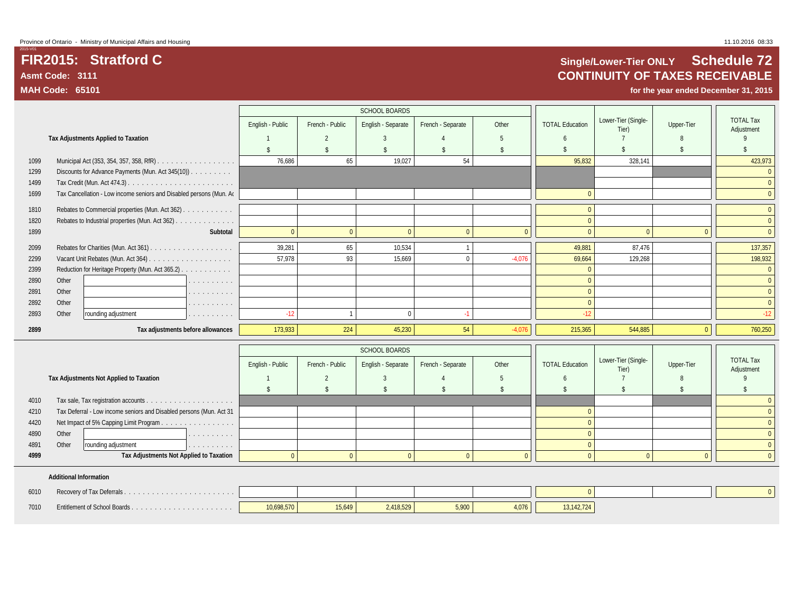## **FIR2015: Stratford C Single/Lower-Tier ONLY Schedule 72 Asmt Code: 3111 CONTINUITY OF TAXES RECEIVABLE**

**MAH Code: 65101 for the year ended December 31, 2015**

|      |       |                                                                     |                    |                          | SCHOOL BOARDS      |                    |                    |                        |                              |                    |                                |
|------|-------|---------------------------------------------------------------------|--------------------|--------------------------|--------------------|--------------------|--------------------|------------------------|------------------------------|--------------------|--------------------------------|
|      |       |                                                                     | English - Public   | French - Public          | English - Separate | French - Separate  | Other              | <b>TOTAL Education</b> | Lower-Tier (Single-<br>Tier) | Upper-Tier         | <b>TOTAL Tax</b><br>Adiustment |
|      |       | Tax Adjustments Applied to Taxation                                 |                    | $\overline{\phantom{a}}$ | 3                  |                    | 5                  | 6                      |                              |                    |                                |
|      |       |                                                                     | $\mathbf{\hat{S}}$ | $\mathbf{\hat{S}}$       | $\mathbb{S}$       | $\mathbf{\hat{S}}$ | $\mathbf{\hat{S}}$ | $\mathbf{\hat{S}}$     | $\mathbf{\hat{S}}$           | $\mathbf{\hat{s}}$ | \$                             |
| 1099 |       |                                                                     | 76,686             | 65                       | 19,027             | 54                 |                    | 95,832                 | 328,141                      |                    | 423,973                        |
| 1299 |       | Discounts for Advance Payments (Mun. Act 345(10)).                  |                    |                          |                    |                    |                    |                        |                              |                    | $\mathbf{0}$                   |
| 1499 |       |                                                                     |                    |                          |                    |                    |                    |                        |                              |                    | $\mathbf{0}$                   |
| 1699 |       | Tax Cancellation - Low income seniors and Disabled persons (Mun. Ao |                    |                          |                    |                    |                    | $\overline{0}$         |                              |                    | $\mathbf{0}$                   |
| 1810 |       | Rebates to Commercial properties (Mun. Act 362)                     |                    |                          |                    |                    |                    | $\mathbf{0}$           |                              |                    | $\mathbf{0}$                   |
| 1820 |       | Rebates to Industrial properties (Mun. Act 362)                     |                    |                          |                    |                    |                    | $\overline{0}$         |                              |                    | $\mathbf{0}$                   |
| 1899 |       |                                                                     | Subtotal           | $\overline{0}$           | $\Omega$           | $\mathbf{0}$       | $\mathbf{0}$       | $\Omega$               | $\Omega$                     | $\Omega$           | $\mathbf{0}$                   |
| 2099 |       |                                                                     | 39,281             | 65                       | 10,534             | $\mathbf{1}$       |                    | 49,881                 | 87,476                       |                    | 137,357                        |
| 2299 |       |                                                                     | 57.978             | 93                       | 15.669             | $\mathbf{0}$       | $-4,076$           | 69,664                 | 129,268                      |                    | 198,932                        |
| 2399 |       | Reduction for Heritage Property (Mun. Act 365.2)                    |                    |                          |                    |                    |                    | $\mathbf{0}$           |                              |                    | $\mathbf{0}$                   |
| 2890 | Other | the company of the company                                          |                    |                          |                    |                    |                    | $\overline{0}$         |                              |                    | $\mathbf{0}$                   |
| 2891 | Other | the second contract of the second                                   |                    |                          |                    |                    |                    | $\overline{0}$         |                              |                    | $\mathbf{0}$                   |
| 2892 | Other | and a straight and                                                  |                    |                          |                    |                    |                    | $\mathbf{0}$           |                              |                    | $\mathbf{0}$                   |
| 2893 | Other | rounding adjustment<br>and a straight and                           | $-12$              | $\mathbf{1}$             | $\mathbf{0}$       | $-1$               |                    | $-12$                  |                              |                    | $-12$                          |
| 2899 |       | Tax adjustments before allowances                                   | 173,933            | 224                      | 45,230             | 54                 | $-4,076$           | 215,365                | 544,885                      | $\overline{0}$     | 760,250                        |
|      |       |                                                                     |                    |                          | SCHOOL BOARDS      |                    |                    |                        |                              |                    |                                |
|      |       |                                                                     | English - Public   | French - Public          | English - Separate | French - Separate  | Other              | <b>TOTAL Education</b> | Lower-Tier (Single-          | Upper-Tier         | <b>TOTAL Tax</b>               |
|      |       | Tax Adjustments Not Applied to Taxation                             |                    | $\overline{2}$           | 3                  |                    | -5                 | 6                      | Tier)                        | $\mathcal{R}$      | Adjustment<br>$\mathsf Q$      |
|      |       |                                                                     | \$                 | $\mathbf{\hat{S}}$       | $\mathbf{\hat{S}}$ | ¢                  | $\mathbf{\hat{S}}$ | $\mathbf{\hat{S}}$     | $\mathbf{\hat{S}}$           | $\hat{\mathbf{r}}$ | \$                             |
| 4010 |       |                                                                     |                    |                          |                    |                    |                    |                        |                              |                    | $\mathbf{0}$                   |
| 4210 |       | Tax Deferral - Low income seniors and Disabled persons (Mun. Act 31 |                    |                          |                    |                    |                    | $\overline{0}$         |                              |                    | $\mathbf{0}$                   |
| 4420 |       | Net Impact of 5% Capping Limit Program                              |                    |                          |                    |                    |                    | $\Omega$               |                              |                    | $\theta$                       |
| 4890 | Other | .                                                                   |                    |                          |                    |                    |                    | $\overline{0}$         |                              |                    | $\mathbf{0}$                   |
| 4891 | Other | rounding adjustment<br>.                                            |                    |                          |                    |                    |                    | $\overline{0}$         |                              |                    | $\mathbf{0}$                   |
| 4999 |       | Tax Adjustments Not Applied to Taxation                             |                    | $\Omega$                 | $\overline{0}$     | $\mathbf{0}$       | $\mathbf{0}$       | $\Omega$               | $\theta$                     | $\Omega$           | $\mathbf{0}$                   |
|      |       |                                                                     |                    |                          |                    |                    |                    |                        |                              |                    |                                |

### **Additional Information**

| 6010 |                                          |            |        |         |       |       |           |  |
|------|------------------------------------------|------------|--------|---------|-------|-------|-----------|--|
| 7010 | <b>Entitlement of School Boards</b><br>. | 10,698,570 | 15,649 | 418,529 | 5,900 | 4.076 | 3.142.124 |  |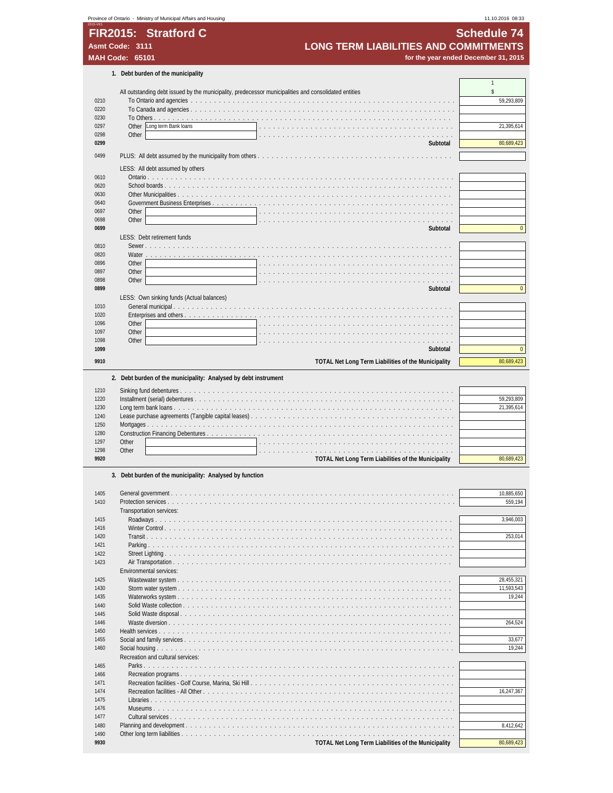|                                | Province of Ontario - Ministry of Municipal Affairs and Housing                                       | 11.10.2016 08:33                     |
|--------------------------------|-------------------------------------------------------------------------------------------------------|--------------------------------------|
|                                | FIR2015: Stratford C                                                                                  | <b>Schedule 74</b>                   |
| Asmt Code: 3111                | <b>LONG TERM LIABILITIES AND COMMITMENTS</b>                                                          |                                      |
| <b>MAH Code: 65101</b>         |                                                                                                       | for the year ended December 31, 2015 |
|                                | 1. Debt burden of the municipality                                                                    |                                      |
|                                | All outstanding debt issued by the municipality, predecessor municipalities and consolidated entities | \$                                   |
| 0210                           |                                                                                                       | 59,293,809                           |
| 0220                           |                                                                                                       |                                      |
| 0230<br>Other<br>0297          | Long term Bank loans                                                                                  | 21,395,614                           |
| Other<br>0298                  |                                                                                                       |                                      |
| 0299                           | Subtotal                                                                                              | 80,689,423                           |
| 0499                           |                                                                                                       |                                      |
|                                | LESS: All debt assumed by others                                                                      |                                      |
| 0610<br>0620                   |                                                                                                       |                                      |
| 0630                           | Other Municipalities                                                                                  |                                      |
| 0640                           |                                                                                                       |                                      |
| 0697<br>Other                  |                                                                                                       |                                      |
| Other<br>0698<br>0699          | Subtotal                                                                                              | $\mathbf{0}$                         |
|                                | LESS: Debt retirement funds                                                                           |                                      |
| 0810                           |                                                                                                       |                                      |
| 0820<br>Water<br>Other<br>0896 |                                                                                                       |                                      |
| Other<br>0897                  |                                                                                                       |                                      |
| Other<br>0898                  |                                                                                                       |                                      |
| 0899                           | Subtotal                                                                                              | $\mathbf{0}$                         |
| 1010                           | LESS: Own sinking funds (Actual balances)                                                             |                                      |
| 1020                           | Enterprises and others                                                                                |                                      |
| Other<br>1096                  |                                                                                                       |                                      |
| Other<br>1097<br>1098<br>Other |                                                                                                       |                                      |
| 1099                           | Subtotal                                                                                              | $\mathbf{0}$                         |
| 9910                           | TOTAL Net Long Term Liabilities of the Municipality                                                   | 80,689,423                           |
|                                |                                                                                                       |                                      |
|                                | 2. Debt burden of the municipality: Analysed by debt instrument                                       |                                      |
| 1210<br>1220                   |                                                                                                       | 59,293,809                           |
| 1230                           |                                                                                                       | 21,395,614                           |
| 1240                           |                                                                                                       |                                      |
| 1250<br>1280                   |                                                                                                       |                                      |
| 1297<br>Other                  |                                                                                                       |                                      |
| Other<br>1298                  | .                                                                                                     |                                      |
| 9920                           | <b>TOTAL Net Long Term Liabilities of the Municipality</b>                                            | 80,689,423                           |
|                                | 3. Debt burden of the municipality: Analysed by function                                              |                                      |
| 1405                           |                                                                                                       | 10,885,650                           |
| 1410                           |                                                                                                       | 559,194                              |
|                                | Transportation services:                                                                              |                                      |
| 1415<br>1416                   |                                                                                                       | 3,946,003                            |
| 1420                           |                                                                                                       | 253,014                              |
| 1421                           |                                                                                                       |                                      |
| 1422<br>1423                   |                                                                                                       |                                      |
|                                | Environmental services:                                                                               |                                      |
| 1425                           |                                                                                                       | 28,455,321                           |
| 1430                           |                                                                                                       | 11,593,543                           |
|                                |                                                                                                       |                                      |
| 1435                           | Waterworks system                                                                                     |                                      |
| 1440<br>1445                   | Solid Waste collection                                                                                |                                      |
| 1446                           |                                                                                                       |                                      |
| 1450                           |                                                                                                       | 264,524                              |
| 1455                           |                                                                                                       | 19,244<br>33,677                     |
| 1460                           | Recreation and cultural services:                                                                     |                                      |
| 1465                           |                                                                                                       |                                      |
| 1466<br>1471                   |                                                                                                       | 19,244                               |

 Recreation facilities - All Other . . . . . . . . . . . . . . . . . . . . . . . . . . . . . . . . . . . . . . . . . . . . . . . . . . . . . . 16,247,367 Libraries . . . . . . . . . . . . . . . . . . . . . . . . . . . . . . . . . . . . . . . . . . . . . . . . . . . . . . . . . . . . . . . . . Museums . . . . . . . . . . . . . . . . . . . . . . . . . . . . . . . . . . . . . . . . . . . . . . . . . . . . . . . . . . . . . . . . . Cultural services . . . . . . . . . . . . . . . . . . . . . . . . . . . . . . . . . . . . . . . . . . . . . . . . . . . . . . . . . . . . . Planning and development . . . . . . . . . . . . . . . . . . . . . . . . . . . . . . . . . . . . . . . . . . . . . . . . . . . . . . . . . . 8,412,642

 Other long term liabilities . . . . . . . . . . . . . . . . . . . . . . . . . . . . . . . . . . . . . . . . . . . . . . . . . . . . . . . . . . . **POTAL Net Long Term Liabilities of the Municipality POTAL Net Long Term Liabilities of the Municipality**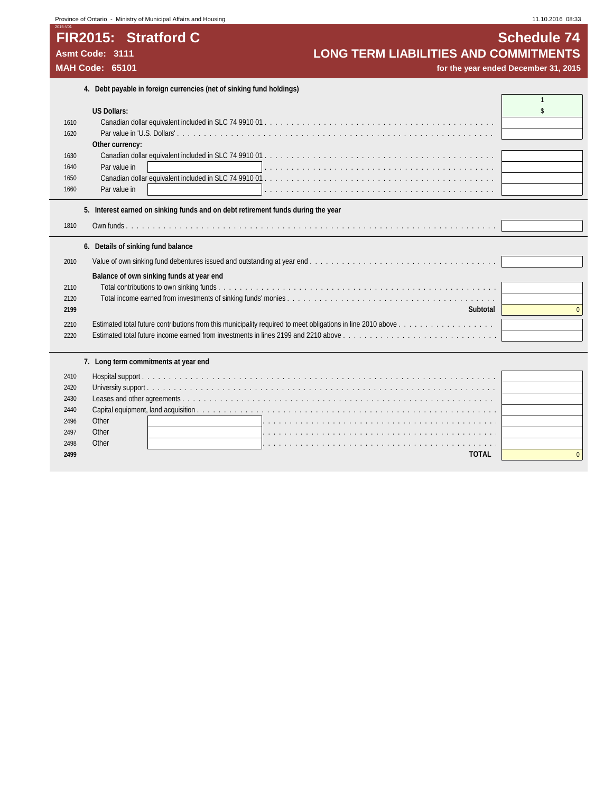## **Province of Ontario - Ministry of Municipal Affairs and Housing 11.10.2016 08:33** 11.10.2016 08:33

# **FIR2015: Stratford C C C SCHEDULE 24 Schedule 74**

# Asmt Code: 3111<br> **Asmt Code: 3111 LONG TERM LIABILITIES AND COMMITMENTS**<br> **MAH Code: 65101 for the year ended December 31, 2015**

for the year ended December 31, 2015

|      | 4. Debt payable in foreign currencies (net of sinking fund holdings)                                                                                                     |              |
|------|--------------------------------------------------------------------------------------------------------------------------------------------------------------------------|--------------|
|      |                                                                                                                                                                          | $\mathbf{1}$ |
|      | <b>US Dollars:</b>                                                                                                                                                       | \$           |
| 1610 |                                                                                                                                                                          |              |
| 1620 |                                                                                                                                                                          |              |
|      | Other currency:                                                                                                                                                          |              |
| 1630 |                                                                                                                                                                          |              |
| 1640 | Par value in<br>a de la caractería de la caractería de la caractería de la caractería de la caractería de la caractería                                                  |              |
| 1650 |                                                                                                                                                                          |              |
| 1660 | Par value in                                                                                                                                                             |              |
|      | 5. Interest earned on sinking funds and on debt retirement funds during the year                                                                                         |              |
|      |                                                                                                                                                                          |              |
| 1810 |                                                                                                                                                                          |              |
|      | 6. Details of sinking fund balance                                                                                                                                       |              |
| 2010 |                                                                                                                                                                          |              |
|      |                                                                                                                                                                          |              |
|      | Balance of own sinking funds at year end                                                                                                                                 |              |
| 2110 | Total contributions to own sinking funds.                                                                                                                                |              |
| 2120 |                                                                                                                                                                          |              |
| 2199 | Subtotal                                                                                                                                                                 | $\Omega$     |
| 2210 |                                                                                                                                                                          |              |
| 2220 | Estimated total future income earned from investments in lines 2199 and 2210 above $\ldots$ , $\ldots$ , $\ldots$ , $\ldots$ , $\ldots$ , $\ldots$ , $\ldots$ , $\ldots$ |              |
|      |                                                                                                                                                                          |              |
|      | 7. Long term commitments at year end                                                                                                                                     |              |
| 2410 |                                                                                                                                                                          |              |
| 2420 |                                                                                                                                                                          |              |
| 2430 |                                                                                                                                                                          |              |
| 2440 |                                                                                                                                                                          |              |
| 2496 | Other                                                                                                                                                                    |              |
| 2497 | Other<br>a de la caractería de la caractería de la caractería de la caractería de la caractería de la caractería de la                                                   |              |
| 2498 | Other<br>a constitution de la constitución de la constitución de la constitución de la constitución de la constitución                                                   |              |
| 2499 | <b>TOTAL</b>                                                                                                                                                             | $\Omega$     |
|      |                                                                                                                                                                          |              |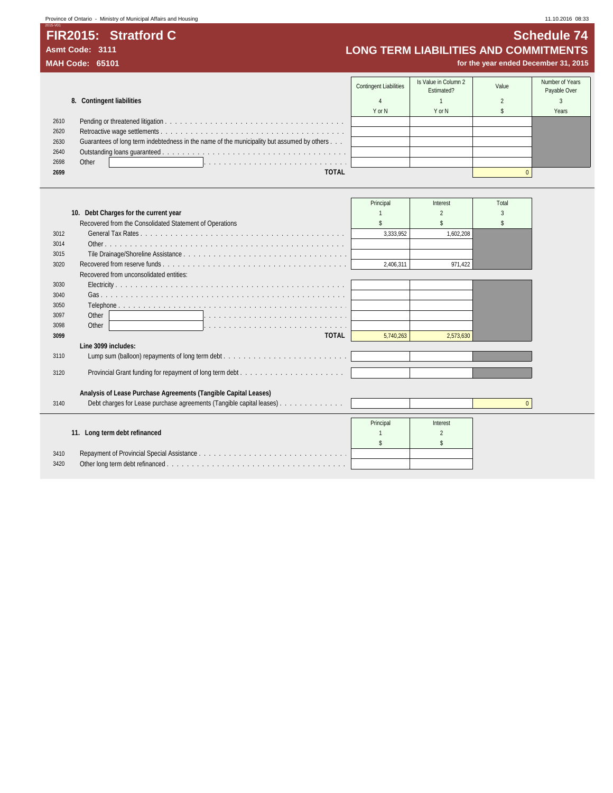2015-V01 **FIR2015: Stratford C Schedule 74** Asmt Code: 3111<br>
MAH Code: 65101<br>
MAH Code: 65101<br> **MAH Code: 65101** 

for the year ended December 31, 2015

|      |                                                                                            | <b>Contingent Liabilities</b> | Is Value in Column 2<br>Estimated? | Value | Number of Years<br>Payable Over |
|------|--------------------------------------------------------------------------------------------|-------------------------------|------------------------------------|-------|---------------------------------|
|      | 8. Contingent liabilities                                                                  |                               |                                    |       |                                 |
|      |                                                                                            | Y or N                        | Y or N                             |       | Years                           |
| 2610 |                                                                                            |                               |                                    |       |                                 |
| 2620 |                                                                                            |                               |                                    |       |                                 |
| 2630 | Guarantees of long term indebtedness in the name of the municipality but assumed by others |                               |                                    |       |                                 |
| 2640 |                                                                                            |                               |                                    |       |                                 |
| 2698 | Other                                                                                      |                               |                                    |       |                                 |
| 2699 | <b>TOTAL</b>                                                                               |                               |                                    |       |                                 |

|      |                                                                      | Principal | Interest       | Total    |
|------|----------------------------------------------------------------------|-----------|----------------|----------|
|      | 10. Debt Charges for the current year                                |           |                |          |
|      | Recovered from the Consolidated Statement of Operations              |           |                |          |
| 3012 |                                                                      | 3.333.952 | 1.602.208      |          |
| 3014 |                                                                      |           |                |          |
| 3015 |                                                                      |           |                |          |
| 3020 |                                                                      | 2.406.311 | 971.422        |          |
|      | Recovered from unconsolidated entities:                              |           |                |          |
| 3030 |                                                                      |           |                |          |
| 3040 |                                                                      |           |                |          |
| 3050 |                                                                      |           |                |          |
| 3097 | Other                                                                |           |                |          |
| 3098 | Other                                                                |           |                |          |
| 3099 | <b>TOTAL</b>                                                         | 5,740,263 | 2,573,630      |          |
|      | Line 3099 includes:                                                  |           |                |          |
| 3110 |                                                                      |           |                |          |
| 3120 |                                                                      |           |                |          |
|      | Analysis of Lease Purchase Agreements (Tangible Capital Leases)      |           |                |          |
| 3140 | Debt charges for Lease purchase agreements (Tangible capital leases) |           |                | $\Omega$ |
|      |                                                                      | Principal | Interest       |          |
|      | 11. Long term debt refinanced                                        |           | $\mathfrak{p}$ |          |
|      |                                                                      |           | \$             |          |
| 3410 |                                                                      |           |                |          |
| 3420 |                                                                      |           |                |          |
|      |                                                                      |           |                |          |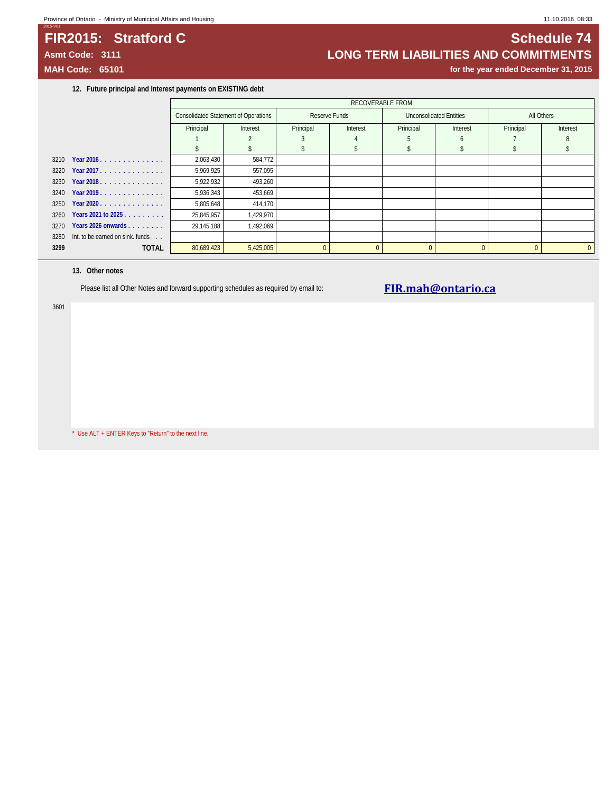### **Province of Ontario - Ministry of Municipal Affairs and Housing 11.10.2016 08:33** 11.10.2016 08:33

## **FIR2015: Stratford C Subset of C Schedule 74 Schedule 74**

2015-V01

## **Asmt Code: 3111 LONG TERM LIABILITIES AND COMMITMENTS**

**MAH Code: 65101 for the year ended December 31, 2015**

**12. Future principal and Interest payments on EXISTING debt**

|      |                                  |            | <b>Consolidated Statement of Operations</b> |          | Reserve Funds |           | <b>Unconsolidated Entities</b> | All Others |              |
|------|----------------------------------|------------|---------------------------------------------|----------|---------------|-----------|--------------------------------|------------|--------------|
|      |                                  | Principal  | Interest                                    |          | Interest      | Principal | Interest                       | Principal  | Interest     |
|      |                                  |            |                                             |          |               |           |                                |            |              |
|      |                                  |            |                                             |          |               |           |                                |            |              |
|      | 3210 Year 2016.                  | 2,063,430  | 584,772                                     |          |               |           |                                |            |              |
| 3220 | Year 2017.                       | 5,969,925  | 557,095                                     |          |               |           |                                |            |              |
|      | 3230 Year 2018.                  | 5,922,932  | 493,260                                     |          |               |           |                                |            |              |
| 3240 | Year 2019.                       | 5,936,343  | 453,669                                     |          |               |           |                                |            |              |
|      | 3250 Year 2020                   | 5,805,648  | 414,170                                     |          |               |           |                                |            |              |
| 3260 | Years 2021 to 2025               | 25,845,957 | 1,429,970                                   |          |               |           |                                |            |              |
| 3270 | Years 2026 onwards               | 29,145,188 | 1,492,069                                   |          |               |           |                                |            |              |
| 3280 | Int. to be earned on sink. funds |            |                                             |          |               |           |                                |            |              |
| 3299 | <b>TOTAL</b>                     | 80,689,423 | 5,425,005                                   | $\Omega$ | $\Omega$      | $\Omega$  | $\Omega$                       |            | $\mathbf{0}$ |
|      |                                  |            |                                             |          |               |           |                                |            |              |

### **13. Other notes**

Please list all Other Notes and forward supporting schedules as required by email to: **[FIR.mah@ontario.ca](mailto:FIR.mah@ontario.ca)** 

3601

\* Use ALT + ENTER Keys to "Return" to the next line.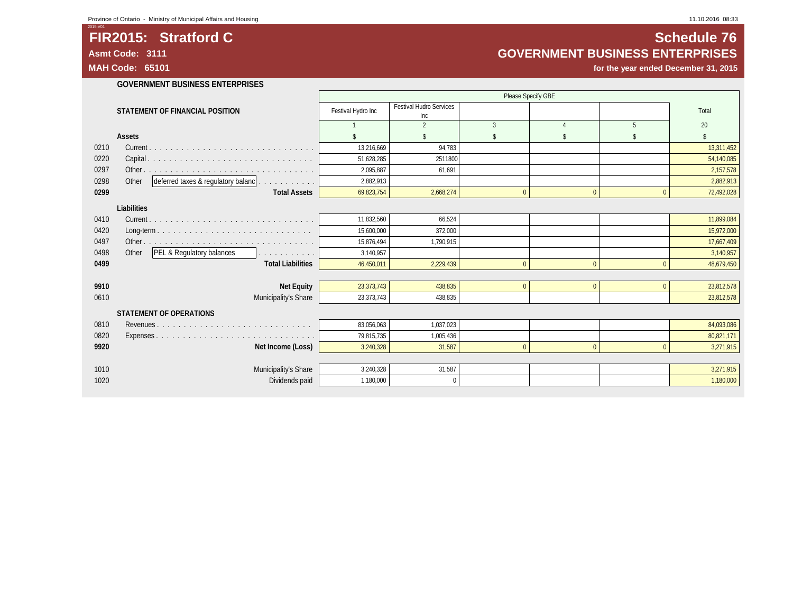## **FIR2015: Stratford C Stratford C Schedule 76 Asmt Code: 3111 GOVERNMENT BUSINESS ENTERPRISES**

**MAH Code: 65101 for the year ended December 31, 2015**

**GOVERNMENT BUSINESS ENTERPRISES**

|      |                                                                                                       |                    |                                       | Please Specify GBE |                    |                |            |
|------|-------------------------------------------------------------------------------------------------------|--------------------|---------------------------------------|--------------------|--------------------|----------------|------------|
|      | STATEMENT OF FINANCIAL POSITION                                                                       | Festival Hydro Inc | <b>Festival Hudro Services</b><br>Inc |                    |                    |                | Total      |
|      |                                                                                                       |                    | $\overline{2}$                        | $\overline{3}$     | $\Lambda$          | 5              | 20         |
|      | Assets                                                                                                |                    | \$                                    | $\mathbf{\hat{S}}$ | $\mathbf{\hat{S}}$ | \$             |            |
| 0210 |                                                                                                       | 13,216,669         | 94,783                                |                    |                    |                | 13,311,452 |
| 0220 |                                                                                                       | 51,628,285         | 2511800                               |                    |                    |                | 54,140,085 |
| 0297 |                                                                                                       | 2,095,887          | 61,691                                |                    |                    |                | 2,157,578  |
| 0298 | deferred taxes & regulatory balanc<br>Other                                                           | 2,882,913          |                                       |                    |                    |                | 2,882,913  |
| 0299 | <b>Total Assets</b>                                                                                   | 69,823,754         | 2,668,274                             | $\mathbf{0}$       | $\mathbf{0}$       | $\overline{0}$ | 72,492,028 |
|      | Liabilities                                                                                           |                    |                                       |                    |                    |                |            |
| 0410 |                                                                                                       | 11,832,560         | 66,524                                |                    |                    |                | 11,899,084 |
| 0420 | $Long-term \dots \dots \dots \dots \dots \dots \dots \dots \dots \dots \dots \dots \dots \dots \dots$ | 15,600,000         | 372,000                               |                    |                    |                | 15,972,000 |
| 0497 |                                                                                                       | 15.876.494         | 1.790.915                             |                    |                    |                | 17.667.409 |
| 0498 | PEL & Regulatory balances<br>Other<br>.                                                               | 3,140,957          |                                       |                    |                    |                | 3,140,957  |
| 0499 | <b>Total Liabilities</b>                                                                              | 46,450,011         | 2,229,439                             | $\mathbf{0}$       | $\mathbf{0}$       | $\overline{0}$ | 48,679,450 |
|      |                                                                                                       |                    |                                       |                    |                    |                |            |
| 9910 | <b>Net Equity</b>                                                                                     | 23,373,743         | 438,835                               | $\mathbf 0$        | $\mathbf{0}$       | $\overline{0}$ | 23,812,578 |
| 0610 | Municipality's Share                                                                                  | 23,373,743         | 438,835                               |                    |                    |                | 23,812,578 |
|      | <b>STATEMENT OF OPERATIONS</b>                                                                        |                    |                                       |                    |                    |                |            |
| 0810 |                                                                                                       | 83.056.063         | 1.037.023                             |                    |                    |                | 84,093,086 |
| 0820 |                                                                                                       | 79,815,735         | 1.005.436                             |                    |                    |                | 80,821,171 |
| 9920 | Net Income (Loss)                                                                                     | 3,240,328          | 31,587                                | $\Omega$           | $\Omega$           | $\Omega$       | 3,271,915  |
|      |                                                                                                       |                    |                                       |                    |                    |                |            |
| 1010 | Municipality's Share                                                                                  | 3,240,328          | 31,587                                |                    |                    |                | 3,271,915  |
| 1020 | Dividends paid                                                                                        | 1,180,000          | $\mathbf{0}$                          |                    |                    |                | 1,180,000  |
|      |                                                                                                       |                    |                                       |                    |                    |                |            |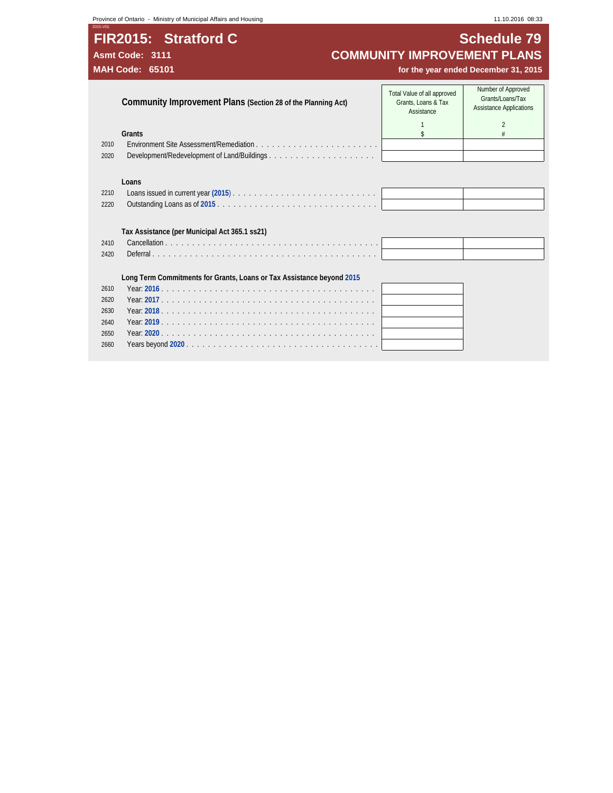**Province of Ontario - Ministry of Municipal Affairs and Housing 11.10.2016 08:33** 11.10.2016 08:33

2660 Years beyond **2020** . . . . . . . . . . . . . . . . . . . . . . . . . . . . . . . . . . . .

## **FIR2015: Stratford C Schedule 79** Asmt Code: 3111 **COMMUNITY IMPROVEMENT PLANS**<br>MAH Code: 65101 **MAH Code: 65101 COMMUNITY IMPROVEMENT PLANS**

for the year ended December 31, 2015

**Community Improvement Plans (Section 28 of the Planning Act)** Total Value of all approved Grants, Loans & Tax Assistance Number of Approved Grants/Loans/Tax Assistance Applications 1 2 **Grants Security and Security and Security and Security and Security and Security and Security and Security and Security and Security and Security and Security and Security and Security and Security and Security and Secu** 2010 Environment Site Assessment/Remediation . . . . . . . . . . . . . . . . . . . . . . . 2020 Development/Redevelopment of Land/Buildings . . . . . . . . . . . . . . . . . . . . **Loans** 2210 Loans issued in current year **(2015**) . . . . . . . . . . . . . . . . . . . . . . . . . . . 2220 Outstanding Loans as of **2015** . . . . . . . . . . . . . . . . . . . . . . . . . . . . . . **Tax Assistance (per Municipal Act 365.1 ss21)** 2410 Cancellation . . . . . . . . . . . . . . . . . . . . . . . . . . . . . . . . . . . . . . . . 2420 Deferral . . . . . . . . . . . . . . . . . . . . . . . . . . . . . . . . . . . . . . . . . . **Long Term Commitments for Grants, Loans or Tax Assistance beyond 2015** 2610 Year: **2016** . . . . . . . . . . . . . . . . . . . . . . . . . . . . . . . . . . . . . . . . 2620 Year: **2017** . . . . . . . . . . . . . . . . . . . . . . . . . . . . . . . . . . . . . . . . 2630 Year: **2018** . . . . . . . . . . . . . . . . . . . . . . . . . . . . . . . . . . . . . . . . 2640 Year: **2019** . . . . . . . . . . . . . . . . . . . . . . . . . . . . . . . . . . . . . . . . 2650 Year: **2020** . . . . . . . . . . . . . . . . . . . . . . . . . . . . . . . . . . . . . . . .

2015-V01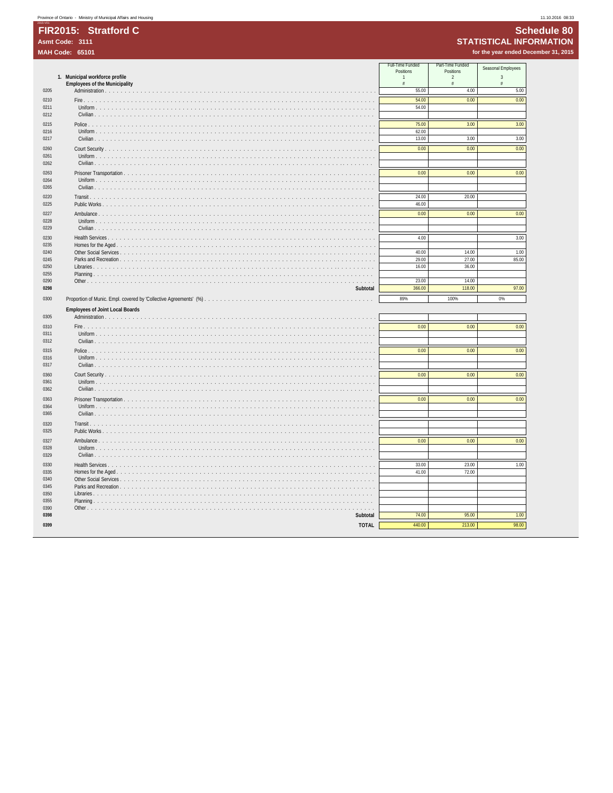## **Schedule 80 STATISTICAL INFORMATION**

for the year ended December 31, 2015

|              | 1. Municipal workforce profile         | Full-Time Funded<br>Positions<br>$\mathbf{1}$<br>$\#$ | Part-Time Funded<br>Positions<br>$\overline{2}$<br>$\frac{\pi}{2}$ | Seasonal Employees<br>$\overline{3}$<br>$\#$ |
|--------------|----------------------------------------|-------------------------------------------------------|--------------------------------------------------------------------|----------------------------------------------|
| 0205         | <b>Employees of the Municipality</b>   | 55.00                                                 | 4.00                                                               | 5.00                                         |
| 0210         |                                        | 54.00                                                 | 0.00                                                               | 0.00                                         |
| 0211<br>0212 |                                        | 54.00                                                 |                                                                    |                                              |
| 0215         |                                        | 75.00                                                 | 3.00                                                               | 3.00                                         |
| 0216<br>0217 |                                        | 62.00<br>13.00                                        | 3.00                                                               | 3.00                                         |
| 0260         |                                        | 0.00                                                  | 0.00                                                               | 0.00                                         |
| 0261<br>0262 |                                        |                                                       |                                                                    |                                              |
| 0263         |                                        | 0.00                                                  | 0.00                                                               | 0.00                                         |
| 0264<br>0265 | Uniform                                |                                                       |                                                                    |                                              |
| 0220         | Transit.                               | 24.00                                                 | 20.00                                                              |                                              |
| 0225         |                                        | 46.00                                                 |                                                                    |                                              |
| 0227<br>0228 |                                        | 0.00                                                  | 0.00                                                               | 0.00                                         |
| 0229         |                                        |                                                       |                                                                    |                                              |
| 0230<br>0235 |                                        | 4.00                                                  |                                                                    | 3.00                                         |
| 0240         |                                        | 40.00                                                 | 14.00                                                              | 1.00                                         |
| 0245         |                                        | 29.00                                                 | 27.00                                                              | 85.00                                        |
| 0250<br>0255 |                                        | 16.00                                                 | 36.00                                                              |                                              |
| 0290         |                                        | 23.00                                                 | 14.00                                                              |                                              |
| 0298         | Subtotal                               | 366.00                                                | 118.00                                                             | 97.00                                        |
| 0300         |                                        | 89%                                                   | 100%                                                               | 0%                                           |
|              | <b>Employees of Joint Local Boards</b> |                                                       |                                                                    |                                              |
| 0305         | Administration                         |                                                       |                                                                    |                                              |
| 0310         |                                        | 0.00                                                  | 0.00                                                               | 0.00                                         |
| 0311<br>0312 |                                        |                                                       |                                                                    |                                              |
| 0315         | Police                                 | 0.00                                                  | 0.00                                                               | 0.00                                         |
| 0316<br>0317 |                                        |                                                       |                                                                    |                                              |
| 0360         | Court Security                         | 0.00                                                  | 0.00                                                               | 0.00                                         |
| 0361         |                                        |                                                       |                                                                    |                                              |
| 0362         |                                        |                                                       |                                                                    |                                              |
| 0363<br>0364 |                                        | 0.00                                                  | 0.00                                                               | 0.00                                         |
| 0365         |                                        |                                                       |                                                                    |                                              |
| 0320<br>0325 |                                        |                                                       |                                                                    |                                              |
| 0327         | Ambulance                              | 0.00                                                  | 0.00                                                               | 0.00                                         |
| 0328         |                                        |                                                       |                                                                    |                                              |
| 0329         |                                        |                                                       |                                                                    |                                              |
| 0330<br>0335 | Health Services<br>.                   | 33.00<br>41.00                                        | 23.00<br>72.00                                                     | 1.00                                         |
| 0340         |                                        |                                                       |                                                                    |                                              |
| 0345         |                                        |                                                       |                                                                    |                                              |
| 0350<br>0355 | Libraries<br>1.1.1.1                   |                                                       |                                                                    |                                              |
| 0390         |                                        |                                                       |                                                                    |                                              |
| 0398         | Subtotal                               | 74.00                                                 | 95.00                                                              | 1.00                                         |
| 0399         | <b>TOTAL</b>                           | 440.00                                                | 213.00                                                             | 98.00                                        |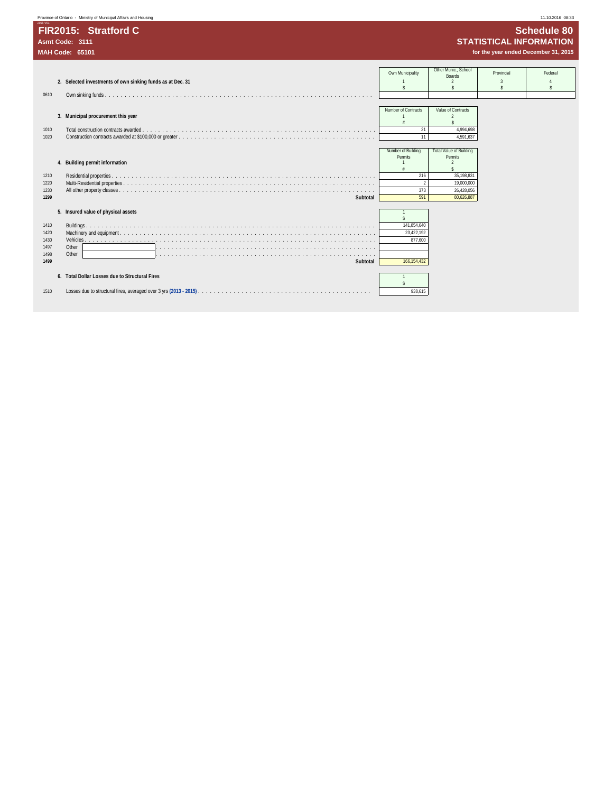| Province of Ontario - Ministry of Municipal Affairs and Housing                                                                                                                                                                                         |                                                              |                                                                                                              |                                                   | 11.10.2016 08:33                                                                             |
|---------------------------------------------------------------------------------------------------------------------------------------------------------------------------------------------------------------------------------------------------------|--------------------------------------------------------------|--------------------------------------------------------------------------------------------------------------|---------------------------------------------------|----------------------------------------------------------------------------------------------|
| FIR2015: Stratford C<br>Asmt Code: 3111<br><b>MAH Code: 65101</b>                                                                                                                                                                                       |                                                              |                                                                                                              |                                                   | <b>Schedule 80</b><br><b>STATISTICAL INFORMATION</b><br>for the year ended December 31, 2015 |
| 2. Selected investments of own sinking funds as at Dec. 31<br>0610                                                                                                                                                                                      | Own Municipality                                             | Other Munic., School<br><b>Boards</b>                                                                        | Provincial<br>$\mathcal{R}$<br>$\hat{\mathbf{x}}$ | Federal                                                                                      |
| 3. Municipal procurement this year<br>1010<br>Total construction contracts awarded.<br>1020                                                                                                                                                             | Number of Contracts<br>21                                    | Value of Contracts<br>4,994,698<br>4,591,637                                                                 |                                                   |                                                                                              |
| 4. Building permit information<br>1210<br>1220<br>1230                                                                                                                                                                                                  | Number of Building<br>Permits<br>216<br>373                  | <b>Total Value of Building</b><br><b>Permits</b><br>$\mathfrak{D}$<br>35,198,831<br>19,000,000<br>26,428,056 |                                                   |                                                                                              |
| 1299<br>Subtotal<br>5. Insured value of physical assets<br>1410<br>1420<br>1430<br>1497<br>Other<br>Other<br>1498<br>a d'argamentar a la caractería de la caractería de la caractería de la caractería de la caractería de la carac<br>1499<br>Subtotal | 591<br>141,854,640<br>23,422,192<br>877,600<br>166, 154, 432 | 80,626,887                                                                                                   |                                                   |                                                                                              |
| 6. Total Dollar Losses due to Structural Fires<br>1510                                                                                                                                                                                                  | 938,615                                                      |                                                                                                              |                                                   |                                                                                              |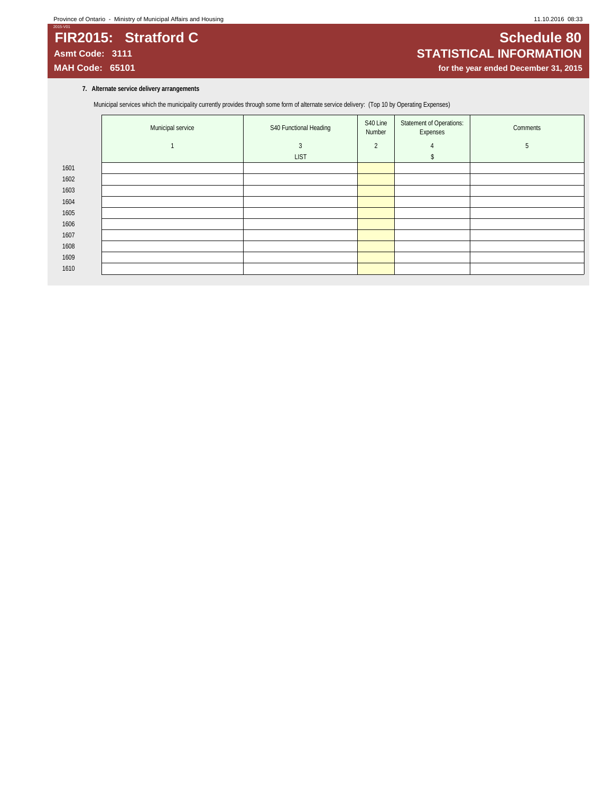## 2015-V01 **FIR2015: Stratford C Superint Schedule 80**<br>Asmt Code: 3111 **STATISTICAL INFORMATION Asmt Code: 3111 STATISTICAL INFORMATION**

for the year ended December 31, 2015

### **7. Alternate service delivery arrangements**

Municipal services which the municipality currently provides through some form of alternate service delivery: (Top 10 by Operating Expenses)

|      | Municipal service | S40 Functional Heading | S40 Line<br>Number | Statement of Operations:<br>Expenses | Comments |
|------|-------------------|------------------------|--------------------|--------------------------------------|----------|
|      |                   | 3                      | $\overline{2}$     | $\overline{4}$                       | 5        |
|      |                   | <b>LIST</b>            |                    |                                      |          |
| 1601 |                   |                        |                    |                                      |          |
| 1602 |                   |                        |                    |                                      |          |
| 1603 |                   |                        |                    |                                      |          |
| 1604 |                   |                        |                    |                                      |          |
| 1605 |                   |                        |                    |                                      |          |
| 1606 |                   |                        |                    |                                      |          |
| 1607 |                   |                        |                    |                                      |          |
| 1608 |                   |                        |                    |                                      |          |
| 1609 |                   |                        |                    |                                      |          |
| 1610 |                   |                        |                    |                                      |          |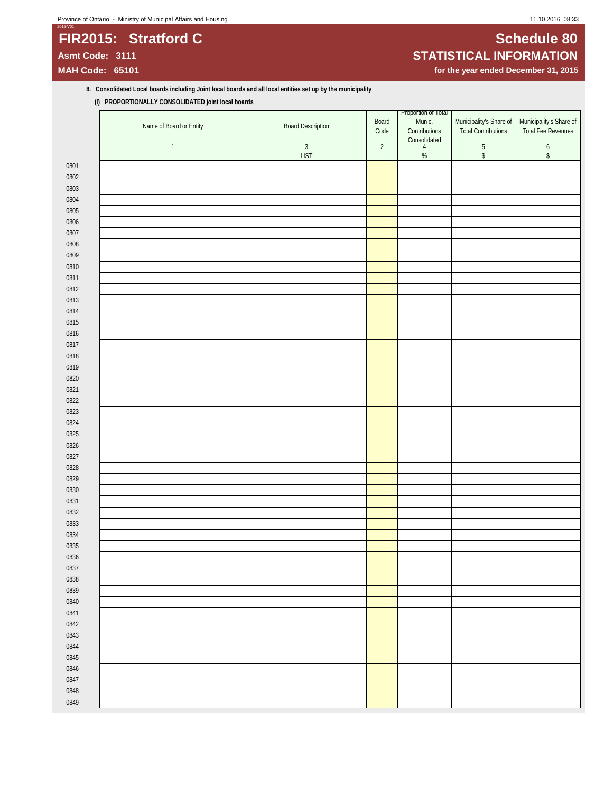## **Province of Ontario - Ministry of Municipal Affairs and Housing 11.10.2016 08:33** 11.10.2016 08:33

## 2015-V01 **FIR2015: Stratford C Subset of CONSIDERATION CONSIDERING CONSIDERING CONSIDERING CONSIDERING CONSIDERING CONSIDERING CONSIDERING CONSIDERING CONSIDERING CONSIDERING CONSIDERING CONSIDERING CONSIDERING CONSIDERING CONSID**

# **Asmt Code: 3111 STATISTICAL INFORMATION**

for the year ended December 31, 2015

### **8. Consolidated Local boards including Joint local boards and all local entities set up by the municipality (I) PROPORTIONALLY CONSOLIDATED joint local boards**

|              | Name of Board or Entity | <b>Board Description</b> | Board<br>Code | Proportion of Total<br>Munic.<br>Contributions<br>Consolidated | Municipality's Share of<br><b>Total Contributions</b> | Municipality's Share of<br>Total Fee Revenues |
|--------------|-------------------------|--------------------------|---------------|----------------------------------------------------------------|-------------------------------------------------------|-----------------------------------------------|
|              | $\mathbf{1}$            | $\sqrt{3}$               | $\sqrt{2}$    | $\overline{4}$                                                 | $\,$ 5 $\,$                                           | $\boldsymbol{6}$                              |
|              |                         | <b>LIST</b>              |               | $\%$                                                           | $\mathbb{S}$                                          | $\,$                                          |
| 0801         |                         |                          |               |                                                                |                                                       |                                               |
| 0802         |                         |                          |               |                                                                |                                                       |                                               |
| 0803         |                         |                          |               |                                                                |                                                       |                                               |
| 0804         |                         |                          |               |                                                                |                                                       |                                               |
| 0805         |                         |                          |               |                                                                |                                                       |                                               |
| 0806         |                         |                          |               |                                                                |                                                       |                                               |
| 0807         |                         |                          |               |                                                                |                                                       |                                               |
| 0808         |                         |                          |               |                                                                |                                                       |                                               |
| 0809         |                         |                          |               |                                                                |                                                       |                                               |
| 0810         |                         |                          |               |                                                                |                                                       |                                               |
| 0811         |                         |                          |               |                                                                |                                                       |                                               |
| 0812         |                         |                          |               |                                                                |                                                       |                                               |
| 0813         |                         |                          |               |                                                                |                                                       |                                               |
| 0814         |                         |                          |               |                                                                |                                                       |                                               |
| 0815         |                         |                          |               |                                                                |                                                       |                                               |
| 0816         |                         |                          |               |                                                                |                                                       |                                               |
| 0817         |                         |                          |               |                                                                |                                                       |                                               |
| 0818         |                         |                          |               |                                                                |                                                       |                                               |
| 0819         |                         |                          |               |                                                                |                                                       |                                               |
| 0820         |                         |                          |               |                                                                |                                                       |                                               |
| 0821         |                         |                          |               |                                                                |                                                       |                                               |
| 0822         |                         |                          |               |                                                                |                                                       |                                               |
| 0823         |                         |                          |               |                                                                |                                                       |                                               |
| 0824<br>0825 |                         |                          |               |                                                                |                                                       |                                               |
| 0826         |                         |                          |               |                                                                |                                                       |                                               |
| 0827         |                         |                          |               |                                                                |                                                       |                                               |
| 0828         |                         |                          |               |                                                                |                                                       |                                               |
| 0829         |                         |                          |               |                                                                |                                                       |                                               |
| 0830         |                         |                          |               |                                                                |                                                       |                                               |
| 0831         |                         |                          |               |                                                                |                                                       |                                               |
| 0832         |                         |                          |               |                                                                |                                                       |                                               |
| 0833         |                         |                          |               |                                                                |                                                       |                                               |
| 0834         |                         |                          |               |                                                                |                                                       |                                               |
| 0835         |                         |                          |               |                                                                |                                                       |                                               |
| 0836         |                         |                          |               |                                                                |                                                       |                                               |
| 0837         |                         |                          |               |                                                                |                                                       |                                               |
| 0838         |                         |                          |               |                                                                |                                                       |                                               |
| 0839         |                         |                          |               |                                                                |                                                       |                                               |
| 0840         |                         |                          |               |                                                                |                                                       |                                               |
| 0841         |                         |                          |               |                                                                |                                                       |                                               |
| 0842         |                         |                          |               |                                                                |                                                       |                                               |
| 0843         |                         |                          |               |                                                                |                                                       |                                               |
| 0844         |                         |                          |               |                                                                |                                                       |                                               |
| 0845         |                         |                          |               |                                                                |                                                       |                                               |
| 0846         |                         |                          |               |                                                                |                                                       |                                               |
| 0847         |                         |                          |               |                                                                |                                                       |                                               |
| 0848         |                         |                          |               |                                                                |                                                       |                                               |
| 0849         |                         |                          |               |                                                                |                                                       |                                               |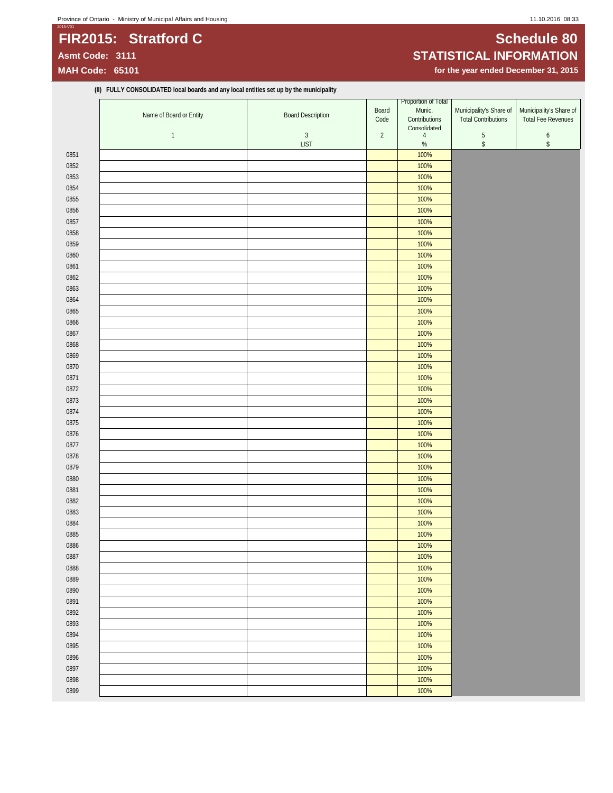## **Province of Ontario - Ministry of Municipal Affairs and Housing 11.10.2016 08:33** 11.10.2016 08:33

## 2015-V01 **FIR2015: Stratford C Subset of C Schedule 80**

**(II) FULLY CONSOLIDATED local boards and any local entities set up by the municipality**

# **Asmt Code: 3111 STATISTICAL INFORMATION**

for the year ended December 31, 2015

|      | Name of Board or Entity | <b>Board Description</b>  | Board<br>Code  | Proportion of Total<br>Munic.<br>Contributions | Municipality's Share of<br><b>Total Contributions</b> | Municipality's Share of<br><b>Total Fee Revenues</b> |
|------|-------------------------|---------------------------|----------------|------------------------------------------------|-------------------------------------------------------|------------------------------------------------------|
|      |                         |                           |                | Consolidated                                   |                                                       |                                                      |
|      | $\mathbf{1}$            | $\sqrt{3}$<br><b>LIST</b> | $\overline{2}$ | $\overline{4}$<br>$\%$                         | $\mathbf 5$<br>$\,$                                   | $\boldsymbol{6}$<br>$\,$                             |
| 0851 |                         |                           |                | 100%                                           |                                                       |                                                      |
| 0852 |                         |                           |                | 100%                                           |                                                       |                                                      |
| 0853 |                         |                           |                | 100%                                           |                                                       |                                                      |
| 0854 |                         |                           |                | 100%                                           |                                                       |                                                      |
| 0855 |                         |                           |                | 100%                                           |                                                       |                                                      |
| 0856 |                         |                           |                | 100%                                           |                                                       |                                                      |
| 0857 |                         |                           |                | 100%                                           |                                                       |                                                      |
| 0858 |                         |                           |                | 100%                                           |                                                       |                                                      |
|      |                         |                           |                |                                                |                                                       |                                                      |
| 0859 |                         |                           |                | 100%                                           |                                                       |                                                      |
| 0860 |                         |                           |                | 100%                                           |                                                       |                                                      |
| 0861 |                         |                           |                | 100%                                           |                                                       |                                                      |
| 0862 |                         |                           |                | 100%                                           |                                                       |                                                      |
| 0863 |                         |                           |                | 100%                                           |                                                       |                                                      |
| 0864 |                         |                           |                | 100%                                           |                                                       |                                                      |
| 0865 |                         |                           |                | 100%                                           |                                                       |                                                      |
| 0866 |                         |                           |                | 100%                                           |                                                       |                                                      |
| 0867 |                         |                           |                | 100%                                           |                                                       |                                                      |
| 0868 |                         |                           |                | 100%                                           |                                                       |                                                      |
| 0869 |                         |                           |                | 100%                                           |                                                       |                                                      |
| 0870 |                         |                           |                | 100%                                           |                                                       |                                                      |
| 0871 |                         |                           |                | 100%                                           |                                                       |                                                      |
| 0872 |                         |                           |                | 100%                                           |                                                       |                                                      |
| 0873 |                         |                           |                | 100%                                           |                                                       |                                                      |
| 0874 |                         |                           |                | 100%                                           |                                                       |                                                      |
| 0875 |                         |                           |                | 100%                                           |                                                       |                                                      |
| 0876 |                         |                           |                | 100%                                           |                                                       |                                                      |
| 0877 |                         |                           |                | 100%                                           |                                                       |                                                      |
| 0878 |                         |                           |                | 100%                                           |                                                       |                                                      |
| 0879 |                         |                           |                | 100%                                           |                                                       |                                                      |
| 0880 |                         |                           |                | 100%                                           |                                                       |                                                      |
| 0881 |                         |                           |                | 100%                                           |                                                       |                                                      |
| 0882 |                         |                           |                | 100%                                           |                                                       |                                                      |
| 0883 |                         |                           |                | 100%                                           |                                                       |                                                      |
| 0884 |                         |                           |                | 100%                                           |                                                       |                                                      |
| 0885 |                         |                           |                | 100%                                           |                                                       |                                                      |
| 0886 |                         |                           |                | 100%                                           |                                                       |                                                      |
| 0887 |                         |                           |                | 100%                                           |                                                       |                                                      |
| 0888 |                         |                           |                | 100%                                           |                                                       |                                                      |
|      |                         |                           |                | 100%                                           |                                                       |                                                      |
| 0889 |                         |                           |                |                                                |                                                       |                                                      |
| 0890 |                         |                           |                | 100%                                           |                                                       |                                                      |
| 0891 |                         |                           |                | 100%                                           |                                                       |                                                      |
| 0892 |                         |                           |                | 100%                                           |                                                       |                                                      |
| 0893 |                         |                           |                | 100%                                           |                                                       |                                                      |
| 0894 |                         |                           |                | 100%                                           |                                                       |                                                      |
| 0895 |                         |                           |                | 100%                                           |                                                       |                                                      |
| 0896 |                         |                           |                | 100%                                           |                                                       |                                                      |
| 0897 |                         |                           |                | 100%                                           |                                                       |                                                      |
| 0898 |                         |                           |                | 100%                                           |                                                       |                                                      |
| 0899 |                         |                           |                | 100%                                           |                                                       |                                                      |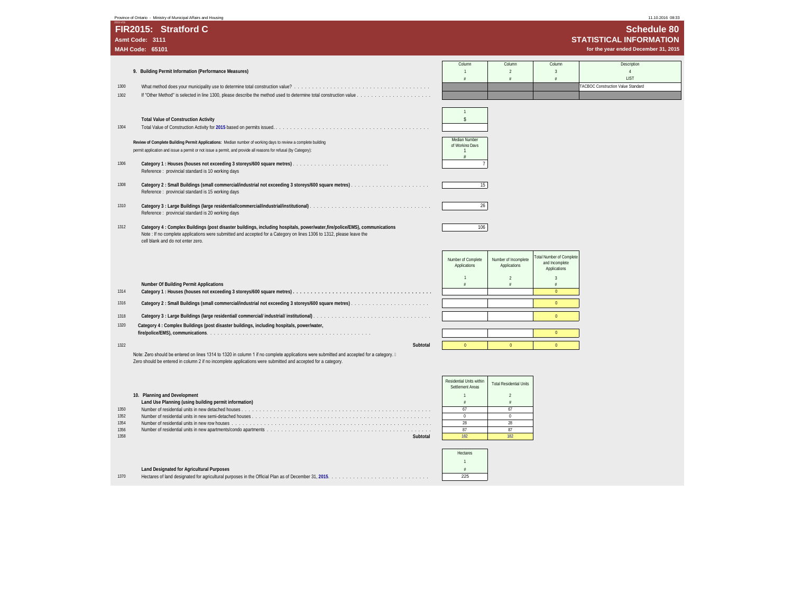| Province of Ontario - Ministry of Municipal Affairs and Housing                                                                                                                                                                                                                                  |          |                                                  |                                        |                                                           | 11.10.2016 08:33                                                                      |
|--------------------------------------------------------------------------------------------------------------------------------------------------------------------------------------------------------------------------------------------------------------------------------------------------|----------|--------------------------------------------------|----------------------------------------|-----------------------------------------------------------|---------------------------------------------------------------------------------------|
| FIR2015: Stratford C<br>Asmt Code: 3111<br><b>MAH Code: 65101</b>                                                                                                                                                                                                                                |          |                                                  |                                        |                                                           | Schedule 80<br><b>STATISTICAL INFORMATION</b><br>for the year ended December 31, 2015 |
| 9. Building Permit Information (Performance Measures)<br>1300<br>1302                                                                                                                                                                                                                            |          | Column<br>$\overline{1}$<br>$\#$                 | Column<br>$\overline{2}$<br>$\ddot{x}$ | Column<br>$\overline{\mathbf{3}}$<br>$\#$                 | Description<br>$\overline{4}$<br>LIST<br><b>FACBOC Construction Value Standard</b>    |
| <b>Total Value of Construction Activity</b><br>1304                                                                                                                                                                                                                                              |          | $\sqrt{2}$                                       |                                        |                                                           |                                                                                       |
| Review of Complete Building Permit Applications: Median number of working days to review a complete building<br>permit application and issue a permit or not issue a permit, and provide all reasons for refusal (by Category):                                                                  |          | Median Number<br>of Working Davs<br>$\mathbf{1}$ |                                        |                                                           |                                                                                       |
| 1306<br>Reference : provincial standard is 10 working days<br>1308                                                                                                                                                                                                                               |          | 15                                               |                                        |                                                           |                                                                                       |
| Reference : provincial standard is 15 working days<br>1310<br>Reference : provincial standard is 20 working days                                                                                                                                                                                 |          | 26                                               |                                        |                                                           |                                                                                       |
| 1312<br>Category 4 : Complex Buildings (post disaster buildings, including hospitals, power/water,fire/police/EMS), communications<br>Note : If no complete applications were submitted and accepted for a Category on lines 1306 to 1312, please leave the<br>cell blank and do not enter zero. |          | 106                                              |                                        |                                                           |                                                                                       |
|                                                                                                                                                                                                                                                                                                  |          | Number of Complete<br>Applications               | Number of Incomplete<br>Applications   | otal Number of Complete<br>and Incomplete<br>Applications |                                                                                       |
| Number Of Building Permit Applications<br>1314                                                                                                                                                                                                                                                   |          | $\overline{1}$<br>$\#$                           | $\mathfrak{D}$                         | $\overline{3}$<br>$\tilde{\pi}$<br>$\mathbf{0}$           |                                                                                       |
| 1316                                                                                                                                                                                                                                                                                             |          |                                                  |                                        | $\mathbf{0}$                                              |                                                                                       |
| 1318                                                                                                                                                                                                                                                                                             |          |                                                  |                                        | $\mathbf{0}$                                              |                                                                                       |
| Category 4 : Complex Buildings (post disaster buildings, including hospitals, power/water,<br>1320                                                                                                                                                                                               |          |                                                  |                                        | $\mathbf{0}$                                              |                                                                                       |
| 1322                                                                                                                                                                                                                                                                                             | Subtotal | $\Omega$                                         | $\Omega$                               | $\Omega$                                                  |                                                                                       |
| Note: Zero should be entered on lines 1314 to 1320 in column 1 if no complete applications were submitted and accepted for a category. II<br>Zero should be entered in column 2 if no incomplete applications were submitted and accepted for a category.                                        |          |                                                  |                                        |                                                           |                                                                                       |
|                                                                                                                                                                                                                                                                                                  |          | Residential Units within<br>Settlement Areas     | <b>Total Residential Units</b>         |                                                           |                                                                                       |
| 10. Planning and Development<br>Land Use Planning (using building permit information)                                                                                                                                                                                                            |          | $\overline{1}$<br>$\frac{\pi}{2}$                | $\overline{2}$<br>$\#$                 |                                                           |                                                                                       |
| 1350                                                                                                                                                                                                                                                                                             |          | 67                                               | 67<br>$\Omega$                         |                                                           |                                                                                       |
| 1352<br>1354                                                                                                                                                                                                                                                                                     |          | $\,0\,$<br>28                                    | 28                                     |                                                           |                                                                                       |
| 1356<br>1358                                                                                                                                                                                                                                                                                     | Subtotal | 87<br>182                                        | 87<br>182                              |                                                           |                                                                                       |
|                                                                                                                                                                                                                                                                                                  |          | Hectares<br>$\mathbf{1}$                         |                                        |                                                           |                                                                                       |
| Land Designated for Agricultural Purposes<br>1370                                                                                                                                                                                                                                                |          | $\tilde{\pi}$<br>225                             |                                        |                                                           |                                                                                       |
|                                                                                                                                                                                                                                                                                                  |          |                                                  |                                        |                                                           |                                                                                       |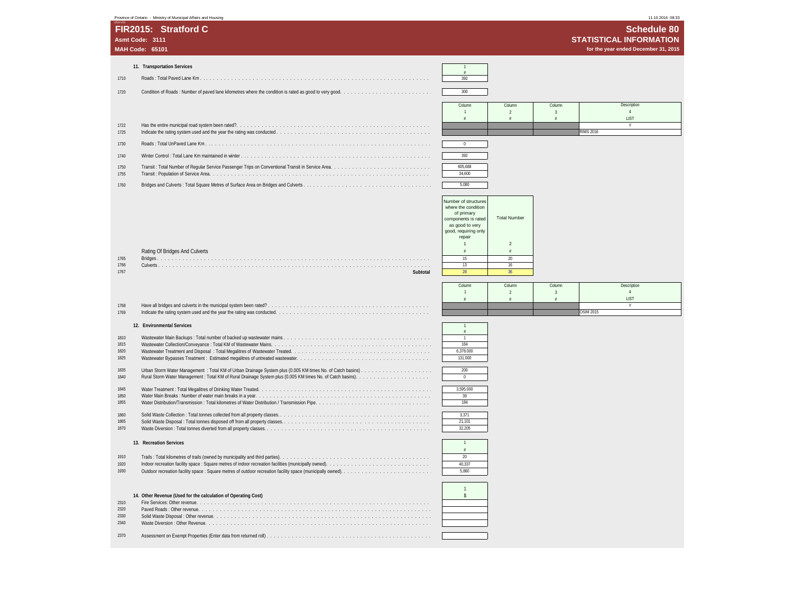| Province of Ontario - Ministry of Municipal Affairs and Hous |  |  |  |  |
|--------------------------------------------------------------|--|--|--|--|
|                                                              |  |  |  |  |

|                 | Province of Ontario - Ministry of Municipal Affairs and Housing                                       |                                        |                                   |                          |                  | 11.10.2016 08:33                     |
|-----------------|-------------------------------------------------------------------------------------------------------|----------------------------------------|-----------------------------------|--------------------------|------------------|--------------------------------------|
|                 | FIR2015: Stratford C                                                                                  |                                        |                                   |                          |                  | <b>Schedule 80</b>                   |
| Asmt Code: 3111 |                                                                                                       |                                        |                                   |                          |                  | <b>STATISTICAL INFORMATION</b>       |
|                 | <b>MAH Code: 65101</b>                                                                                |                                        |                                   |                          |                  | for the year ended December 31, 2015 |
|                 |                                                                                                       |                                        |                                   |                          |                  |                                      |
|                 | 11. Transportation Services                                                                           |                                        |                                   |                          |                  |                                      |
| 1710            |                                                                                                       | 392                                    |                                   |                          |                  |                                      |
| 1720            |                                                                                                       | 300                                    |                                   |                          |                  |                                      |
|                 |                                                                                                       | Column                                 | Column                            | Column                   |                  | Description                          |
|                 |                                                                                                       | $\overline{1}$                         | $\overline{2}$<br>$\frac{\pi}{2}$ | $\overline{3}$<br>$\#$   |                  | $\overline{4}$<br>LIST               |
| 1722            |                                                                                                       |                                        |                                   |                          |                  | Y                                    |
| 1725            |                                                                                                       |                                        |                                   |                          | <b>RIMS 2016</b> |                                      |
| 1730            |                                                                                                       | $\overline{0}$                         |                                   |                          |                  |                                      |
| 1740            |                                                                                                       | 392                                    |                                   |                          |                  |                                      |
| 1750<br>1755    |                                                                                                       | 605,688<br>34,600                      |                                   |                          |                  |                                      |
|                 |                                                                                                       |                                        |                                   |                          |                  |                                      |
| 1760            |                                                                                                       | 5,080                                  |                                   |                          |                  |                                      |
|                 |                                                                                                       | Number of structures                   |                                   |                          |                  |                                      |
|                 |                                                                                                       | where the condition<br>of primary      |                                   |                          |                  |                                      |
|                 |                                                                                                       | components is rated<br>as good to very | <b>Total Number</b>               |                          |                  |                                      |
|                 |                                                                                                       | good, requiring only<br>repair         |                                   |                          |                  |                                      |
|                 |                                                                                                       | $\overline{1}$                         | $\overline{2}$                    |                          |                  |                                      |
| 1765            | Rating Of Bridges And Culverts                                                                        | #<br>15                                | #<br>20                           |                          |                  |                                      |
| 1766<br>1767    | Subtotal                                                                                              | 13<br>28                               | 16<br>36                          |                          |                  |                                      |
|                 |                                                                                                       |                                        |                                   |                          |                  |                                      |
|                 |                                                                                                       | Column<br>$\mathbf{1}$                 | Column<br>$\overline{2}$          | Column<br>$\overline{3}$ |                  | Description<br>$\overline{4}$        |
| 1768            |                                                                                                       | #                                      | #                                 | $\#$                     |                  | LIST<br>v                            |
| 1769            |                                                                                                       |                                        |                                   |                          | <b>OSIM 2015</b> |                                      |
|                 | 12. Environmental Services                                                                            |                                        |                                   |                          |                  |                                      |
| 1810            |                                                                                                       | $\mathbf{1}$                           |                                   |                          |                  |                                      |
| 1815<br>1820    |                                                                                                       | 164<br>6,378.000                       |                                   |                          |                  |                                      |
| 1825            |                                                                                                       | 131.000                                |                                   |                          |                  |                                      |
| 1835            |                                                                                                       | 200                                    |                                   |                          |                  |                                      |
| 1840            |                                                                                                       | $\Omega$                               |                                   |                          |                  |                                      |
| 1845<br>1850    |                                                                                                       | 3,595.000<br>39                        |                                   |                          |                  |                                      |
| 1855            |                                                                                                       | 184                                    |                                   |                          |                  |                                      |
| 1860            |                                                                                                       | 3,371                                  |                                   |                          |                  |                                      |
| 1865<br>1870    |                                                                                                       | 21,101<br>32,205                       |                                   |                          |                  |                                      |
|                 | 13. Recreation Services                                                                               | $\overline{1}$                         |                                   |                          |                  |                                      |
|                 |                                                                                                       | #                                      |                                   |                          |                  |                                      |
| 1910<br>1920    | Indoor recreation facility space : Square metres of indoor recreation facilities (municipally owned). | 20<br>40 337                           |                                   |                          |                  |                                      |
| 1930            |                                                                                                       | 5,880                                  |                                   |                          |                  |                                      |
|                 |                                                                                                       |                                        |                                   |                          |                  |                                      |
|                 | 14. Other Revenue (Used for the calculation of Operating Cost)                                        | $\overline{1}$<br>$$\mathsf{\$}$       |                                   |                          |                  |                                      |
| 2310            |                                                                                                       |                                        |                                   |                          |                  |                                      |
| 2320<br>2330    |                                                                                                       |                                        |                                   |                          |                  |                                      |
| 2340            |                                                                                                       |                                        |                                   |                          |                  |                                      |
| 2370            |                                                                                                       |                                        |                                   |                          |                  |                                      |
|                 |                                                                                                       |                                        |                                   |                          |                  |                                      |